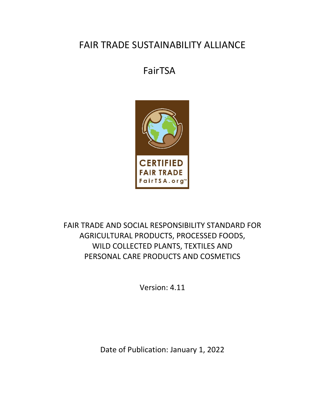# FAIR TRADE SUSTAINABILITY ALLIANCE

# FairTSA



FAIR TRADE AND SOCIAL RESPONSIBILITY STANDARD FOR AGRICULTURAL PRODUCTS, PROCESSED FOODS, WILD COLLECTED PLANTS, TEXTILES AND PERSONAL CARE PRODUCTS AND COSMETICS

Version: 4.11

Date of Publication: January 1, 2022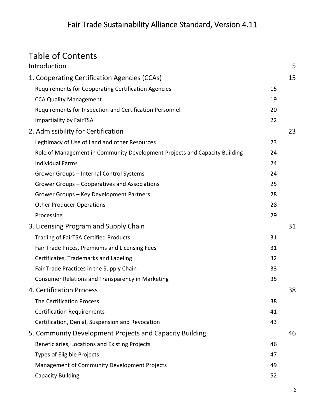# Table of Contents

| Introduction                                                               |    | 5  |
|----------------------------------------------------------------------------|----|----|
| 1. Cooperating Certification Agencies (CCAs)                               |    | 15 |
| Requirements for Cooperating Certification Agencies                        | 15 |    |
| <b>CCA Quality Management</b>                                              | 19 |    |
| Requirements for Inspection and Certification Personnel                    | 20 |    |
| Impartiality by FairTSA                                                    | 22 |    |
| 2. Admissibility for Certification                                         |    | 23 |
| Legitimacy of Use of Land and other Resources                              | 23 |    |
| Role of Management in Community Development Projects and Capacity Building | 24 |    |
| <b>Individual Farms</b>                                                    | 24 |    |
| Grower Groups - Internal Control Systems                                   | 24 |    |
| Grower Groups - Cooperatives and Associations                              | 25 |    |
| Grower Groups - Key Development Partners                                   | 28 |    |
| <b>Other Producer Operations</b>                                           | 28 |    |
| Processing                                                                 | 29 |    |
| 3. Licensing Program and Supply Chain                                      |    | 31 |
| <b>Trading of FairTSA Certified Products</b>                               | 31 |    |
| Fair Trade Prices, Premiums and Licensing Fees                             | 31 |    |
| Certificates, Trademarks and Labeling                                      | 32 |    |
| Fair Trade Practices in the Supply Chain                                   | 33 |    |
| Consumer Relations and Transparency in Marketing                           | 35 |    |
| 4. Certification Process                                                   |    | 38 |
| The Certification Process                                                  | 38 |    |
| <b>Certification Requirements</b>                                          | 41 |    |
| Certification, Denial, Suspension and Revocation                           | 43 |    |
| 5. Community Development Projects and Capacity Building                    |    | 46 |
| Beneficiaries, Locations and Existing Projects                             | 46 |    |
| <b>Types of Eligible Projects</b>                                          | 47 |    |
| Management of Community Development Projects                               | 49 |    |
| <b>Capacity Building</b>                                                   | 52 |    |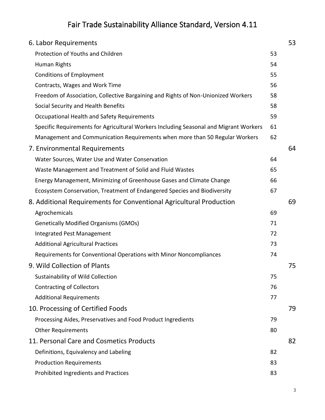| 6. Labor Requirements                                                                 |    | 53 |
|---------------------------------------------------------------------------------------|----|----|
| Protection of Youths and Children                                                     | 53 |    |
| Human Rights                                                                          | 54 |    |
| <b>Conditions of Employment</b>                                                       | 55 |    |
| Contracts, Wages and Work Time                                                        | 56 |    |
| Freedom of Association, Collective Bargaining and Rights of Non-Unionized Workers     | 58 |    |
| Social Security and Health Benefits                                                   | 58 |    |
| Occupational Health and Safety Requirements                                           | 59 |    |
| Specific Requirements for Agricultural Workers Including Seasonal and Migrant Workers | 61 |    |
| Management and Communication Requirements when more than 50 Regular Workers           | 62 |    |
| 7. Environmental Requirements                                                         |    | 64 |
| Water Sources, Water Use and Water Conservation                                       | 64 |    |
| Waste Management and Treatment of Solid and Fluid Wastes                              | 65 |    |
| Energy Management, Minimizing of Greenhouse Gases and Climate Change                  | 66 |    |
| Ecosystem Conservation, Treatment of Endangered Species and Biodiversity              | 67 |    |
| 8. Additional Requirements for Conventional Agricultural Production                   |    | 69 |
| Agrochemicals                                                                         | 69 |    |
| <b>Genetically Modified Organisms (GMOs)</b>                                          | 71 |    |
| Integrated Pest Management                                                            | 72 |    |
| <b>Additional Agricultural Practices</b>                                              | 73 |    |
| Requirements for Conventional Operations with Minor Noncompliances                    | 74 |    |
| 9. Wild Collection of Plants                                                          |    | 75 |
| Sustainability of Wild Collection                                                     | 75 |    |
| <b>Contracting of Collectors</b>                                                      | 76 |    |
| <b>Additional Requirements</b>                                                        | 77 |    |
| 10. Processing of Certified Foods                                                     |    | 79 |
| Processing Aides, Preservatives and Food Product Ingredients                          | 79 |    |
| <b>Other Requirements</b>                                                             | 80 |    |
| 11. Personal Care and Cosmetics Products                                              |    | 82 |
| Definitions, Equivalency and Labeling                                                 | 82 |    |
| <b>Production Requirements</b>                                                        | 83 |    |
| Prohibited Ingredients and Practices                                                  | 83 |    |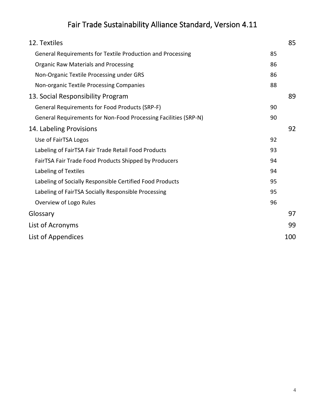| 12. Textiles                                                    |    | 85 |
|-----------------------------------------------------------------|----|----|
| General Requirements for Textile Production and Processing      | 85 |    |
| <b>Organic Raw Materials and Processing</b>                     | 86 |    |
| Non-Organic Textile Processing under GRS                        | 86 |    |
| Non-organic Textile Processing Companies                        | 88 |    |
| 13. Social Responsibility Program                               |    | 89 |
| General Requirements for Food Products (SRP-F)                  | 90 |    |
| General Requirements for Non-Food Processing Facilities (SRP-N) | 90 |    |
| 14. Labeling Provisions                                         |    | 92 |
| Use of FairTSA Logos                                            | 92 |    |
| Labeling of FairTSA Fair Trade Retail Food Products             | 93 |    |
| FairTSA Fair Trade Food Products Shipped by Producers           | 94 |    |
| Labeling of Textiles                                            | 94 |    |
| Labeling of Socially Responsible Certified Food Products        | 95 |    |
| Labeling of FairTSA Socially Responsible Processing             | 95 |    |
| Overview of Logo Rules                                          | 96 |    |
| Glossary                                                        |    | 97 |
| List of Acronyms                                                |    | 99 |
| List of Appendices<br>100                                       |    |    |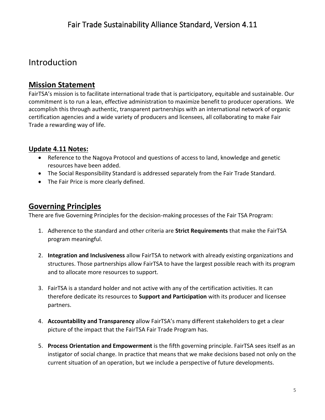## Introduction

### **Mission Statement**

FairTSA's mission is to facilitate international trade that is participatory, equitable and sustainable. Our commitment is to run a lean, effective administration to maximize benefit to producer operations. We accomplish this through authentic, transparent partnerships with an international network of organic certification agencies and a wide variety of producers and licensees, all collaborating to make Fair Trade a rewarding way of life.

### **Update 4.11 Notes:**

- Reference to the Nagoya Protocol and questions of access to land, knowledge and genetic resources have been added.
- The Social Responsibility Standard is addressed separately from the Fair Trade Standard.
- The Fair Price is more clearly defined.

### **Governing Principles**

There are five Governing Principles for the decision-making processes of the Fair TSA Program:

- 1. Adherence to the standard and other criteria are **Strict Requirements** that make the FairTSA program meaningful.
- 2. **Integration and Inclusiveness** allow FairTSA to network with already existing organizations and structures. Those partnerships allow FairTSA to have the largest possible reach with its program and to allocate more resources to support.
- 3. FairTSA is a standard holder and not active with any of the certification activities. It can therefore dedicate its resources to **Support and Participation** with its producer and licensee partners.
- 4. **Accountability and Transparency** allow FairTSA's many different stakeholders to get a clear picture of the impact that the FairTSA Fair Trade Program has.
- 5. **Process Orientation and Empowerment** is the fifth governing principle. FairTSA sees itself as an instigator of social change. In practice that means that we make decisions based not only on the current situation of an operation, but we include a perspective of future developments.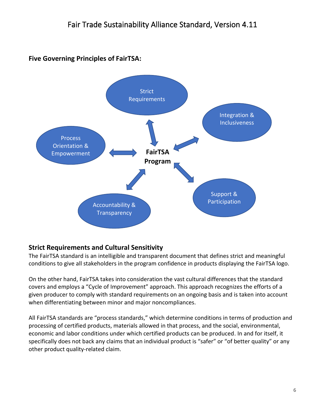### **Five Governing Principles of FairTSA:**



### **Strict Requirements and Cultural Sensitivity**

The FairTSA standard is an intelligible and transparent document that defines strict and meaningful conditions to give all stakeholders in the program confidence in products displaying the FairTSA logo.

On the other hand, FairTSA takes into consideration the vast cultural differences that the standard covers and employs a "Cycle of Improvement" approach. This approach recognizes the efforts of a given producer to comply with standard requirements on an ongoing basis and is taken into account when differentiating between minor and major noncompliances.

All FairTSA standards are "process standards," which determine conditions in terms of production and processing of certified products, materials allowed in that process, and the social, environmental, economic and labor conditions under which certified products can be produced. In and for itself, it specifically does not back any claims that an individual product is "safer" or "of better quality" or any other product quality-related claim.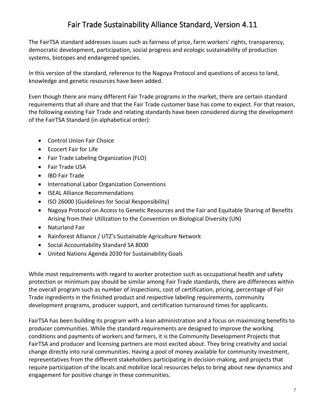The FairTSA standard addresses issues such as fairness of price, farm workers' rights, transparency, democratic development, participation, social progress and ecologic sustainability of production systems, biotopes and endangered species.

In this version of the standard, reference to the Nagoya Protocol and questions of access to land, knowledge and genetic resources have been added.

Even though there are many different Fair Trade programs in the market, there are certain standard requirements that all share and that the Fair Trade customer base has come to expect. For that reason, the following existing Fair Trade and relating standards have been considered during the development of the FairTSA Standard (in alphabetical order):

- Control Union Fair Choice
- Ecocert Fair for Life
- Fair Trade Labeling Organization (FLO)
- Fair Trade USA
- IBD Fair Trade
- International Labor Organization Conventions
- ISEAL Alliance Recommendations
- ISO 26000 (Guidelines for Social Responsibility)
- Nagoya Protocol on Access to Genetic Resources and the Fair and Equitable Sharing of Benefits Arising from their Utilization to the Convention on Biological Diversity (UN)
- Naturland Fair
- Rainforest Alliance / UTZ's Sustainable Agriculture Network
- Social Accountability Standard SA 8000
- United Nations Agenda 2030 for Sustainability Goals

While most requirements with regard to worker protection such as occupational health and safety protection or minimum pay should be similar among Fair Trade standards, there are differences within the overall program such as number of inspections, cost of certification, pricing, percentage of Fair Trade ingredients in the finished product and respective labeling requirements, community development programs, producer support, and certification turnaround times for applicants.

FairTSA has been building its program with a lean administration and a focus on maximizing benefits to producer communities. While the standard requirements are designed to improve the working conditions and payments of workers and farmers, it is the Community Development Projects that FairTSA and producer and licensing partners are most excited about. They bring creativity and social change directly into rural communities. Having a pool of money available for community investment, representatives from the different stakeholders participating in decision-making, and projects that require participation of the locals and mobilize local resources helps to bring about new dynamics and engagement for positive change in these communities.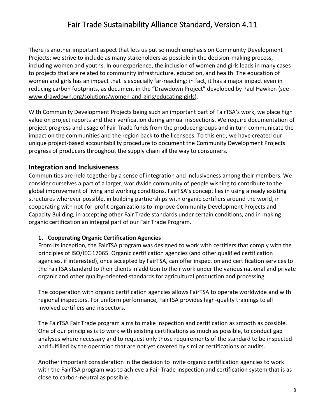There is another important aspect that lets us put so much emphasis on Community Development Projects: we strive to include as many stakeholders as possible in the decision-making process, including women and youths. In our experience, the inclusion of women and girls leads in many cases to projects that are related to community infrastructure, education, and health. The education of women and girls has an impact that is especially far-reaching: in fact, it has a major impact even in reducing carbon footprints, as document in the "Drawdown Project" developed by Paul Hawken (see [www.drawdown.org/solutions/women-and-girls/educating-girls\)](http://www.drawdown.org/solutions/women-and-girls/educating-girls).

With Community Development Projects being such an important part of FairTSA's work, we place high value on project reports and their verification during annual inspections. We require documentation of project progress and usage of Fair Trade funds from the producer groups and in turn communicate the impact on the communities and the region back to the licensees. To this end, we have created our unique project-based accountability procedure to document the Community Development Projects progress of producers throughout the supply chain all the way to consumers.

#### **Integration and Inclusiveness**

Communities are held together by a sense of integration and inclusiveness among their members. We consider ourselves a part of a larger, worldwide community of people wishing to contribute to the global improvement of living and working conditions. FairTSA's concept lies in using already existing structures wherever possible, in building partnerships with organic certifiers around the world, in cooperating with not-for-profit organizations to improve Community Development Projects and Capacity Building, in accepting other Fair Trade standards under certain conditions, and in making organic certification an integral part of our Fair Trade Program.

#### **1. Cooperating Organic Certification Agencies**

From its inception, the FairTSA program was designed to work with certifiers that comply with the principles of ISO/IEC 17065. Organic certification agencies (and other qualified certification agencies, if interested), once accepted by FairTSA, can offer inspection and certification services to the FairTSA standard to their clients in addition to their work under the various national and private organic and other quality-oriented standards for agricultural production and processing.

The cooperation with organic certification agencies allows FairTSA to operate worldwide and with regional inspectors. For uniform performance, FairTSA provides high-quality trainings to all involved certifiers and inspectors.

The FairTSA Fair Trade program aims to make inspection and certification as smooth as possible. One of our principles is to work with existing certifications as much as possible, to conduct gap analyses where necessary and to request only those requirements of the standard to be inspected and fulfilled by the operation that are not yet covered by similar certifications or audits.

Another important consideration in the decision to invite organic certification agencies to work with the FairTSA program was to achieve a Fair Trade inspection and certification system that is as close to carbon-neutral as possible.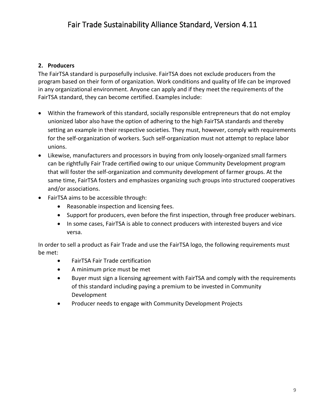#### **2. Producers**

The FairTSA standard is purposefully inclusive. FairTSA does not exclude producers from the program based on their form of organization. Work conditions and quality of life can be improved in any organizational environment. Anyone can apply and if they meet the requirements of the FairTSA standard, they can become certified. Examples include:

- Within the framework of this standard, socially responsible entrepreneurs that do not employ unionized labor also have the option of adhering to the high FairTSA standards and thereby setting an example in their respective societies. They must, however, comply with requirements for the self-organization of workers. Such self-organization must not attempt to replace labor unions.
- Likewise, manufacturers and processors in buying from only loosely-organized small farmers can be rightfully Fair Trade certified owing to our unique Community Development program that will foster the self-organization and community development of farmer groups. At the same time, FairTSA fosters and emphasizes organizing such groups into structured cooperatives and/or associations.
- FairTSA aims to be accessible through:
	- Reasonable inspection and licensing fees.
	- Support for producers, even before the first inspection, through free producer webinars.
	- In some cases, FairTSA is able to connect producers with interested buyers and vice versa.

In order to sell a product as Fair Trade and use the FairTSA logo, the following requirements must be met:

- FairTSA Fair Trade certification
- A minimum price must be met
- Buyer must sign a licensing agreement with FairTSA and comply with the requirements of this standard including paying a premium to be invested in Community Development
- Producer needs to engage with Community Development Projects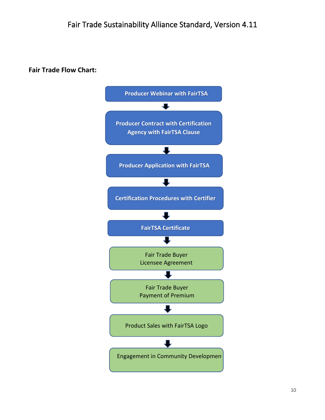**Fair Trade Flow Chart:**

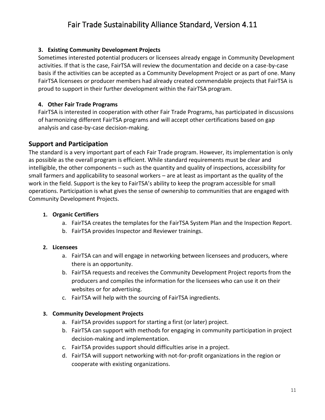#### **3. Existing Community Development Projects**

Sometimes interested potential producers or licensees already engage in Community Development activities. If that is the case, FairTSA will review the documentation and decide on a case-by-case basis if the activities can be accepted as a Community Development Project or as part of one. Many FairTSA licensees or producer members had already created commendable projects that FairTSA is proud to support in their further development within the FairTSA program.

#### **4. Other Fair Trade Programs**

FairTSA is interested in cooperation with other Fair Trade Programs, has participated in discussions of harmonizing different FairTSA programs and will accept other certifications based on gap analysis and case-by-case decision-making.

### **Support and Participation**

The standard is a very important part of each Fair Trade program. However, its implementation is only as possible as the overall program is efficient. While standard requirements must be clear and intelligible, the other components – such as the quantity and quality of inspections, accessibility for small farmers and applicability to seasonal workers – are at least as important as the quality of the work in the field. Support is the key to FairTSA's ability to keep the program accessible for small operations. Participation is what gives the sense of ownership to communities that are engaged with Community Development Projects.

#### **1. Organic Certifiers**

- a. FairTSA creates the templates for the FairTSA System Plan and the Inspection Report.
- b. FairTSA provides Inspector and Reviewer trainings.

#### **2. Licensees**

- a. FairTSA can and will engage in networking between licensees and producers, where there is an opportunity.
- b. FairTSA requests and receives the Community Development Project reports from the producers and compiles the information for the licensees who can use it on their websites or for advertising.
- c. FairTSA will help with the sourcing of FairTSA ingredients.

#### **3. Community Development Projects**

- a. FairTSA provides support for starting a first (or later) project.
- b. FairTSA can support with methods for engaging in community participation in project decision-making and implementation.
- c. FairTSA provides support should difficulties arise in a project.
- d. FairTSA will support networking with not-for-profit organizations in the region or cooperate with existing organizations.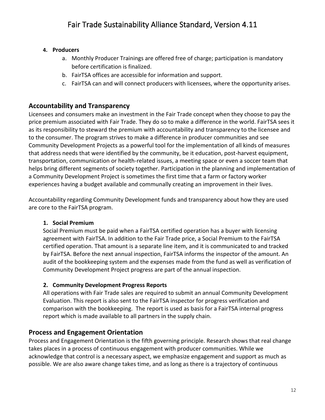#### **4. Producers**

- a. Monthly Producer Trainings are offered free of charge; participation is mandatory before certification is finalized.
- b. FairTSA offices are accessible for information and support.
- c. FairTSA can and will connect producers with licensees, where the opportunity arises.

### **Accountability and Transparency**

Licensees and consumers make an investment in the Fair Trade concept when they choose to pay the price premium associated with Fair Trade. They do so to make a difference in the world. FairTSA sees it as its responsibility to steward the premium with accountability and transparency to the licensee and to the consumer. The program strives to make a difference in producer communities and see Community Development Projects as a powerful tool for the implementation of all kinds of measures that address needs that were identified by the community, be it education, post-harvest equipment, transportation, communication or health-related issues, a meeting space or even a soccer team that helps bring different segments of society together. Participation in the planning and implementation of a Community Development Project is sometimes the first time that a farm or factory worker experiences having a budget available and communally creating an improvement in their lives.

Accountability regarding Community Development funds and transparency about how they are used are core to the FairTSA program.

#### **1. Social Premium**

Social Premium must be paid when a FairTSA certified operation has a buyer with licensing agreement with FairTSA. In addition to the Fair Trade price, a Social Premium to the FairTSA certified operation. That amount is a separate line item, and it is communicated to and tracked by FairTSA. Before the next annual inspection, FairTSA informs the inspector of the amount. An audit of the bookkeeping system and the expenses made from the fund as well as verification of Community Development Project progress are part of the annual inspection.

#### **2. Community Development Progress Reports**

All operations with Fair Trade sales are required to submit an annual Community Development Evaluation. This report is also sent to the FairTSA inspector for progress verification and comparison with the bookkeeping. The report is used as basis for a FairTSA internal progress report which is made available to all partners in the supply chain.

### **Process and Engagement Orientation**

Process and Engagement Orientation is the fifth governing principle. Research shows that real change takes places in a process of continuous engagement with producer communities. While we acknowledge that control is a necessary aspect, we emphasize engagement and support as much as possible. We are also aware change takes time, and as long as there is a trajectory of continuous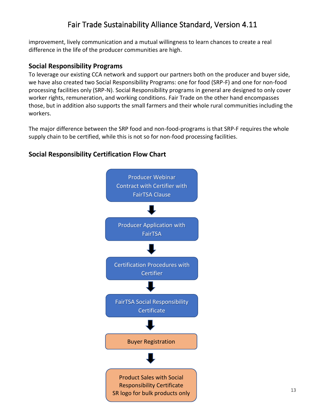improvement, lively communication and a mutual willingness to learn chances to create a real difference in the life of the producer communities are high.

### **Social Responsibility Programs**

To leverage our existing CCA network and support our partners both on the producer and buyer side, we have also created two Social Responsibility Programs: one for food (SRP-F) and one for non-food processing facilities only (SRP-N). Social Responsibility programs in general are designed to only cover worker rights, remuneration, and working conditions. Fair Trade on the other hand encompasses those, but in addition also supports the small farmers and their whole rural communities including the workers.

The major difference between the SRP food and non-food-programs is that SRP-F requires the whole supply chain to be certified, while this is not so for non-food processing facilities.

### **Social Responsibility Certification Flow Chart**

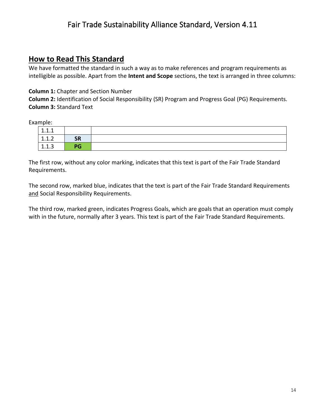### **How to Read This Standard**

We have formatted the standard in such a way as to make references and program requirements as intelligible as possible. Apart from the **Intent and Scope** sections, the text is arranged in three columns:

#### **Column 1:** Chapter and Section Number

**Column 2:** Identification of Social Responsibility (SR) Program and Progress Goal (PG) Requirements. **Column 3:** Standard Text

Example:

| 1.1.1 |           |  |
|-------|-----------|--|
| 1.1.2 | <b>SR</b> |  |
| 1.1.3 | PG        |  |

The first row, without any color marking, indicates that this text is part of the Fair Trade Standard Requirements.

The second row, marked blue, indicates that the text is part of the Fair Trade Standard Requirements and Social Responsibility Requirements.

The third row, marked green, indicates Progress Goals, which are goals that an operation must comply with in the future, normally after 3 years. This text is part of the Fair Trade Standard Requirements.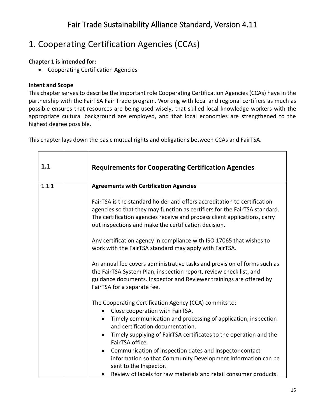# 1. Cooperating Certification Agencies (CCAs)

### **Chapter 1 is intended for:**

• Cooperating Certification Agencies

### **Intent and Scope**

This chapter serves to describe the important role Cooperating Certification Agencies (CCAs) have in the partnership with the FairTSA Fair Trade program. Working with local and regional certifiers as much as possible ensures that resources are being used wisely, that skilled local knowledge workers with the appropriate cultural background are employed, and that local economies are strengthened to the highest degree possible.

This chapter lays down the basic mutual rights and obligations between CCAs and FairTSA.

| 1.1   | <b>Requirements for Cooperating Certification Agencies</b>                                                                                                                                                                                                                                  |
|-------|---------------------------------------------------------------------------------------------------------------------------------------------------------------------------------------------------------------------------------------------------------------------------------------------|
| 1.1.1 | <b>Agreements with Certification Agencies</b>                                                                                                                                                                                                                                               |
|       | FairTSA is the standard holder and offers accreditation to certification<br>agencies so that they may function as certifiers for the FairTSA standard.<br>The certification agencies receive and process client applications, carry<br>out inspections and make the certification decision. |
|       | Any certification agency in compliance with ISO 17065 that wishes to<br>work with the FairTSA standard may apply with FairTSA.                                                                                                                                                              |
|       | An annual fee covers administrative tasks and provision of forms such as<br>the FairTSA System Plan, inspection report, review check list, and<br>guidance documents. Inspector and Reviewer trainings are offered by<br>FairTSA for a separate fee.                                        |
|       | The Cooperating Certification Agency (CCA) commits to:<br>Close cooperation with FairTSA.<br>$\bullet$                                                                                                                                                                                      |
|       | Timely communication and processing of application, inspection<br>$\bullet$<br>and certification documentation.                                                                                                                                                                             |
|       | Timely supplying of FairTSA certificates to the operation and the<br>$\bullet$<br>FairTSA office.                                                                                                                                                                                           |
|       | Communication of inspection dates and Inspector contact<br>$\bullet$<br>information so that Community Development information can be<br>sent to the Inspector.                                                                                                                              |
|       | Review of labels for raw materials and retail consumer products.<br>$\bullet$                                                                                                                                                                                                               |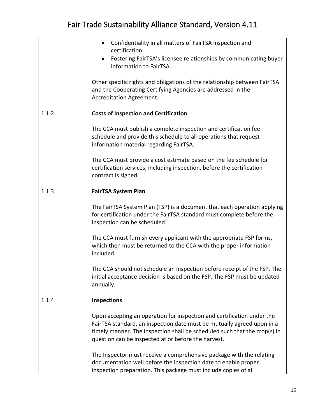|       | Confidentiality in all matters of FairTSA inspection and<br>$\bullet$<br>certification.<br>Fostering FairTSA's licensee relationships by communicating buyer<br>information to FairTSA.<br>Other specific rights and obligations of the relationship between FairTSA<br>and the Cooperating Certifying Agencies are addressed in the<br>Accreditation Agreement.                                                                                                                                                                                |
|-------|-------------------------------------------------------------------------------------------------------------------------------------------------------------------------------------------------------------------------------------------------------------------------------------------------------------------------------------------------------------------------------------------------------------------------------------------------------------------------------------------------------------------------------------------------|
| 1.1.2 | <b>Costs of Inspection and Certification</b><br>The CCA must publish a complete inspection and certification fee<br>schedule and provide this schedule to all operations that request<br>information material regarding FairTSA.<br>The CCA must provide a cost estimate based on the fee schedule for<br>certification services, including inspection, before the certification<br>contract is signed.                                                                                                                                         |
| 1.1.3 | <b>FairTSA System Plan</b><br>The FairTSA System Plan (FSP) is a document that each operation applying<br>for certification under the FairTSA standard must complete before the<br>inspection can be scheduled.<br>The CCA must furnish every applicant with the appropriate FSP forms,<br>which then must be returned to the CCA with the proper information<br>included.<br>The CCA should not schedule an inspection before receipt of the FSP. The<br>initial acceptance decision is based on the FSP. The FSP must be updated<br>annually. |
| 1.1.4 | <b>Inspections</b><br>Upon accepting an operation for inspection and certification under the<br>FairTSA standard, an inspection date must be mutually agreed upon in a<br>timely manner. The inspection shall be scheduled such that the crop(s) in<br>question can be inspected at or before the harvest.<br>The Inspector must receive a comprehensive package with the relating<br>documentation well before the inspection date to enable proper<br>inspection preparation. This package must include copies of all                         |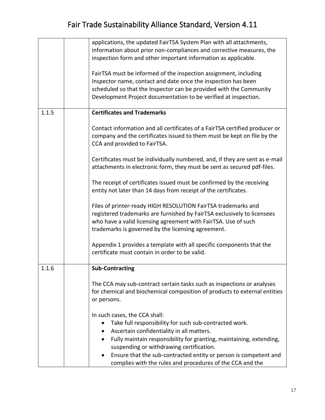|       | applications, the updated FairTSA System Plan with all attachments,<br>information about prior non-compliances and corrective measures, the<br>inspection form and other important information as applicable.<br>FairTSA must be informed of the inspection assignment, including<br>Inspector name, contact and date once the inspection has been<br>scheduled so that the Inspector can be provided with the Community<br>Development Project documentation to be verified at inspection. |
|-------|---------------------------------------------------------------------------------------------------------------------------------------------------------------------------------------------------------------------------------------------------------------------------------------------------------------------------------------------------------------------------------------------------------------------------------------------------------------------------------------------|
| 1.1.5 | <b>Certificates and Trademarks</b>                                                                                                                                                                                                                                                                                                                                                                                                                                                          |
|       |                                                                                                                                                                                                                                                                                                                                                                                                                                                                                             |
|       | Contact information and all certificates of a FairTSA certified producer or<br>company and the certificates issued to them must be kept on file by the<br>CCA and provided to FairTSA.                                                                                                                                                                                                                                                                                                      |
|       | Certificates must be individually numbered, and, if they are sent as e-mail<br>attachments in electronic form, they must be sent as secured pdf-files.                                                                                                                                                                                                                                                                                                                                      |
|       | The receipt of certificates issued must be confirmed by the receiving<br>entity not later than 14 days from receipt of the certificates.                                                                                                                                                                                                                                                                                                                                                    |
|       | Files of printer-ready HIGH RESOLUTION FairTSA trademarks and<br>registered trademarks are furnished by FairTSA exclusively to licensees<br>who have a valid licensing agreement with FairTSA. Use of such<br>trademarks is governed by the licensing agreement.                                                                                                                                                                                                                            |
|       | Appendix 1 provides a template with all specific components that the<br>certificate must contain in order to be valid.                                                                                                                                                                                                                                                                                                                                                                      |
| 1.1.6 | <b>Sub-Contracting</b>                                                                                                                                                                                                                                                                                                                                                                                                                                                                      |
|       | The CCA may sub-contract certain tasks such as inspections or analyses<br>for chemical and biochemical composition of products to external entities<br>or persons.                                                                                                                                                                                                                                                                                                                          |
|       | In such cases, the CCA shall:                                                                                                                                                                                                                                                                                                                                                                                                                                                               |
|       | Take full responsibility for such sub-contracted work.<br>٠                                                                                                                                                                                                                                                                                                                                                                                                                                 |
|       | Ascertain confidentiality in all matters.<br>Fully maintain responsibility for granting, maintaining, extending,<br>$\bullet$                                                                                                                                                                                                                                                                                                                                                               |
|       | suspending or withdrawing certification.                                                                                                                                                                                                                                                                                                                                                                                                                                                    |
|       | Ensure that the sub-contracted entity or person is competent and<br>٠<br>complies with the rules and procedures of the CCA and the                                                                                                                                                                                                                                                                                                                                                          |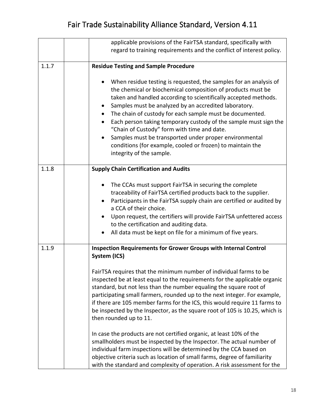|       | applicable provisions of the FairTSA standard, specifically with<br>regard to training requirements and the conflict of interest policy.                                                                                                                                                                                                                                                                                                                                                                                                                                                                                  |
|-------|---------------------------------------------------------------------------------------------------------------------------------------------------------------------------------------------------------------------------------------------------------------------------------------------------------------------------------------------------------------------------------------------------------------------------------------------------------------------------------------------------------------------------------------------------------------------------------------------------------------------------|
| 1.1.7 | <b>Residue Testing and Sample Procedure</b>                                                                                                                                                                                                                                                                                                                                                                                                                                                                                                                                                                               |
|       | When residue testing is requested, the samples for an analysis of<br>$\bullet$<br>the chemical or biochemical composition of products must be<br>taken and handled according to scientifically accepted methods.<br>Samples must be analyzed by an accredited laboratory.<br>The chain of custody for each sample must be documented.<br>$\bullet$<br>Each person taking temporary custody of the sample must sign the<br>"Chain of Custody" form with time and date.<br>Samples must be transported under proper environmental<br>conditions (for example, cooled or frozen) to maintain the<br>integrity of the sample. |
| 1.1.8 | <b>Supply Chain Certification and Audits</b>                                                                                                                                                                                                                                                                                                                                                                                                                                                                                                                                                                              |
|       | The CCAs must support FairTSA in securing the complete<br>traceability of FairTSA certified products back to the supplier.<br>Participants in the FairTSA supply chain are certified or audited by<br>a CCA of their choice.<br>Upon request, the certifiers will provide FairTSA unfettered access<br>to the certification and auditing data.<br>All data must be kept on file for a minimum of five years.                                                                                                                                                                                                              |
| 1.1.9 | Inspection Requirements for Grower Groups with Internal Control<br>System (ICS)<br>FairTSA requires that the minimum number of individual farms to be<br>inspected be at least equal to the requirements for the applicable organic<br>standard, but not less than the number equaling the square root of<br>participating small farmers, rounded up to the next integer. For example,<br>if there are 105 member farms for the ICS, this would require 11 farms to<br>be inspected by the Inspector, as the square root of 105 is 10.25, which is<br>then rounded up to 11.                                              |
|       | In case the products are not certified organic, at least 10% of the<br>smallholders must be inspected by the Inspector. The actual number of<br>individual farm inspections will be determined by the CCA based on<br>objective criteria such as location of small farms, degree of familiarity<br>with the standard and complexity of operation. A risk assessment for the                                                                                                                                                                                                                                               |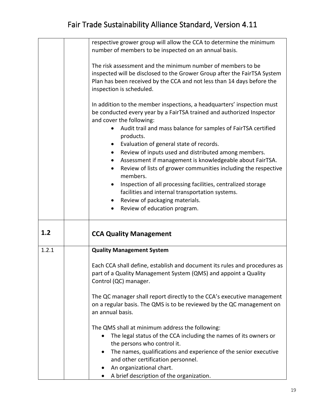|       | respective grower group will allow the CCA to determine the minimum<br>number of members to be inspected on an annual basis.                                                                                                                  |
|-------|-----------------------------------------------------------------------------------------------------------------------------------------------------------------------------------------------------------------------------------------------|
|       | The risk assessment and the minimum number of members to be<br>inspected will be disclosed to the Grower Group after the FairTSA System<br>Plan has been received by the CCA and not less than 14 days before the<br>inspection is scheduled. |
|       | In addition to the member inspections, a headquarters' inspection must<br>be conducted every year by a FairTSA trained and authorized Inspector<br>and cover the following:                                                                   |
|       | Audit trail and mass balance for samples of FairTSA certified<br>products.                                                                                                                                                                    |
|       | Evaluation of general state of records.<br>$\bullet$                                                                                                                                                                                          |
|       | Review of inputs used and distributed among members.<br>$\bullet$                                                                                                                                                                             |
|       | Assessment if management is knowledgeable about FairTSA.                                                                                                                                                                                      |
|       | Review of lists of grower communities including the respective<br>$\bullet$<br>members.                                                                                                                                                       |
|       | Inspection of all processing facilities, centralized storage<br>$\bullet$                                                                                                                                                                     |
|       | facilities and internal transportation systems.                                                                                                                                                                                               |
|       | Review of packaging materials.                                                                                                                                                                                                                |
|       | Review of education program.<br>$\bullet$                                                                                                                                                                                                     |
| 1.2   | <b>CCA Quality Management</b>                                                                                                                                                                                                                 |
| 1.2.1 | <b>Quality Management System</b>                                                                                                                                                                                                              |
|       | Each CCA shall define, establish and document its rules and procedures as<br>part of a Quality Management System (QMS) and appoint a Quality<br>Control (QC) manager.                                                                         |
|       | The QC manager shall report directly to the CCA's executive management<br>on a regular basis. The QMS is to be reviewed by the QC management on<br>an annual basis.                                                                           |
|       | The QMS shall at minimum address the following:                                                                                                                                                                                               |
|       | The legal status of the CCA including the names of its owners or<br>$\bullet$<br>the persons who control it.                                                                                                                                  |
|       | The names, qualifications and experience of the senior executive<br>and other certification personnel.                                                                                                                                        |
|       | An organizational chart.                                                                                                                                                                                                                      |
|       | A brief description of the organization.                                                                                                                                                                                                      |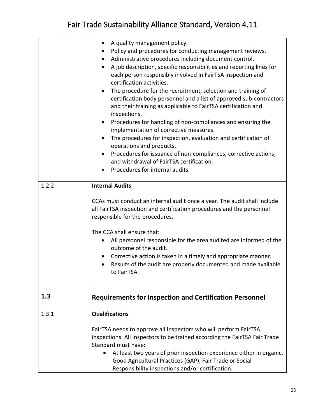|       | A quality management policy.<br>$\bullet$                                       |
|-------|---------------------------------------------------------------------------------|
|       | Policy and procedures for conducting management reviews.                        |
|       | Administrative procedures including document control.<br>$\bullet$              |
|       | A job description, specific responsibilities and reporting lines for            |
|       | each person responsibly involved in FairTSA inspection and                      |
|       | certification activities.                                                       |
|       | The procedure for the recruitment, selection and training of                    |
|       | certification body personnel and a list of approved sub-contractors             |
|       | and their training as applicable to FairTSA certification and                   |
|       | inspections.                                                                    |
|       | Procedures for handling of non-compliances and ensuring the<br>$\bullet$        |
|       | implementation of corrective measures.                                          |
|       | The procedures for inspection, evaluation and certification of<br>$\bullet$     |
|       | operations and products.                                                        |
|       | Procedures for issuance of non-compliances, corrective actions,<br>$\bullet$    |
|       | and withdrawal of FairTSA certification.                                        |
|       | Procedures for internal audits.                                                 |
|       |                                                                                 |
| 1.2.2 | <b>Internal Audits</b>                                                          |
|       |                                                                                 |
|       | CCAs must conduct an internal audit once a year. The audit shall include        |
|       | all FairTSA inspection and certification procedures and the personnel           |
|       | responsible for the procedures.                                                 |
|       |                                                                                 |
|       | The CCA shall ensure that:                                                      |
|       | All personnel responsible for the area audited are informed of the<br>$\bullet$ |
|       | outcome of the audit.                                                           |
|       | Corrective action is taken in a timely and appropriate manner.                  |
|       | Results of the audit are properly documented and made available                 |
|       | to FairTSA.                                                                     |
|       |                                                                                 |
|       |                                                                                 |
| 1.3   | <b>Requirements for Inspection and Certification Personnel</b>                  |
|       |                                                                                 |
| 1.3.1 | <b>Qualifications</b>                                                           |
|       | FairTSA needs to approve all Inspectors who will perform FairTSA                |
|       | inspections. All Inspectors to be trained according the FairTSA Fair Trade      |
|       | Standard must have:                                                             |
|       | At least two years of prior inspection experience either in organic,            |
|       | Good Agricultural Practices (GAP), Fair Trade or Social                         |
|       | Responsibility inspections and/or certification.                                |
|       |                                                                                 |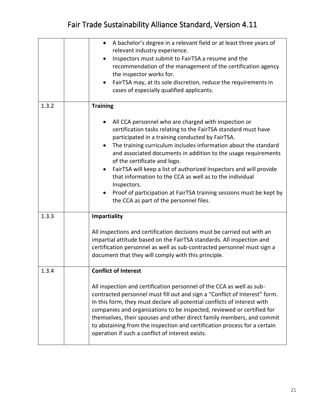|       | A bachelor's degree in a relevant field or at least three years of<br>$\bullet$<br>relevant industry experience.<br>Inspectors must submit to FairTSA a resume and the<br>recommendation of the management of the certification agency<br>the inspector works for.<br>FairTSA may, at its sole discretion, reduce the requirements in<br>cases of especially qualified applicants.                                                                                                                                                                                                                                                                 |
|-------|----------------------------------------------------------------------------------------------------------------------------------------------------------------------------------------------------------------------------------------------------------------------------------------------------------------------------------------------------------------------------------------------------------------------------------------------------------------------------------------------------------------------------------------------------------------------------------------------------------------------------------------------------|
| 1.3.2 | <b>Training</b><br>All CCA personnel who are charged with inspection or<br>certification tasks relating to the FairTSA standard must have<br>participated in a training conducted by FairTSA.<br>The training curriculum includes information about the standard<br>$\bullet$<br>and associated documents in addition to the usage requirements<br>of the certificate and logo.<br>FairTSA will keep a list of authorized Inspectors and will provide<br>that information to the CCA as well as to the individual<br>Inspectors.<br>Proof of participation at FairTSA training sessions must be kept by<br>the CCA as part of the personnel files. |
| 1.3.3 | <b>Impartiality</b><br>All inspections and certification decisions must be carried out with an<br>impartial attitude based on the FairTSA standards. All inspection and<br>certification personnel as well as sub-contracted personnel must sign a<br>document that they will comply with this principle.                                                                                                                                                                                                                                                                                                                                          |
| 1.3.4 | <b>Conflict of Interest</b><br>All inspection and certification personnel of the CCA as well as sub-<br>contracted personnel must fill out and sign a "Conflict of Interest" form.<br>In this form, they must declare all potential conflicts of interest with<br>companies and organizations to be inspected, reviewed or certified for<br>themselves, their spouses and other direct family members, and commit<br>to abstaining from the inspection and certification process for a certain<br>operation if such a conflict of interest exists.                                                                                                 |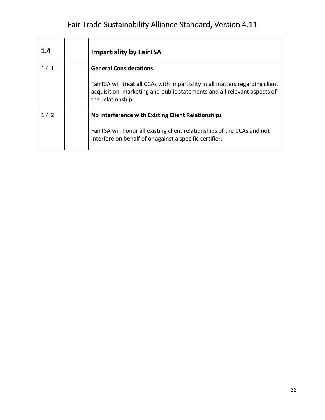| 1.4   | <b>Impartiality by FairTSA</b>                                                                                                                                                 |
|-------|--------------------------------------------------------------------------------------------------------------------------------------------------------------------------------|
| 1.4.1 | <b>General Considerations</b>                                                                                                                                                  |
|       | FairTSA will treat all CCAs with impartiality in all matters regarding client<br>acquisition, marketing and public statements and all relevant aspects of<br>the relationship. |
| 1.4.2 | No Interference with Existing Client Relationships                                                                                                                             |
|       | FairTSA will honor all existing client relationships of the CCAs and not<br>interfere on behalf of or against a specific certifier.                                            |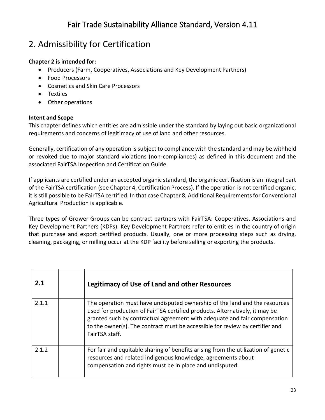# 2. Admissibility for Certification

### **Chapter 2 is intended for:**

- Producers (Farm, Cooperatives, Associations and Key Development Partners)
- Food Processors
- Cosmetics and Skin Care Processors
- Textiles
- Other operations

#### **Intent and Scope**

This chapter defines which entities are admissible under the standard by laying out basic organizational requirements and concerns of legitimacy of use of land and other resources.

Generally, certification of any operation is subject to compliance with the standard and may be withheld or revoked due to major standard violations (non-compliances) as defined in this document and the associated FairTSA Inspection and Certification Guide.

If applicants are certified under an accepted organic standard, the organic certification is an integral part of the FairTSA certification (see Chapter 4, Certification Process). If the operation is not certified organic, it is still possible to be FairTSA certified. In that case Chapter 8, Additional Requirements for Conventional Agricultural Production is applicable.

Three types of Grower Groups can be contract partners with FairTSA: Cooperatives, Associations and Key Development Partners (KDPs). Key Development Partners refer to entities in the country of origin that purchase and export certified products. Usually, one or more processing steps such as drying, cleaning, packaging, or milling occur at the KDP facility before selling or exporting the products.

| 2.1   | <b>Legitimacy of Use of Land and other Resources</b>                                                                                                                                                                                                                                                                                     |
|-------|------------------------------------------------------------------------------------------------------------------------------------------------------------------------------------------------------------------------------------------------------------------------------------------------------------------------------------------|
| 2.1.1 | The operation must have undisputed ownership of the land and the resources<br>used for production of FairTSA certified products. Alternatively, it may be<br>granted such by contractual agreement with adequate and fair compensation<br>to the owner(s). The contract must be accessible for review by certifier and<br>FairTSA staff. |
| 2.1.2 | For fair and equitable sharing of benefits arising from the utilization of genetic<br>resources and related indigenous knowledge, agreements about<br>compensation and rights must be in place and undisputed.                                                                                                                           |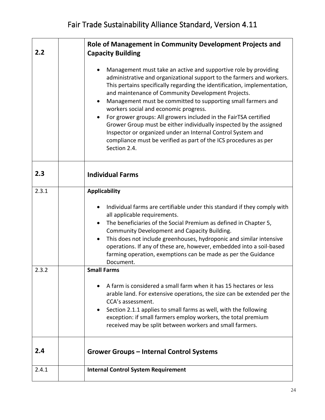| 2.2   | Role of Management in Community Development Projects and<br><b>Capacity Building</b>                                                                                                                                                                                                                                                                                                                                                                                                                                                                                                                                                                                             |
|-------|----------------------------------------------------------------------------------------------------------------------------------------------------------------------------------------------------------------------------------------------------------------------------------------------------------------------------------------------------------------------------------------------------------------------------------------------------------------------------------------------------------------------------------------------------------------------------------------------------------------------------------------------------------------------------------|
|       | Management must take an active and supportive role by providing<br>administrative and organizational support to the farmers and workers.<br>This pertains specifically regarding the identification, implementation,<br>and maintenance of Community Development Projects.<br>Management must be committed to supporting small farmers and<br>workers social and economic progress.<br>For grower groups: All growers included in the FairTSA certified<br>Grower Group must be either individually inspected by the assigned<br>Inspector or organized under an Internal Control System and<br>compliance must be verified as part of the ICS procedures as per<br>Section 2.4. |
| 2.3   | <b>Individual Farms</b>                                                                                                                                                                                                                                                                                                                                                                                                                                                                                                                                                                                                                                                          |
| 2.3.1 | <b>Applicability</b>                                                                                                                                                                                                                                                                                                                                                                                                                                                                                                                                                                                                                                                             |
|       | Individual farms are certifiable under this standard if they comply with                                                                                                                                                                                                                                                                                                                                                                                                                                                                                                                                                                                                         |
|       | all applicable requirements.<br>The beneficiaries of the Social Premium as defined in Chapter 5,                                                                                                                                                                                                                                                                                                                                                                                                                                                                                                                                                                                 |
|       | Community Development and Capacity Building.                                                                                                                                                                                                                                                                                                                                                                                                                                                                                                                                                                                                                                     |
|       | This does not include greenhouses, hydroponic and similar intensive<br>operations. If any of these are, however, embedded into a soil-based<br>farming operation, exemptions can be made as per the Guidance<br>Document.                                                                                                                                                                                                                                                                                                                                                                                                                                                        |
| 2.3.2 | <b>Small Farms</b>                                                                                                                                                                                                                                                                                                                                                                                                                                                                                                                                                                                                                                                               |
|       | A farm is considered a small farm when it has 15 hectares or less<br>arable land. For extensive operations, the size can be extended per the<br>CCA's assessment.<br>Section 2.1.1 applies to small farms as well, with the following<br>exception: if small farmers employ workers, the total premium<br>received may be split between workers and small farmers.                                                                                                                                                                                                                                                                                                               |
| 2.4   | <b>Grower Groups - Internal Control Systems</b>                                                                                                                                                                                                                                                                                                                                                                                                                                                                                                                                                                                                                                  |
| 2.4.1 | <b>Internal Control System Requirement</b>                                                                                                                                                                                                                                                                                                                                                                                                                                                                                                                                                                                                                                       |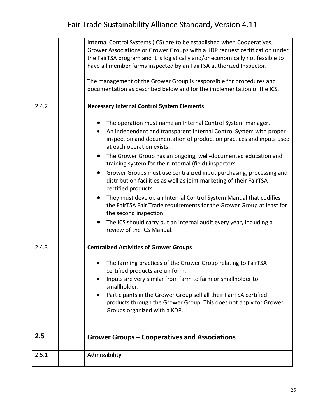|       | Internal Control Systems (ICS) are to be established when Cooperatives,<br>Grower Associations or Grower Groups with a KDP request certification under<br>the FairTSA program and it is logistically and/or economically not feasible to<br>have all member farms inspected by an FairTSA authorized Inspector.<br>The management of the Grower Group is responsible for procedures and<br>documentation as described below and for the implementation of the ICS.                                                                                                                                                                                                                                                                                                                                                 |
|-------|--------------------------------------------------------------------------------------------------------------------------------------------------------------------------------------------------------------------------------------------------------------------------------------------------------------------------------------------------------------------------------------------------------------------------------------------------------------------------------------------------------------------------------------------------------------------------------------------------------------------------------------------------------------------------------------------------------------------------------------------------------------------------------------------------------------------|
| 2.4.2 | <b>Necessary Internal Control System Elements</b>                                                                                                                                                                                                                                                                                                                                                                                                                                                                                                                                                                                                                                                                                                                                                                  |
|       | The operation must name an Internal Control System manager.<br>An independent and transparent Internal Control System with proper<br>inspection and documentation of production practices and inputs used<br>at each operation exists.<br>The Grower Group has an ongoing, well-documented education and<br>training system for their internal (field) inspectors.<br>Grower Groups must use centralized input purchasing, processing and<br>distribution facilities as well as joint marketing of their FairTSA<br>certified products.<br>They must develop an Internal Control System Manual that codifies<br>the FairTSA Fair Trade requirements for the Grower Group at least for<br>the second inspection.<br>The ICS should carry out an internal audit every year, including a<br>review of the ICS Manual. |
| 2.4.3 | <b>Centralized Activities of Grower Groups</b>                                                                                                                                                                                                                                                                                                                                                                                                                                                                                                                                                                                                                                                                                                                                                                     |
|       | The farming practices of the Grower Group relating to FairTSA<br>certified products are uniform.<br>Inputs are very similar from farm to farm or smallholder to<br>smallholder.<br>Participants in the Grower Group sell all their FairTSA certified<br>products through the Grower Group. This does not apply for Grower<br>Groups organized with a KDP.                                                                                                                                                                                                                                                                                                                                                                                                                                                          |
| 2.5   | <b>Grower Groups – Cooperatives and Associations</b>                                                                                                                                                                                                                                                                                                                                                                                                                                                                                                                                                                                                                                                                                                                                                               |
| 2.5.1 | <b>Admissibility</b>                                                                                                                                                                                                                                                                                                                                                                                                                                                                                                                                                                                                                                                                                                                                                                                               |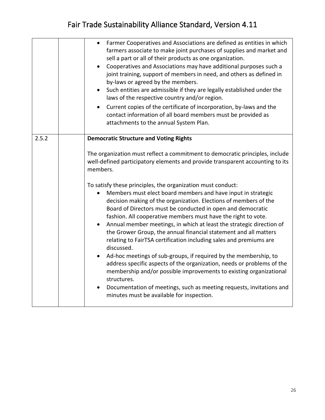|       | Farmer Cooperatives and Associations are defined as entities in which<br>$\bullet$<br>farmers associate to make joint purchases of supplies and market and<br>sell a part or all of their products as one organization.<br>Cooperatives and Associations may have additional purposes such a<br>joint training, support of members in need, and others as defined in<br>by-laws or agreed by the members.<br>• Such entities are admissible if they are legally established under the<br>laws of the respective country and/or region.<br>Current copies of the certificate of incorporation, by-laws and the<br>contact information of all board members must be provided as<br>attachments to the annual System Plan.                                                                                                                                                                                                                                                                                                                                                                                                                                            |
|-------|--------------------------------------------------------------------------------------------------------------------------------------------------------------------------------------------------------------------------------------------------------------------------------------------------------------------------------------------------------------------------------------------------------------------------------------------------------------------------------------------------------------------------------------------------------------------------------------------------------------------------------------------------------------------------------------------------------------------------------------------------------------------------------------------------------------------------------------------------------------------------------------------------------------------------------------------------------------------------------------------------------------------------------------------------------------------------------------------------------------------------------------------------------------------|
| 2.5.2 | <b>Democratic Structure and Voting Rights</b><br>The organization must reflect a commitment to democratic principles, include<br>well-defined participatory elements and provide transparent accounting to its<br>members.<br>To satisfy these principles, the organization must conduct:<br>Members must elect board members and have input in strategic<br>decision making of the organization. Elections of members of the<br>Board of Directors must be conducted in open and democratic<br>fashion. All cooperative members must have the right to vote.<br>Annual member meetings, in which at least the strategic direction of<br>the Grower Group, the annual financial statement and all matters<br>relating to FairTSA certification including sales and premiums are<br>discussed.<br>Ad-hoc meetings of sub-groups, if required by the membership, to<br>address specific aspects of the organization, needs or problems of the<br>membership and/or possible improvements to existing organizational<br>structures.<br>Documentation of meetings, such as meeting requests, invitations and<br>$\bullet$<br>minutes must be available for inspection. |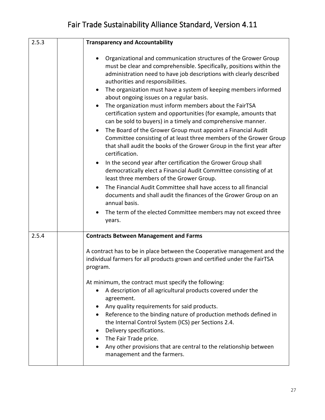| 2.5.3 | <b>Transparency and Accountability</b>                                                                                                                                                                                                                                                                                                                                                                                                                                                                                                                                                                                                                                                                                                                                                                                                                                                                                                                                                                                                                                                                                                                                                                                                                                                      |
|-------|---------------------------------------------------------------------------------------------------------------------------------------------------------------------------------------------------------------------------------------------------------------------------------------------------------------------------------------------------------------------------------------------------------------------------------------------------------------------------------------------------------------------------------------------------------------------------------------------------------------------------------------------------------------------------------------------------------------------------------------------------------------------------------------------------------------------------------------------------------------------------------------------------------------------------------------------------------------------------------------------------------------------------------------------------------------------------------------------------------------------------------------------------------------------------------------------------------------------------------------------------------------------------------------------|
|       | Organizational and communication structures of the Grower Group<br>must be clear and comprehensible. Specifically, positions within the<br>administration need to have job descriptions with clearly described<br>authorities and responsibilities.<br>The organization must have a system of keeping members informed<br>$\bullet$<br>about ongoing issues on a regular basis.<br>The organization must inform members about the FairTSA<br>$\bullet$<br>certification system and opportunities (for example, amounts that<br>can be sold to buyers) in a timely and comprehensive manner.<br>The Board of the Grower Group must appoint a Financial Audit<br>$\bullet$<br>Committee consisting of at least three members of the Grower Group<br>that shall audit the books of the Grower Group in the first year after<br>certification.<br>In the second year after certification the Grower Group shall<br>$\bullet$<br>democratically elect a Financial Audit Committee consisting of at<br>least three members of the Grower Group.<br>The Financial Audit Committee shall have access to all financial<br>$\bullet$<br>documents and shall audit the finances of the Grower Group on an<br>annual basis.<br>The term of the elected Committee members may not exceed three<br>years. |
|       |                                                                                                                                                                                                                                                                                                                                                                                                                                                                                                                                                                                                                                                                                                                                                                                                                                                                                                                                                                                                                                                                                                                                                                                                                                                                                             |
| 2.5.4 | <b>Contracts Between Management and Farms</b><br>A contract has to be in place between the Cooperative management and the<br>individual farmers for all products grown and certified under the FairTSA<br>program.<br>At minimum, the contract must specify the following:<br>A description of all agricultural products covered under the<br>$\bullet$<br>agreement.<br>Any quality requirements for said products.<br>٠<br>Reference to the binding nature of production methods defined in<br>$\bullet$<br>the Internal Control System (ICS) per Sections 2.4.<br>Delivery specifications.<br>٠<br>The Fair Trade price.<br>Any other provisions that are central to the relationship between<br>management and the farmers.                                                                                                                                                                                                                                                                                                                                                                                                                                                                                                                                                             |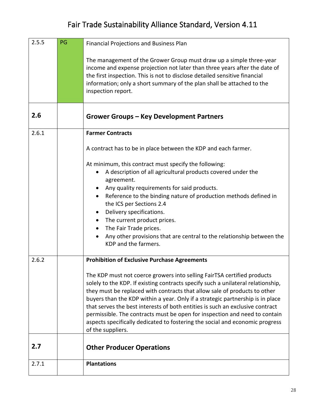| 2.5.5 | PG | <b>Financial Projections and Business Plan</b>                                                                                                                                                                                                                                                                                                                                                                                                                                                                                                                                                 |
|-------|----|------------------------------------------------------------------------------------------------------------------------------------------------------------------------------------------------------------------------------------------------------------------------------------------------------------------------------------------------------------------------------------------------------------------------------------------------------------------------------------------------------------------------------------------------------------------------------------------------|
|       |    | The management of the Grower Group must draw up a simple three-year<br>income and expense projection not later than three years after the date of<br>the first inspection. This is not to disclose detailed sensitive financial<br>information; only a short summary of the plan shall be attached to the<br>inspection report.                                                                                                                                                                                                                                                                |
| 2.6   |    | <b>Grower Groups - Key Development Partners</b>                                                                                                                                                                                                                                                                                                                                                                                                                                                                                                                                                |
| 2.6.1 |    | <b>Farmer Contracts</b>                                                                                                                                                                                                                                                                                                                                                                                                                                                                                                                                                                        |
|       |    | A contract has to be in place between the KDP and each farmer.                                                                                                                                                                                                                                                                                                                                                                                                                                                                                                                                 |
|       |    | At minimum, this contract must specify the following:                                                                                                                                                                                                                                                                                                                                                                                                                                                                                                                                          |
|       |    | A description of all agricultural products covered under the<br>agreement.                                                                                                                                                                                                                                                                                                                                                                                                                                                                                                                     |
|       |    | Any quality requirements for said products.                                                                                                                                                                                                                                                                                                                                                                                                                                                                                                                                                    |
|       |    | Reference to the binding nature of production methods defined in<br>$\bullet$<br>the ICS per Sections 2.4                                                                                                                                                                                                                                                                                                                                                                                                                                                                                      |
|       |    | Delivery specifications.<br>$\bullet$                                                                                                                                                                                                                                                                                                                                                                                                                                                                                                                                                          |
|       |    | The current product prices.<br>$\bullet$                                                                                                                                                                                                                                                                                                                                                                                                                                                                                                                                                       |
|       |    | The Fair Trade prices.                                                                                                                                                                                                                                                                                                                                                                                                                                                                                                                                                                         |
|       |    | Any other provisions that are central to the relationship between the<br>KDP and the farmers.                                                                                                                                                                                                                                                                                                                                                                                                                                                                                                  |
| 2.6.2 |    | <b>Prohibition of Exclusive Purchase Agreements</b>                                                                                                                                                                                                                                                                                                                                                                                                                                                                                                                                            |
|       |    | The KDP must not coerce growers into selling FairTSA certified products<br>solely to the KDP. If existing contracts specify such a unilateral relationship,<br>they must be replaced with contracts that allow sale of products to other<br>buyers than the KDP within a year. Only if a strategic partnership is in place<br>that serves the best interests of both entities is such an exclusive contract<br>permissible. The contracts must be open for inspection and need to contain<br>aspects specifically dedicated to fostering the social and economic progress<br>of the suppliers. |
| 2.7   |    | <b>Other Producer Operations</b>                                                                                                                                                                                                                                                                                                                                                                                                                                                                                                                                                               |
| 2.7.1 |    | <b>Plantations</b>                                                                                                                                                                                                                                                                                                                                                                                                                                                                                                                                                                             |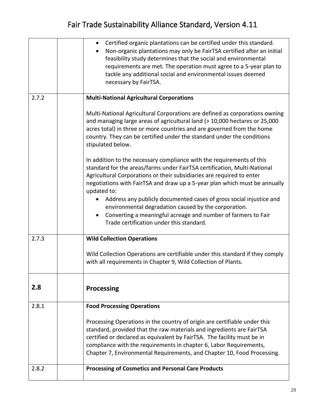|       | Certified organic plantations can be certified under this standard.<br>Non-organic plantations may only be FairTSA certified after an initial<br>feasibility study determines that the social and environmental<br>requirements are met. The operation must agree to a 5-year plan to<br>tackle any additional social and environmental issues deemed<br>necessary by FairTSA. |
|-------|--------------------------------------------------------------------------------------------------------------------------------------------------------------------------------------------------------------------------------------------------------------------------------------------------------------------------------------------------------------------------------|
| 2.7.2 | <b>Multi-National Agricultural Corporations</b>                                                                                                                                                                                                                                                                                                                                |
|       | Multi-National Agricultural Corporations are defined as corporations owning<br>and managing large areas of agricultural land (> 10,000 hectares or 25,000<br>acres total) in three or more countries and are governed from the home<br>country. They can be certified under the standard under the conditions<br>stipulated below.                                             |
|       | In addition to the necessary compliance with the requirements of this<br>standard for the areas/farms under FairTSA certification, Multi-National<br>Agricultural Corporations or their subsidiaries are required to enter<br>negotiations with FairTSA and draw up a 5-year plan which must be annually<br>updated to:                                                        |
|       | Address any publicly documented cases of gross social injustice and<br>environmental degradation caused by the corporation.<br>Converting a meaningful acreage and number of farmers to Fair<br>$\bullet$<br>Trade certification under this standard.                                                                                                                          |
| 2.7.3 | <b>Wild Collection Operations</b>                                                                                                                                                                                                                                                                                                                                              |
|       | Wild Collection Operations are certifiable under this standard if they comply<br>with all requirements in Chapter 9, Wild Collection of Plants.                                                                                                                                                                                                                                |
| 2.8   | <b>Processing</b>                                                                                                                                                                                                                                                                                                                                                              |
| 2.8.1 | <b>Food Processing Operations</b>                                                                                                                                                                                                                                                                                                                                              |
|       | Processing Operations in the country of origin are certifiable under this<br>standard, provided that the raw materials and ingredients are FairTSA<br>certified or declared as equivalent by FairTSA. The facility must be in<br>compliance with the requirements in chapter 6, Labor Requirements,<br>Chapter 7, Environmental Requirements, and Chapter 10, Food Processing. |
| 2.8.2 | <b>Processing of Cosmetics and Personal Care Products</b>                                                                                                                                                                                                                                                                                                                      |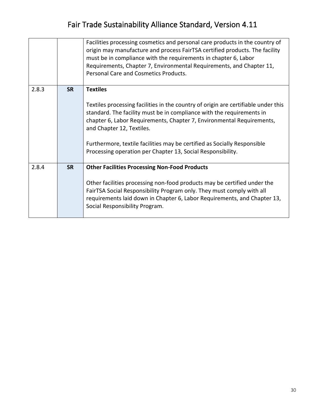|       |           | Facilities processing cosmetics and personal care products in the country of<br>origin may manufacture and process FairTSA certified products. The facility<br>must be in compliance with the requirements in chapter 6, Labor<br>Requirements, Chapter 7, Environmental Requirements, and Chapter 11,<br>Personal Care and Cosmetics Products.                                                                                 |
|-------|-----------|---------------------------------------------------------------------------------------------------------------------------------------------------------------------------------------------------------------------------------------------------------------------------------------------------------------------------------------------------------------------------------------------------------------------------------|
| 2.8.3 | <b>SR</b> | <b>Textiles</b><br>Textiles processing facilities in the country of origin are certifiable under this<br>standard. The facility must be in compliance with the requirements in<br>chapter 6, Labor Requirements, Chapter 7, Environmental Requirements,<br>and Chapter 12, Textiles.<br>Furthermore, textile facilities may be certified as Socially Responsible<br>Processing operation per Chapter 13, Social Responsibility. |
| 2.8.4 | <b>SR</b> | <b>Other Facilities Processing Non-Food Products</b><br>Other facilities processing non-food products may be certified under the<br>FairTSA Social Responsibility Program only. They must comply with all<br>requirements laid down in Chapter 6, Labor Requirements, and Chapter 13,<br>Social Responsibility Program.                                                                                                         |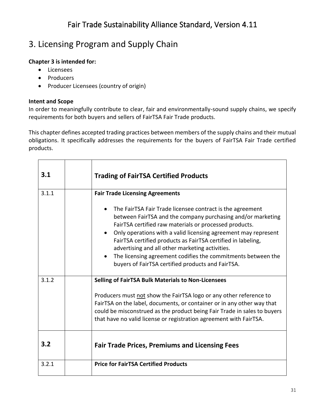# 3. Licensing Program and Supply Chain

### **Chapter 3 is intended for:**

- Licensees
- Producers
- Producer Licensees (country of origin)

### **Intent and Scope**

In order to meaningfully contribute to clear, fair and environmentally-sound supply chains, we specify requirements for both buyers and sellers of FairTSA Fair Trade products.

This chapter defines accepted trading practices between members of the supply chains and their mutual obligations. It specifically addresses the requirements for the buyers of FairTSA Fair Trade certified products.

| 3.1   | <b>Trading of FairTSA Certified Products</b>                                                                                                                                                                                                                                                                                                                                                                                                                                                              |
|-------|-----------------------------------------------------------------------------------------------------------------------------------------------------------------------------------------------------------------------------------------------------------------------------------------------------------------------------------------------------------------------------------------------------------------------------------------------------------------------------------------------------------|
| 3.1.1 | <b>Fair Trade Licensing Agreements</b>                                                                                                                                                                                                                                                                                                                                                                                                                                                                    |
|       | The FairTSA Fair Trade licensee contract is the agreement<br>between FairTSA and the company purchasing and/or marketing<br>FairTSA certified raw materials or processed products.<br>Only operations with a valid licensing agreement may represent<br>FairTSA certified products as FairTSA certified in labeling,<br>advertising and all other marketing activities.<br>The licensing agreement codifies the commitments between the<br>$\bullet$<br>buyers of FairTSA certified products and FairTSA. |
| 3.1.2 | <b>Selling of FairTSA Bulk Materials to Non-Licensees</b>                                                                                                                                                                                                                                                                                                                                                                                                                                                 |
|       | Producers must not show the FairTSA logo or any other reference to<br>FairTSA on the label, documents, or container or in any other way that<br>could be misconstrued as the product being Fair Trade in sales to buyers<br>that have no valid license or registration agreement with FairTSA.                                                                                                                                                                                                            |
| 3.2   | <b>Fair Trade Prices, Premiums and Licensing Fees</b>                                                                                                                                                                                                                                                                                                                                                                                                                                                     |
| 3.2.1 | <b>Price for FairTSA Certified Products</b>                                                                                                                                                                                                                                                                                                                                                                                                                                                               |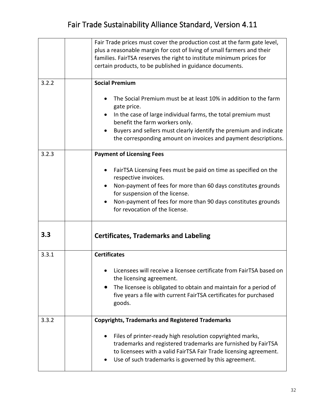|       | Fair Trade prices must cover the production cost at the farm gate level,<br>plus a reasonable margin for cost of living of small farmers and their<br>families. FairTSA reserves the right to institute minimum prices for                                                                                               |
|-------|--------------------------------------------------------------------------------------------------------------------------------------------------------------------------------------------------------------------------------------------------------------------------------------------------------------------------|
|       | certain products, to be published in guidance documents.                                                                                                                                                                                                                                                                 |
| 3.2.2 | <b>Social Premium</b>                                                                                                                                                                                                                                                                                                    |
|       | The Social Premium must be at least 10% in addition to the farm<br>gate price.<br>In the case of large individual farms, the total premium must<br>benefit the farm workers only.<br>Buyers and sellers must clearly identify the premium and indicate<br>the corresponding amount on invoices and payment descriptions. |
| 3.2.3 | <b>Payment of Licensing Fees</b>                                                                                                                                                                                                                                                                                         |
|       | FairTSA Licensing Fees must be paid on time as specified on the<br>respective invoices.<br>Non-payment of fees for more than 60 days constitutes grounds                                                                                                                                                                 |
|       | for suspension of the license.                                                                                                                                                                                                                                                                                           |
|       | Non-payment of fees for more than 90 days constitutes grounds<br>for revocation of the license.                                                                                                                                                                                                                          |
| 3.3   | <b>Certificates, Trademarks and Labeling</b>                                                                                                                                                                                                                                                                             |
| 3.3.1 | <b>Certificates</b>                                                                                                                                                                                                                                                                                                      |
|       | Licensees will receive a licensee certificate from FairTSA based on<br>the licensing agreement.                                                                                                                                                                                                                          |
|       | The licensee is obligated to obtain and maintain for a period of<br>five years a file with current FairTSA certificates for purchased<br>goods.                                                                                                                                                                          |
| 3.3.2 | <b>Copyrights, Trademarks and Registered Trademarks</b>                                                                                                                                                                                                                                                                  |
|       | Files of printer-ready high resolution copyrighted marks,<br>trademarks and registered trademarks are furnished by FairTSA<br>to licensees with a valid FairTSA Fair Trade licensing agreement.<br>Use of such trademarks is governed by this agreement.                                                                 |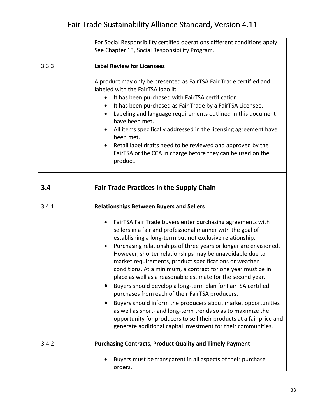|       | For Social Responsibility certified operations different conditions apply.                                                                                                                                                                                                                                                                                                                                                                                                                                                                                                                                                                                                                                                                                                                                                                                                                                            |
|-------|-----------------------------------------------------------------------------------------------------------------------------------------------------------------------------------------------------------------------------------------------------------------------------------------------------------------------------------------------------------------------------------------------------------------------------------------------------------------------------------------------------------------------------------------------------------------------------------------------------------------------------------------------------------------------------------------------------------------------------------------------------------------------------------------------------------------------------------------------------------------------------------------------------------------------|
|       | See Chapter 13, Social Responsibility Program.                                                                                                                                                                                                                                                                                                                                                                                                                                                                                                                                                                                                                                                                                                                                                                                                                                                                        |
|       |                                                                                                                                                                                                                                                                                                                                                                                                                                                                                                                                                                                                                                                                                                                                                                                                                                                                                                                       |
| 3.3.3 | <b>Label Review for Licensees</b>                                                                                                                                                                                                                                                                                                                                                                                                                                                                                                                                                                                                                                                                                                                                                                                                                                                                                     |
|       | A product may only be presented as FairTSA Fair Trade certified and<br>labeled with the FairTSA logo if:<br>It has been purchased with FairTSA certification.<br>$\bullet$<br>It has been purchased as Fair Trade by a FairTSA Licensee.<br>Labeling and language requirements outlined in this document<br>have been met.<br>All items specifically addressed in the licensing agreement have<br>been met.<br>Retail label drafts need to be reviewed and approved by the<br>$\bullet$<br>FairTSA or the CCA in charge before they can be used on the<br>product.                                                                                                                                                                                                                                                                                                                                                    |
| 3.4   | <b>Fair Trade Practices in the Supply Chain</b>                                                                                                                                                                                                                                                                                                                                                                                                                                                                                                                                                                                                                                                                                                                                                                                                                                                                       |
| 3.4.1 | <b>Relationships Between Buyers and Sellers</b>                                                                                                                                                                                                                                                                                                                                                                                                                                                                                                                                                                                                                                                                                                                                                                                                                                                                       |
|       | FairTSA Fair Trade buyers enter purchasing agreements with<br>٠<br>sellers in a fair and professional manner with the goal of<br>establishing a long-term but not exclusive relationship.<br>Purchasing relationships of three years or longer are envisioned.<br>٠<br>However, shorter relationships may be unavoidable due to<br>market requirements, product specifications or weather<br>conditions. At a minimum, a contract for one year must be in<br>place as well as a reasonable estimate for the second year.<br>Buyers should develop a long-term plan for FairTSA certified<br>purchases from each of their FairTSA producers.<br>Buyers should inform the producers about market opportunities<br>as well as short- and long-term trends so as to maximize the<br>opportunity for producers to sell their products at a fair price and<br>generate additional capital investment for their communities. |
| 3.4.2 | <b>Purchasing Contracts, Product Quality and Timely Payment</b>                                                                                                                                                                                                                                                                                                                                                                                                                                                                                                                                                                                                                                                                                                                                                                                                                                                       |
|       | Buyers must be transparent in all aspects of their purchase<br>orders.                                                                                                                                                                                                                                                                                                                                                                                                                                                                                                                                                                                                                                                                                                                                                                                                                                                |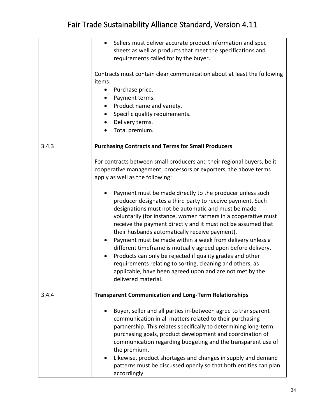|       | Sellers must deliver accurate product information and spec<br>$\bullet$<br>sheets as well as products that meet the specifications and<br>requirements called for by the buyer.<br>Contracts must contain clear communication about at least the following<br>items:<br>Purchase price.<br>$\bullet$<br>Payment terms.<br>Product name and variety.<br>Specific quality requirements.<br>Delivery terms.<br>$\bullet$<br>Total premium.                                                                                                                                                                                                                                                                                                                                                                                                                                                                                                                              |
|-------|----------------------------------------------------------------------------------------------------------------------------------------------------------------------------------------------------------------------------------------------------------------------------------------------------------------------------------------------------------------------------------------------------------------------------------------------------------------------------------------------------------------------------------------------------------------------------------------------------------------------------------------------------------------------------------------------------------------------------------------------------------------------------------------------------------------------------------------------------------------------------------------------------------------------------------------------------------------------|
| 3.4.3 | <b>Purchasing Contracts and Terms for Small Producers</b><br>For contracts between small producers and their regional buyers, be it<br>cooperative management, processors or exporters, the above terms<br>apply as well as the following:<br>Payment must be made directly to the producer unless such<br>producer designates a third party to receive payment. Such<br>designations must not be automatic and must be made<br>voluntarily (for instance, women farmers in a cooperative must<br>receive the payment directly and it must not be assumed that<br>their husbands automatically receive payment).<br>Payment must be made within a week from delivery unless a<br>٠<br>different timeframe is mutually agreed upon before delivery.<br>Products can only be rejected if quality grades and other<br>٠<br>requirements relating to sorting, cleaning and others, as<br>applicable, have been agreed upon and are not met by the<br>delivered material. |
| 3.4.4 | <b>Transparent Communication and Long-Term Relationships</b><br>Buyer, seller and all parties in-between agree to transparent                                                                                                                                                                                                                                                                                                                                                                                                                                                                                                                                                                                                                                                                                                                                                                                                                                        |
|       | communication in all matters related to their purchasing<br>partnership. This relates specifically to determining long-term<br>purchasing goals, product development and coordination of<br>communication regarding budgeting and the transparent use of<br>the premium.<br>Likewise, product shortages and changes in supply and demand<br>patterns must be discussed openly so that both entities can plan<br>accordingly.                                                                                                                                                                                                                                                                                                                                                                                                                                                                                                                                         |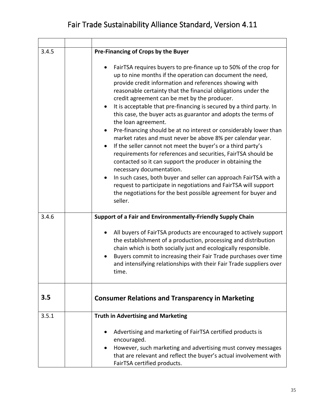| 3.4.5 | Pre-Financing of Crops by the Buyer                                                                                                                                                                                                                                                                                                                                                                                                                                                                                                                                                                                                                                                                                                                                                                                                                                                                                                                                                                                                                                    |
|-------|------------------------------------------------------------------------------------------------------------------------------------------------------------------------------------------------------------------------------------------------------------------------------------------------------------------------------------------------------------------------------------------------------------------------------------------------------------------------------------------------------------------------------------------------------------------------------------------------------------------------------------------------------------------------------------------------------------------------------------------------------------------------------------------------------------------------------------------------------------------------------------------------------------------------------------------------------------------------------------------------------------------------------------------------------------------------|
|       | FairTSA requires buyers to pre-finance up to 50% of the crop for<br>up to nine months if the operation can document the need,<br>provide credit information and references showing with<br>reasonable certainty that the financial obligations under the<br>credit agreement can be met by the producer.<br>It is acceptable that pre-financing is secured by a third party. In<br>$\bullet$<br>this case, the buyer acts as guarantor and adopts the terms of<br>the loan agreement.<br>Pre-financing should be at no interest or considerably lower than<br>market rates and must never be above 8% per calendar year.<br>If the seller cannot not meet the buyer's or a third party's<br>requirements for references and securities, FairTSA should be<br>contacted so it can support the producer in obtaining the<br>necessary documentation.<br>In such cases, both buyer and seller can approach FairTSA with a<br>request to participate in negotiations and FairTSA will support<br>the negotiations for the best possible agreement for buyer and<br>seller. |
| 3.4.6 | Support of a Fair and Environmentally-Friendly Supply Chain                                                                                                                                                                                                                                                                                                                                                                                                                                                                                                                                                                                                                                                                                                                                                                                                                                                                                                                                                                                                            |
|       | All buyers of FairTSA products are encouraged to actively support<br>٠<br>the establishment of a production, processing and distribution<br>chain which is both socially just and ecologically responsible.<br>Buyers commit to increasing their Fair Trade purchases over time<br>and intensifying relationships with their Fair Trade suppliers over<br>time.                                                                                                                                                                                                                                                                                                                                                                                                                                                                                                                                                                                                                                                                                                        |
| 3.5   | <b>Consumer Relations and Transparency in Marketing</b>                                                                                                                                                                                                                                                                                                                                                                                                                                                                                                                                                                                                                                                                                                                                                                                                                                                                                                                                                                                                                |
| 3.5.1 | <b>Truth in Advertising and Marketing</b>                                                                                                                                                                                                                                                                                                                                                                                                                                                                                                                                                                                                                                                                                                                                                                                                                                                                                                                                                                                                                              |
|       | Advertising and marketing of FairTSA certified products is<br>encouraged.<br>However, such marketing and advertising must convey messages<br>that are relevant and reflect the buyer's actual involvement with<br>FairTSA certified products.                                                                                                                                                                                                                                                                                                                                                                                                                                                                                                                                                                                                                                                                                                                                                                                                                          |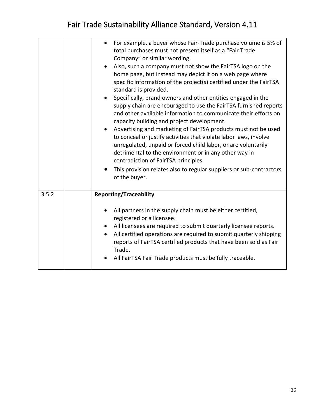|       | For example, a buyer whose Fair-Trade purchase volume is 5% of<br>total purchases must not present itself as a "Fair Trade<br>Company" or similar wording.<br>Also, such a company must not show the FairTSA logo on the<br>$\bullet$<br>home page, but instead may depict it on a web page where<br>specific information of the project(s) certified under the FairTSA<br>standard is provided.<br>Specifically, brand owners and other entities engaged in the<br>$\bullet$<br>supply chain are encouraged to use the FairTSA furnished reports<br>and other available information to communicate their efforts on<br>capacity building and project development.<br>Advertising and marketing of FairTSA products must not be used<br>$\bullet$<br>to conceal or justify activities that violate labor laws, involve<br>unregulated, unpaid or forced child labor, or are voluntarily<br>detrimental to the environment or in any other way in<br>contradiction of FairTSA principles.<br>This provision relates also to regular suppliers or sub-contractors<br>of the buyer. |
|-------|----------------------------------------------------------------------------------------------------------------------------------------------------------------------------------------------------------------------------------------------------------------------------------------------------------------------------------------------------------------------------------------------------------------------------------------------------------------------------------------------------------------------------------------------------------------------------------------------------------------------------------------------------------------------------------------------------------------------------------------------------------------------------------------------------------------------------------------------------------------------------------------------------------------------------------------------------------------------------------------------------------------------------------------------------------------------------------|
| 3.5.2 | <b>Reporting/Traceability</b>                                                                                                                                                                                                                                                                                                                                                                                                                                                                                                                                                                                                                                                                                                                                                                                                                                                                                                                                                                                                                                                    |
|       | All partners in the supply chain must be either certified,<br>$\bullet$<br>registered or a licensee.<br>All licensees are required to submit quarterly licensee reports.<br>All certified operations are required to submit quarterly shipping<br>$\bullet$<br>reports of FairTSA certified products that have been sold as Fair<br>Trade.<br>All FairTSA Fair Trade products must be fully traceable.                                                                                                                                                                                                                                                                                                                                                                                                                                                                                                                                                                                                                                                                           |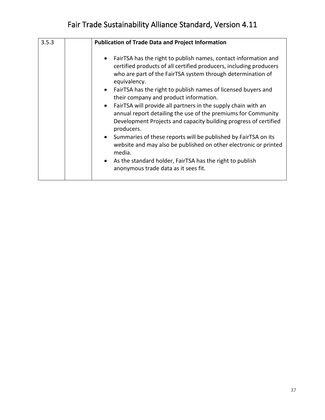| 3.5.3 | <b>Publication of Trade Data and Project Information</b>                                                                                                                                                                                                                                                                                                                                                                                                                                                                                                                                                                                                                                                                                                                                                                                       |
|-------|------------------------------------------------------------------------------------------------------------------------------------------------------------------------------------------------------------------------------------------------------------------------------------------------------------------------------------------------------------------------------------------------------------------------------------------------------------------------------------------------------------------------------------------------------------------------------------------------------------------------------------------------------------------------------------------------------------------------------------------------------------------------------------------------------------------------------------------------|
|       | FairTSA has the right to publish names, contact information and<br>certified products of all certified producers, including producers<br>who are part of the FairTSA system through determination of<br>equivalency.<br>FairTSA has the right to publish names of licensed buyers and<br>$\bullet$<br>their company and product information.<br>FairTSA will provide all partners in the supply chain with an<br>$\bullet$<br>annual report detailing the use of the premiums for Community<br>Development Projects and capacity building progress of certified<br>producers.<br>Summaries of these reports will be published by FairTSA on its<br>website and may also be published on other electronic or printed<br>media.<br>As the standard holder, FairTSA has the right to publish<br>$\bullet$<br>anonymous trade data as it sees fit. |
|       |                                                                                                                                                                                                                                                                                                                                                                                                                                                                                                                                                                                                                                                                                                                                                                                                                                                |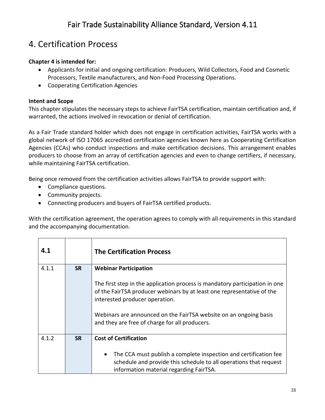#### 4. Certification Process

#### **Chapter 4 is intended for:**

- Applicants for initial and ongoing certification: Producers, Wild Collectors, Food and Cosmetic Processors, Textile manufacturers, and Non-Food Processing Operations.
- Cooperating Certification Agencies

#### **Intent and Scope**

This chapter stipulates the necessary steps to achieve FairTSA certification, maintain certification and, if warranted, the actions involved in revocation or denial of certification.

As a Fair Trade standard holder which does not engage in certification activities, FairTSA works with a global network of ISO 17065 accredited certification agencies known here as Cooperating Certification Agencies (CCAs) who conduct inspections and make certification decisions. This arrangement enables producers to choose from an array of certification agencies and even to change certifiers, if necessary, while maintaining FairTSA certification.

Being once removed from the certification activities allows FairTSA to provide support with:

- Compliance questions.
- Community projects.
- Connecting producers and buyers of FairTSA certified products.

With the certification agreement, the operation agrees to comply with all requirements in this standard and the accompanying documentation.

| 4.1   |           | <b>The Certification Process</b>                                                                                                                                                                                                                                                                               |
|-------|-----------|----------------------------------------------------------------------------------------------------------------------------------------------------------------------------------------------------------------------------------------------------------------------------------------------------------------|
| 4.1.1 | <b>SR</b> | <b>Webinar Participation</b>                                                                                                                                                                                                                                                                                   |
|       |           | The first step in the application process is mandatory participation in one<br>of the FairTSA producer webinars by at least one representative of the<br>interested producer operation.<br>Webinars are announced on the FairTSA website on an ongoing basis<br>and they are free of charge for all producers. |
| 4.1.2 | <b>SR</b> | <b>Cost of Certification</b>                                                                                                                                                                                                                                                                                   |
|       |           | The CCA must publish a complete inspection and certification fee<br>$\bullet$<br>schedule and provide this schedule to all operations that request<br>information material regarding FairTSA.                                                                                                                  |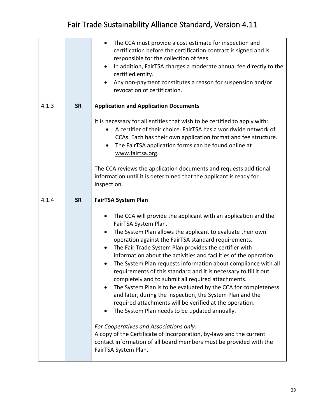|       |           | The CCA must provide a cost estimate for inspection and<br>$\bullet$<br>certification before the certification contract is signed and is<br>responsible for the collection of fees.<br>In addition, FairTSA charges a moderate annual fee directly to the<br>$\bullet$<br>certified entity.<br>Any non-payment constitutes a reason for suspension and/or<br>revocation of certification.                                                                                                                                                                                                                                                                                                                                                                                                                         |
|-------|-----------|-------------------------------------------------------------------------------------------------------------------------------------------------------------------------------------------------------------------------------------------------------------------------------------------------------------------------------------------------------------------------------------------------------------------------------------------------------------------------------------------------------------------------------------------------------------------------------------------------------------------------------------------------------------------------------------------------------------------------------------------------------------------------------------------------------------------|
| 4.1.3 | <b>SR</b> | <b>Application and Application Documents</b>                                                                                                                                                                                                                                                                                                                                                                                                                                                                                                                                                                                                                                                                                                                                                                      |
|       |           | It is necessary for all entities that wish to be certified to apply with:<br>A certifier of their choice. FairTSA has a worldwide network of<br>CCAs. Each has their own application format and fee structure.<br>The FairTSA application forms can be found online at<br>$\bullet$<br>www.fairtsa.org.<br>The CCA reviews the application documents and requests additional                                                                                                                                                                                                                                                                                                                                                                                                                                      |
|       |           | information until it is determined that the applicant is ready for<br>inspection.                                                                                                                                                                                                                                                                                                                                                                                                                                                                                                                                                                                                                                                                                                                                 |
| 4.1.4 | <b>SR</b> | <b>FairTSA System Plan</b>                                                                                                                                                                                                                                                                                                                                                                                                                                                                                                                                                                                                                                                                                                                                                                                        |
|       |           | The CCA will provide the applicant with an application and the<br>٠<br>FairTSA System Plan.<br>The System Plan allows the applicant to evaluate their own<br>operation against the FairTSA standard requirements.<br>The Fair Trade System Plan provides the certifier with<br>$\bullet$<br>information about the activities and facilities of the operation.<br>The System Plan requests information about compliance with all<br>requirements of this standard and it is necessary to fill it out<br>completely and to submit all required attachments.<br>The System Plan is to be evaluated by the CCA for completeness<br>and later, during the inspection, the System Plan and the<br>required attachments will be verified at the operation.<br>The System Plan needs to be updated annually.<br>$\bullet$ |
|       |           | For Cooperatives and Associations only:<br>A copy of the Certificate of Incorporation, by-laws and the current<br>contact information of all board members must be provided with the<br>FairTSA System Plan.                                                                                                                                                                                                                                                                                                                                                                                                                                                                                                                                                                                                      |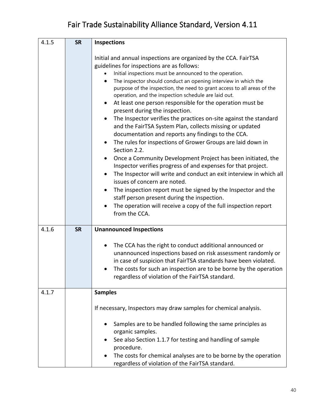| 4.1.5 | <b>SR</b> | <b>Inspections</b>                                                                                                                                                                                                                                                                                                                                                                                                                                                                                                                                                                                                                                                                                                                                                                                                                                                                                                                                                                                                                                                                                                                                                                                                                     |  |
|-------|-----------|----------------------------------------------------------------------------------------------------------------------------------------------------------------------------------------------------------------------------------------------------------------------------------------------------------------------------------------------------------------------------------------------------------------------------------------------------------------------------------------------------------------------------------------------------------------------------------------------------------------------------------------------------------------------------------------------------------------------------------------------------------------------------------------------------------------------------------------------------------------------------------------------------------------------------------------------------------------------------------------------------------------------------------------------------------------------------------------------------------------------------------------------------------------------------------------------------------------------------------------|--|
|       |           | Initial and annual inspections are organized by the CCA. FairTSA<br>guidelines for inspections are as follows:<br>Initial inspections must be announced to the operation.<br>The inspector should conduct an opening interview in which the<br>$\bullet$<br>purpose of the inspection, the need to grant access to all areas of the<br>operation, and the inspection schedule are laid out.<br>At least one person responsible for the operation must be<br>present during the inspection.<br>The Inspector verifies the practices on-site against the standard<br>$\bullet$<br>and the FairTSA System Plan, collects missing or updated<br>documentation and reports any findings to the CCA.<br>The rules for inspections of Grower Groups are laid down in<br>Section 2.2.<br>Once a Community Development Project has been initiated, the<br>Inspector verifies progress of and expenses for that project.<br>The Inspector will write and conduct an exit interview in which all<br>issues of concern are noted.<br>The inspection report must be signed by the Inspector and the<br>$\bullet$<br>staff person present during the inspection.<br>The operation will receive a copy of the full inspection report<br>from the CCA. |  |
| 4.1.6 | <b>SR</b> | <b>Unannounced Inspections</b><br>The CCA has the right to conduct additional announced or<br>unannounced inspections based on risk assessment randomly or<br>in case of suspicion that FairTSA standards have been violated.<br>The costs for such an inspection are to be borne by the operation<br>regardless of violation of the FairTSA standard.                                                                                                                                                                                                                                                                                                                                                                                                                                                                                                                                                                                                                                                                                                                                                                                                                                                                                 |  |
| 4.1.7 |           | <b>Samples</b>                                                                                                                                                                                                                                                                                                                                                                                                                                                                                                                                                                                                                                                                                                                                                                                                                                                                                                                                                                                                                                                                                                                                                                                                                         |  |
|       |           | If necessary, Inspectors may draw samples for chemical analysis.                                                                                                                                                                                                                                                                                                                                                                                                                                                                                                                                                                                                                                                                                                                                                                                                                                                                                                                                                                                                                                                                                                                                                                       |  |
|       |           | Samples are to be handled following the same principles as<br>organic samples.                                                                                                                                                                                                                                                                                                                                                                                                                                                                                                                                                                                                                                                                                                                                                                                                                                                                                                                                                                                                                                                                                                                                                         |  |
|       |           | See also Section 1.1.7 for testing and handling of sample<br>procedure.                                                                                                                                                                                                                                                                                                                                                                                                                                                                                                                                                                                                                                                                                                                                                                                                                                                                                                                                                                                                                                                                                                                                                                |  |
|       |           | The costs for chemical analyses are to be borne by the operation<br>regardless of violation of the FairTSA standard.                                                                                                                                                                                                                                                                                                                                                                                                                                                                                                                                                                                                                                                                                                                                                                                                                                                                                                                                                                                                                                                                                                                   |  |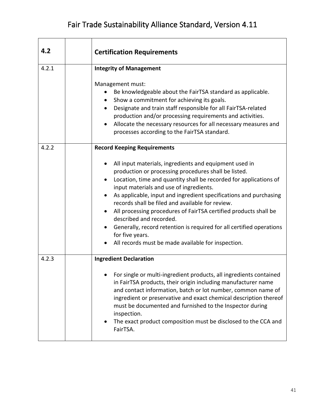| 4.2   | <b>Certification Requirements</b>                                                                                                                                                                                                                                                                                                                                                                                                                                                                                                                                                                                                                               |
|-------|-----------------------------------------------------------------------------------------------------------------------------------------------------------------------------------------------------------------------------------------------------------------------------------------------------------------------------------------------------------------------------------------------------------------------------------------------------------------------------------------------------------------------------------------------------------------------------------------------------------------------------------------------------------------|
| 4.2.1 | <b>Integrity of Management</b><br>Management must:<br>Be knowledgeable about the FairTSA standard as applicable.<br>٠<br>Show a commitment for achieving its goals.<br>Designate and train staff responsible for all FairTSA-related<br>$\bullet$<br>production and/or processing requirements and activities.<br>Allocate the necessary resources for all necessary measures and<br>$\bullet$<br>processes according to the FairTSA standard.                                                                                                                                                                                                                  |
| 4.2.2 | <b>Record Keeping Requirements</b><br>All input materials, ingredients and equipment used in<br>٠<br>production or processing procedures shall be listed.<br>Location, time and quantity shall be recorded for applications of<br>input materials and use of ingredients.<br>As applicable, input and ingredient specifications and purchasing<br>records shall be filed and available for review.<br>All processing procedures of FairTSA certified products shall be<br>$\bullet$<br>described and recorded.<br>Generally, record retention is required for all certified operations<br>for five years.<br>All records must be made available for inspection. |
| 4.2.3 | <b>Ingredient Declaration</b><br>For single or multi-ingredient products, all ingredients contained<br>in FairTSA products, their origin including manufacturer name<br>and contact information, batch or lot number, common name of<br>ingredient or preservative and exact chemical description thereof<br>must be documented and furnished to the Inspector during<br>inspection.<br>The exact product composition must be disclosed to the CCA and<br>FairTSA.                                                                                                                                                                                              |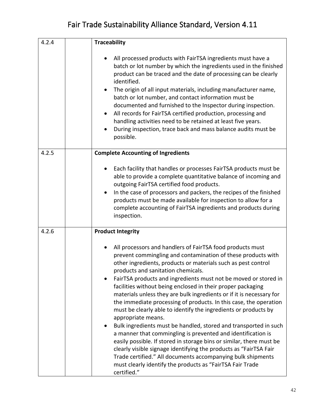| 4.2.4 | <b>Traceability</b>                                                                                                                                                                                                                                                                                                                                                                                                                                                                                                                                                                                                                                                                                                                                                                                                                                                                                                                                                                                                                  |
|-------|--------------------------------------------------------------------------------------------------------------------------------------------------------------------------------------------------------------------------------------------------------------------------------------------------------------------------------------------------------------------------------------------------------------------------------------------------------------------------------------------------------------------------------------------------------------------------------------------------------------------------------------------------------------------------------------------------------------------------------------------------------------------------------------------------------------------------------------------------------------------------------------------------------------------------------------------------------------------------------------------------------------------------------------|
|       | All processed products with FairTSA ingredients must have a<br>batch or lot number by which the ingredients used in the finished<br>product can be traced and the date of processing can be clearly<br>identified.<br>The origin of all input materials, including manufacturer name,<br>batch or lot number, and contact information must be<br>documented and furnished to the Inspector during inspection.<br>All records for FairTSA certified production, processing and<br>$\bullet$<br>handling activities need to be retained at least five years.<br>During inspection, trace back and mass balance audits must be<br>possible.                                                                                                                                                                                                                                                                                                                                                                                             |
| 4.2.5 | <b>Complete Accounting of Ingredients</b>                                                                                                                                                                                                                                                                                                                                                                                                                                                                                                                                                                                                                                                                                                                                                                                                                                                                                                                                                                                            |
|       | Each facility that handles or processes FairTSA products must be<br>able to provide a complete quantitative balance of incoming and<br>outgoing FairTSA certified food products.<br>In the case of processors and packers, the recipes of the finished<br>٠<br>products must be made available for inspection to allow for a<br>complete accounting of FairTSA ingredients and products during<br>inspection.                                                                                                                                                                                                                                                                                                                                                                                                                                                                                                                                                                                                                        |
| 4.2.6 | <b>Product Integrity</b>                                                                                                                                                                                                                                                                                                                                                                                                                                                                                                                                                                                                                                                                                                                                                                                                                                                                                                                                                                                                             |
|       | All processors and handlers of FairTSA food products must<br>prevent commingling and contamination of these products with<br>other ingredients, products or materials such as pest control<br>products and sanitation chemicals.<br>FairTSA products and ingredients must not be moved or stored in<br>facilities without being enclosed in their proper packaging<br>materials unless they are bulk ingredients or if it is necessary for<br>the immediate processing of products. In this case, the operation<br>must be clearly able to identify the ingredients or products by<br>appropriate means.<br>Bulk ingredients must be handled, stored and transported in such<br>a manner that commingling is prevented and identification is<br>easily possible. If stored in storage bins or similar, there must be<br>clearly visible signage identifying the products as "FairTSA Fair<br>Trade certified." All documents accompanying bulk shipments<br>must clearly identify the products as "FairTSA Fair Trade<br>certified." |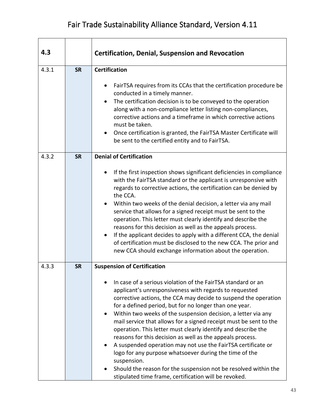| 4.3   |           | <b>Certification, Denial, Suspension and Revocation</b>                                                                                                                                                                                                                                                                                                                                                                                                                                                                                                                                                                                                                                                                                                                                                                                         |
|-------|-----------|-------------------------------------------------------------------------------------------------------------------------------------------------------------------------------------------------------------------------------------------------------------------------------------------------------------------------------------------------------------------------------------------------------------------------------------------------------------------------------------------------------------------------------------------------------------------------------------------------------------------------------------------------------------------------------------------------------------------------------------------------------------------------------------------------------------------------------------------------|
| 4.3.1 | <b>SR</b> | <b>Certification</b><br>FairTSA requires from its CCAs that the certification procedure be<br>conducted in a timely manner.<br>The certification decision is to be conveyed to the operation<br>along with a non-compliance letter listing non-compliances,<br>corrective actions and a timeframe in which corrective actions<br>must be taken.<br>Once certification is granted, the FairTSA Master Certificate will<br>be sent to the certified entity and to FairTSA.                                                                                                                                                                                                                                                                                                                                                                        |
| 4.3.2 | <b>SR</b> | <b>Denial of Certification</b><br>If the first inspection shows significant deficiencies in compliance<br>$\bullet$<br>with the FairTSA standard or the applicant is unresponsive with<br>regards to corrective actions, the certification can be denied by<br>the CCA.<br>Within two weeks of the denial decision, a letter via any mail<br>service that allows for a signed receipt must be sent to the<br>operation. This letter must clearly identify and describe the<br>reasons for this decision as well as the appeals process.<br>If the applicant decides to apply with a different CCA, the denial<br>$\bullet$<br>of certification must be disclosed to the new CCA. The prior and<br>new CCA should exchange information about the operation.                                                                                      |
| 4.3.3 | <b>SR</b> | <b>Suspension of Certification</b><br>In case of a serious violation of the FairTSA standard or an<br>applicant's unresponsiveness with regards to requested<br>corrective actions, the CCA may decide to suspend the operation<br>for a defined period, but for no longer than one year.<br>Within two weeks of the suspension decision, a letter via any<br>$\bullet$<br>mail service that allows for a signed receipt must be sent to the<br>operation. This letter must clearly identify and describe the<br>reasons for this decision as well as the appeals process.<br>A suspended operation may not use the FairTSA certificate or<br>logo for any purpose whatsoever during the time of the<br>suspension.<br>Should the reason for the suspension not be resolved within the<br>stipulated time frame, certification will be revoked. |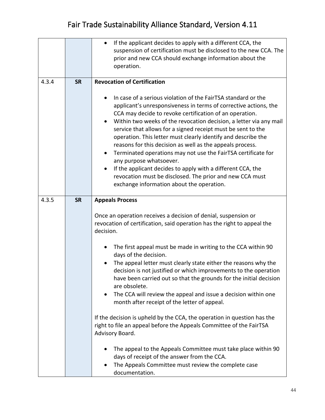|       |           | If the applicant decides to apply with a different CCA, the<br>suspension of certification must be disclosed to the new CCA. The<br>prior and new CCA should exchange information about the<br>operation.                                                                                                                                                                                                                                                                                                                                                                                                                                                                                                         |
|-------|-----------|-------------------------------------------------------------------------------------------------------------------------------------------------------------------------------------------------------------------------------------------------------------------------------------------------------------------------------------------------------------------------------------------------------------------------------------------------------------------------------------------------------------------------------------------------------------------------------------------------------------------------------------------------------------------------------------------------------------------|
| 4.3.4 | <b>SR</b> | <b>Revocation of Certification</b>                                                                                                                                                                                                                                                                                                                                                                                                                                                                                                                                                                                                                                                                                |
|       |           | In case of a serious violation of the FairTSA standard or the<br>applicant's unresponsiveness in terms of corrective actions, the<br>CCA may decide to revoke certification of an operation.<br>Within two weeks of the revocation decision, a letter via any mail<br>$\bullet$<br>service that allows for a signed receipt must be sent to the<br>operation. This letter must clearly identify and describe the<br>reasons for this decision as well as the appeals process.<br>Terminated operations may not use the FairTSA certificate for<br>$\bullet$<br>any purpose whatsoever.<br>If the applicant decides to apply with a different CCA, the<br>revocation must be disclosed. The prior and new CCA must |
|       |           | exchange information about the operation.                                                                                                                                                                                                                                                                                                                                                                                                                                                                                                                                                                                                                                                                         |
| 4.3.5 | <b>SR</b> | <b>Appeals Process</b><br>Once an operation receives a decision of denial, suspension or<br>revocation of certification, said operation has the right to appeal the<br>decision.                                                                                                                                                                                                                                                                                                                                                                                                                                                                                                                                  |
|       |           | The first appeal must be made in writing to the CCA within 90<br>$\bullet$<br>days of the decision.<br>The appeal letter must clearly state either the reasons why the<br>decision is not justified or which improvements to the operation<br>have been carried out so that the grounds for the initial decision<br>are obsolete.<br>The CCA will review the appeal and issue a decision within one<br>month after receipt of the letter of appeal.                                                                                                                                                                                                                                                               |
|       |           | If the decision is upheld by the CCA, the operation in question has the<br>right to file an appeal before the Appeals Committee of the FairTSA<br>Advisory Board.                                                                                                                                                                                                                                                                                                                                                                                                                                                                                                                                                 |
|       |           | The appeal to the Appeals Committee must take place within 90<br>days of receipt of the answer from the CCA.<br>The Appeals Committee must review the complete case<br>documentation.                                                                                                                                                                                                                                                                                                                                                                                                                                                                                                                             |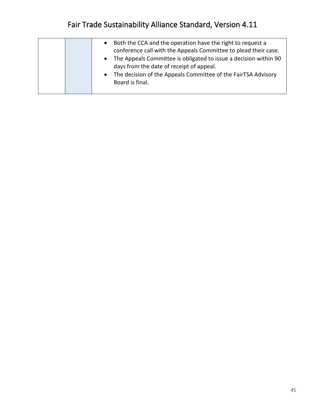|  | $\bullet$<br>$\bullet$<br>$\bullet$ | Both the CCA and the operation have the right to request a<br>conference call with the Appeals Committee to plead their case.<br>The Appeals Committee is obligated to issue a decision within 90<br>days from the date of receipt of appeal.<br>The decision of the Appeals Committee of the FairTSA Advisory<br>Board is final. |
|--|-------------------------------------|-----------------------------------------------------------------------------------------------------------------------------------------------------------------------------------------------------------------------------------------------------------------------------------------------------------------------------------|
|  |                                     |                                                                                                                                                                                                                                                                                                                                   |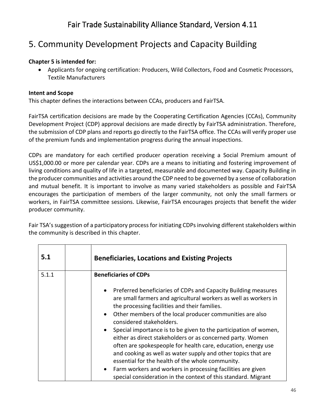#### 5. Community Development Projects and Capacity Building

#### **Chapter 5 is intended for:**

• Applicants for ongoing certification: Producers, Wild Collectors, Food and Cosmetic Processors, Textile Manufacturers

#### **Intent and Scope**

This chapter defines the interactions between CCAs, producers and FairTSA.

FairTSA certification decisions are made by the Cooperating Certification Agencies (CCAs), Community Development Project (CDP) approval decisions are made directly by FairTSA administration. Therefore, the submission of CDP plans and reports go directly to the FairTSA office. The CCAs will verify proper use of the premium funds and implementation progress during the annual inspections.

CDPs are mandatory for each certified producer operation receiving a Social Premium amount of US\$1,000.00 or more per calendar year. CDPs are a means to initiating and fostering improvement of living conditions and quality of life in a targeted, measurable and documented way. Capacity Building in the producer communities and activities around the CDP need to be governed by a sense of collaboration and mutual benefit. It is important to involve as many varied stakeholders as possible and FairTSA encourages the participation of members of the larger community, not only the small farmers or workers, in FairTSA committee sessions. Likewise, FairTSA encourages projects that benefit the wider producer community.

Fair TSA's suggestion of a participatory process for initiating CDPs involving different stakeholders within the community is described in this chapter.

| 5.1   | <b>Beneficiaries, Locations and Existing Projects</b>                                                                                                                                                                                                                                                                |
|-------|----------------------------------------------------------------------------------------------------------------------------------------------------------------------------------------------------------------------------------------------------------------------------------------------------------------------|
| 5.1.1 | <b>Beneficiaries of CDPs</b>                                                                                                                                                                                                                                                                                         |
|       | Preferred beneficiaries of CDPs and Capacity Building measures<br>are small farmers and agricultural workers as well as workers in<br>the processing facilities and their families.                                                                                                                                  |
|       | Other members of the local producer communities are also<br>$\bullet$<br>considered stakeholders.                                                                                                                                                                                                                    |
|       | Special importance is to be given to the participation of women,<br>either as direct stakeholders or as concerned party. Women<br>often are spokespeople for health care, education, energy use<br>and cooking as well as water supply and other topics that are<br>essential for the health of the whole community. |
|       | Farm workers and workers in processing facilities are given<br>special consideration in the context of this standard. Migrant                                                                                                                                                                                        |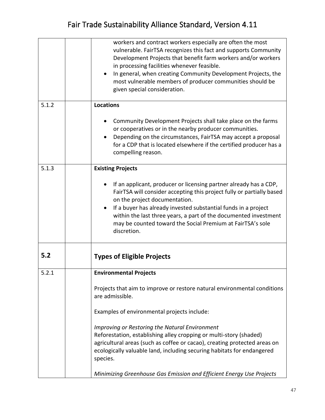|       | workers and contract workers especially are often the most<br>vulnerable. FairTSA recognizes this fact and supports Community<br>Development Projects that benefit farm workers and/or workers<br>in processing facilities whenever feasible.<br>In general, when creating Community Development Projects, the<br>$\bullet$<br>most vulnerable members of producer communities should be<br>given special consideration. |
|-------|--------------------------------------------------------------------------------------------------------------------------------------------------------------------------------------------------------------------------------------------------------------------------------------------------------------------------------------------------------------------------------------------------------------------------|
| 5.1.2 | <b>Locations</b>                                                                                                                                                                                                                                                                                                                                                                                                         |
|       | Community Development Projects shall take place on the farms<br>or cooperatives or in the nearby producer communities.<br>Depending on the circumstances, FairTSA may accept a proposal<br>for a CDP that is located elsewhere if the certified producer has a<br>compelling reason.                                                                                                                                     |
| 5.1.3 | <b>Existing Projects</b>                                                                                                                                                                                                                                                                                                                                                                                                 |
|       | If an applicant, producer or licensing partner already has a CDP,<br>FairTSA will consider accepting this project fully or partially based<br>on the project documentation.<br>If a buyer has already invested substantial funds in a project<br>within the last three years, a part of the documented investment<br>may be counted toward the Social Premium at FairTSA's sole<br>discretion.                           |
| 5.2   | <b>Types of Eligible Projects</b>                                                                                                                                                                                                                                                                                                                                                                                        |
| 5.2.1 | <b>Environmental Projects</b>                                                                                                                                                                                                                                                                                                                                                                                            |
|       | Projects that aim to improve or restore natural environmental conditions<br>are admissible.                                                                                                                                                                                                                                                                                                                              |
|       | Examples of environmental projects include:                                                                                                                                                                                                                                                                                                                                                                              |
|       | Improving or Restoring the Natural Environment<br>Reforestation, establishing alley cropping or multi-story (shaded)<br>agricultural areas (such as coffee or cacao), creating protected areas on<br>ecologically valuable land, including securing habitats for endangered<br>species.                                                                                                                                  |
|       | Minimizing Greenhouse Gas Emission and Efficient Energy Use Projects                                                                                                                                                                                                                                                                                                                                                     |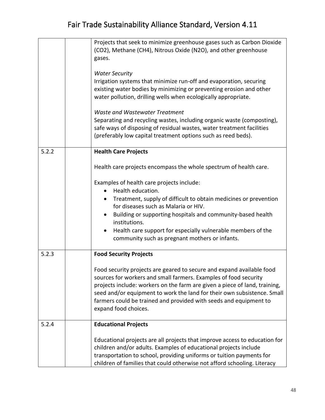|       | Projects that seek to minimize greenhouse gases such as Carbon Dioxide<br>(CO2), Methane (CH4), Nitrous Oxide (N2O), and other greenhouse<br>gases.                                                                                                                                                                                                                                             |
|-------|-------------------------------------------------------------------------------------------------------------------------------------------------------------------------------------------------------------------------------------------------------------------------------------------------------------------------------------------------------------------------------------------------|
|       | <b>Water Security</b><br>Irrigation systems that minimize run-off and evaporation, securing<br>existing water bodies by minimizing or preventing erosion and other<br>water pollution, drilling wells when ecologically appropriate.                                                                                                                                                            |
|       | <b>Waste and Wastewater Treatment</b><br>Separating and recycling wastes, including organic waste (composting),<br>safe ways of disposing of residual wastes, water treatment facilities<br>(preferably low capital treatment options such as reed beds).                                                                                                                                       |
| 5.2.2 | <b>Health Care Projects</b>                                                                                                                                                                                                                                                                                                                                                                     |
|       | Health care projects encompass the whole spectrum of health care.                                                                                                                                                                                                                                                                                                                               |
|       | Examples of health care projects include:<br>Health education.<br>$\bullet$                                                                                                                                                                                                                                                                                                                     |
|       | Treatment, supply of difficult to obtain medicines or prevention<br>٠<br>for diseases such as Malaria or HIV.                                                                                                                                                                                                                                                                                   |
|       | Building or supporting hospitals and community-based health<br>٠<br>institutions.                                                                                                                                                                                                                                                                                                               |
|       | Health care support for especially vulnerable members of the<br>٠<br>community such as pregnant mothers or infants.                                                                                                                                                                                                                                                                             |
| 5.2.3 | <b>Food Security Projects</b>                                                                                                                                                                                                                                                                                                                                                                   |
|       | Food security projects are geared to secure and expand available food<br>sources for workers and small farmers. Examples of food security<br>projects include: workers on the farm are given a piece of land, training,<br>seed and/or equipment to work the land for their own subsistence. Small<br>farmers could be trained and provided with seeds and equipment to<br>expand food choices. |
| 5.2.4 | <b>Educational Projects</b>                                                                                                                                                                                                                                                                                                                                                                     |
|       | Educational projects are all projects that improve access to education for<br>children and/or adults. Examples of educational projects include<br>transportation to school, providing uniforms or tuition payments for<br>children of families that could otherwise not afford schooling. Literacy                                                                                              |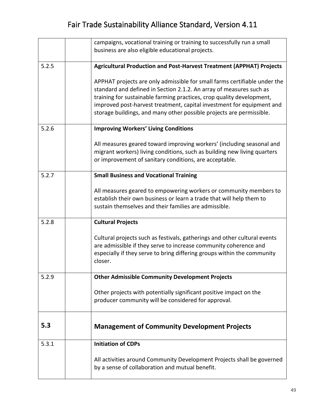|       | campaigns, vocational training or training to successfully run a small<br>business are also eligible educational projects.                                                                                                                                                                                                                                                 |
|-------|----------------------------------------------------------------------------------------------------------------------------------------------------------------------------------------------------------------------------------------------------------------------------------------------------------------------------------------------------------------------------|
|       |                                                                                                                                                                                                                                                                                                                                                                            |
| 5.2.5 | <b>Agricultural Production and Post-Harvest Treatment (APPHAT) Projects</b>                                                                                                                                                                                                                                                                                                |
|       | APPHAT projects are only admissible for small farms certifiable under the<br>standard and defined in Section 2.1.2. An array of measures such as<br>training for sustainable farming practices, crop quality development,<br>improved post-harvest treatment, capital investment for equipment and<br>storage buildings, and many other possible projects are permissible. |
| 5.2.6 | <b>Improving Workers' Living Conditions</b>                                                                                                                                                                                                                                                                                                                                |
|       | All measures geared toward improving workers' (including seasonal and<br>migrant workers) living conditions, such as building new living quarters<br>or improvement of sanitary conditions, are acceptable.                                                                                                                                                                |
| 5.2.7 | <b>Small Business and Vocational Training</b>                                                                                                                                                                                                                                                                                                                              |
|       | All measures geared to empowering workers or community members to<br>establish their own business or learn a trade that will help them to<br>sustain themselves and their families are admissible.                                                                                                                                                                         |
| 5.2.8 | <b>Cultural Projects</b>                                                                                                                                                                                                                                                                                                                                                   |
|       | Cultural projects such as festivals, gatherings and other cultural events<br>are admissible if they serve to increase community coherence and<br>especially if they serve to bring differing groups within the community<br>closer.                                                                                                                                        |
| 5.2.9 | <b>Other Admissible Community Development Projects</b>                                                                                                                                                                                                                                                                                                                     |
|       | Other projects with potentially significant positive impact on the<br>producer community will be considered for approval.                                                                                                                                                                                                                                                  |
| 5.3   | <b>Management of Community Development Projects</b>                                                                                                                                                                                                                                                                                                                        |
| 5.3.1 | <b>Initiation of CDPs</b>                                                                                                                                                                                                                                                                                                                                                  |
|       | All activities around Community Development Projects shall be governed<br>by a sense of collaboration and mutual benefit.                                                                                                                                                                                                                                                  |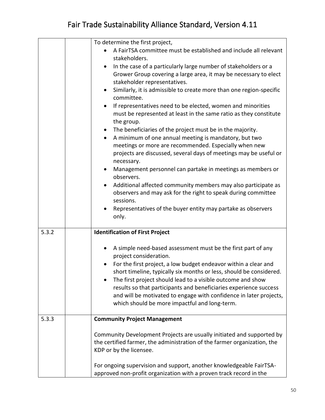|       | To determine the first project,                                                                                                                                                                                                                                            |  |
|-------|----------------------------------------------------------------------------------------------------------------------------------------------------------------------------------------------------------------------------------------------------------------------------|--|
|       | A FairTSA committee must be established and include all relevant                                                                                                                                                                                                           |  |
|       | stakeholders.                                                                                                                                                                                                                                                              |  |
|       | In the case of a particularly large number of stakeholders or a<br>Grower Group covering a large area, it may be necessary to elect<br>stakeholder representatives.                                                                                                        |  |
|       | Similarly, it is admissible to create more than one region-specific<br>$\bullet$<br>committee.                                                                                                                                                                             |  |
|       | If representatives need to be elected, women and minorities<br>$\bullet$<br>must be represented at least in the same ratio as they constitute<br>the group.                                                                                                                |  |
|       | The beneficiaries of the project must be in the majority.<br>$\bullet$                                                                                                                                                                                                     |  |
|       | A minimum of one annual meeting is mandatory, but two<br>$\bullet$                                                                                                                                                                                                         |  |
|       | meetings or more are recommended. Especially when new                                                                                                                                                                                                                      |  |
|       | projects are discussed, several days of meetings may be useful or<br>necessary.                                                                                                                                                                                            |  |
|       | Management personnel can partake in meetings as members or<br>observers.                                                                                                                                                                                                   |  |
|       | Additional affected community members may also participate as                                                                                                                                                                                                              |  |
|       | observers and may ask for the right to speak during committee                                                                                                                                                                                                              |  |
|       | sessions.                                                                                                                                                                                                                                                                  |  |
|       | Representatives of the buyer entity may partake as observers<br>٠<br>only.                                                                                                                                                                                                 |  |
| 5.3.2 | <b>Identification of First Project</b>                                                                                                                                                                                                                                     |  |
|       | A simple need-based assessment must be the first part of any<br>٠<br>project consideration.                                                                                                                                                                                |  |
|       | For the first project, a low budget endeavor within a clear and<br>short timeline, typically six months or less, should be considered.<br>The first project should lead to a visible outcome and show<br>results so that participants and beneficiaries experience success |  |
|       | and will be motivated to engage with confidence in later projects,<br>which should be more impactful and long-term.                                                                                                                                                        |  |
| 5.3.3 | <b>Community Project Management</b>                                                                                                                                                                                                                                        |  |
|       | Community Development Projects are usually initiated and supported by<br>the certified farmer, the administration of the farmer organization, the<br>KDP or by the licensee.                                                                                               |  |
|       | For ongoing supervision and support, another knowledgeable FairTSA-<br>approved non-profit organization with a proven track record in the                                                                                                                                  |  |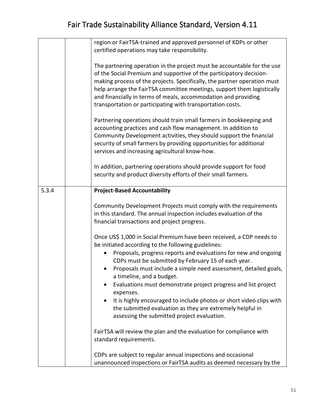|       | region or FairTSA-trained and approved personnel of KDPs or other<br>certified operations may take responsibility.                                                                                                                                                                                                                                                                                                                                                                                                                                                        |
|-------|---------------------------------------------------------------------------------------------------------------------------------------------------------------------------------------------------------------------------------------------------------------------------------------------------------------------------------------------------------------------------------------------------------------------------------------------------------------------------------------------------------------------------------------------------------------------------|
|       | The partnering operation in the project must be accountable for the use<br>of the Social Premium and supportive of the participatory decision-<br>making process of the projects. Specifically, the partner operation must<br>help arrange the FairTSA committee meetings, support them logistically<br>and financially in terms of meals, accommodation and providing<br>transportation or participating with transportation costs.                                                                                                                                      |
|       | Partnering operations should train small farmers in bookkeeping and<br>accounting practices and cash flow management. In addition to<br>Community Development activities, they should support the financial<br>security of small farmers by providing opportunities for additional<br>services and increasing agricultural know-how.                                                                                                                                                                                                                                      |
|       | In addition, partnering operations should provide support for food<br>security and product diversity efforts of their small farmers.                                                                                                                                                                                                                                                                                                                                                                                                                                      |
| 5.3.4 | <b>Project-Based Accountability</b>                                                                                                                                                                                                                                                                                                                                                                                                                                                                                                                                       |
|       | Community Development Projects must comply with the requirements<br>in this standard. The annual inspection includes evaluation of the<br>financial transactions and project progress.                                                                                                                                                                                                                                                                                                                                                                                    |
|       | Once US\$ 1,000 in Social Premium have been received, a CDP needs to<br>be initiated according to the following guidelines:<br>Proposals, progress reports and evaluations for new and ongoing<br>CDPs must be submitted by February 15 of each year.<br>Proposals must include a simple need assessment, detailed goals,<br>a timeline, and a budget.<br>Evaluations must demonstrate project progress and list project<br>expenses.<br>It is highly encouraged to include photos or short video clips with<br>the submitted evaluation as they are extremely helpful in |
|       | assessing the submitted project evaluation.<br>FairTSA will review the plan and the evaluation for compliance with<br>standard requirements.                                                                                                                                                                                                                                                                                                                                                                                                                              |
|       | CDPs are subject to regular annual inspections and occasional<br>unannounced inspections or FairTSA audits as deemed necessary by the                                                                                                                                                                                                                                                                                                                                                                                                                                     |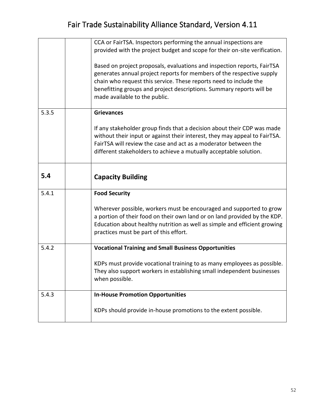|       | CCA or FairTSA. Inspectors performing the annual inspections are<br>provided with the project budget and scope for their on-site verification.<br>Based on project proposals, evaluations and inspection reports, FairTSA<br>generates annual project reports for members of the respective supply<br>chain who request this service. These reports need to include the<br>benefitting groups and project descriptions. Summary reports will be<br>made available to the public. |
|-------|----------------------------------------------------------------------------------------------------------------------------------------------------------------------------------------------------------------------------------------------------------------------------------------------------------------------------------------------------------------------------------------------------------------------------------------------------------------------------------|
| 5.3.5 | <b>Grievances</b><br>If any stakeholder group finds that a decision about their CDP was made<br>without their input or against their interest, they may appeal to FairTSA.<br>FairTSA will review the case and act as a moderator between the<br>different stakeholders to achieve a mutually acceptable solution.                                                                                                                                                               |
| 5.4   | <b>Capacity Building</b>                                                                                                                                                                                                                                                                                                                                                                                                                                                         |
| 5.4.1 | <b>Food Security</b><br>Wherever possible, workers must be encouraged and supported to grow<br>a portion of their food on their own land or on land provided by the KDP.<br>Education about healthy nutrition as well as simple and efficient growing<br>practices must be part of this effort.                                                                                                                                                                                  |
| 5.4.2 | <b>Vocational Training and Small Business Opportunities</b><br>KDPs must provide vocational training to as many employees as possible.<br>They also support workers in establishing small independent businesses<br>when possible.                                                                                                                                                                                                                                               |
| 5.4.3 | <b>In-House Promotion Opportunities</b><br>KDPs should provide in-house promotions to the extent possible.                                                                                                                                                                                                                                                                                                                                                                       |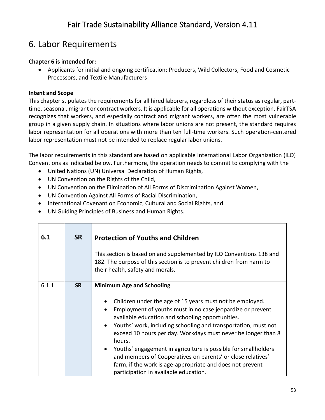#### 6. Labor Requirements

#### **Chapter 6 is intended for:**

• Applicants for initial and ongoing certification: Producers, Wild Collectors, Food and Cosmetic Processors, and Textile Manufacturers

#### **Intent and Scope**

This chapter stipulates the requirements for all hired laborers, regardless of their status as regular, parttime, seasonal, migrant or contract workers. It is applicable for all operations without exception. FairTSA recognizes that workers, and especially contract and migrant workers, are often the most vulnerable group in a given supply chain. In situations where labor unions are not present, the standard requires labor representation for all operations with more than ten full-time workers. Such operation-centered labor representation must not be intended to replace regular labor unions.

The labor requirements in this standard are based on applicable International Labor Organization (ILO) Conventions as indicated below. Furthermore, the operation needs to commit to complying with the

- United Nations (UN) Universal Declaration of Human Rights,
- UN Convention on the Rights of the Child,
- UN Convention on the Elimination of All Forms of Discrimination Against Women,
- UN Convention Against All Forms of Racial Discrimination,
- International Covenant on Economic, Cultural and Social Rights, and
- UN Guiding Principles of Business and Human Rights.

| 6.1   | <b>SR</b> | <b>Protection of Youths and Children</b><br>This section is based on and supplemented by ILO Conventions 138 and<br>182. The purpose of this section is to prevent children from harm to<br>their health, safety and morals.                                                                                                                                                                                                                                                                                                                                                                                                                   |
|-------|-----------|------------------------------------------------------------------------------------------------------------------------------------------------------------------------------------------------------------------------------------------------------------------------------------------------------------------------------------------------------------------------------------------------------------------------------------------------------------------------------------------------------------------------------------------------------------------------------------------------------------------------------------------------|
| 6.1.1 | <b>SR</b> | <b>Minimum Age and Schooling</b><br>Children under the age of 15 years must not be employed.<br>٠<br>Employment of youths must in no case jeopardize or prevent<br>$\bullet$<br>available education and schooling opportunities.<br>Youths' work, including schooling and transportation, must not<br>$\bullet$<br>exceed 10 hours per day. Workdays must never be longer than 8<br>hours.<br>Youths' engagement in agriculture is possible for smallholders<br>$\bullet$<br>and members of Cooperatives on parents' or close relatives'<br>farm, if the work is age-appropriate and does not prevent<br>participation in available education. |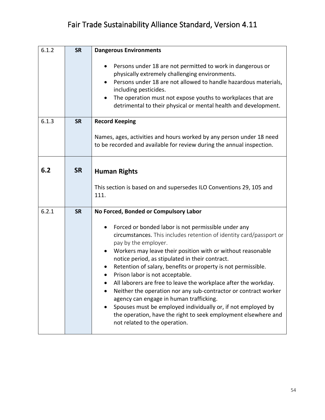| 6.1.2 | <b>SR</b> | <b>Dangerous Environments</b>                                                                                                                                                                                                                                                                                                                                                                                                                                                                                                                                                                                                                                                                                                                                                                   |
|-------|-----------|-------------------------------------------------------------------------------------------------------------------------------------------------------------------------------------------------------------------------------------------------------------------------------------------------------------------------------------------------------------------------------------------------------------------------------------------------------------------------------------------------------------------------------------------------------------------------------------------------------------------------------------------------------------------------------------------------------------------------------------------------------------------------------------------------|
|       |           | Persons under 18 are not permitted to work in dangerous or<br>physically extremely challenging environments.<br>Persons under 18 are not allowed to handle hazardous materials,<br>including pesticides.<br>The operation must not expose youths to workplaces that are<br>$\bullet$<br>detrimental to their physical or mental health and development.                                                                                                                                                                                                                                                                                                                                                                                                                                         |
| 6.1.3 | <b>SR</b> | <b>Record Keeping</b><br>Names, ages, activities and hours worked by any person under 18 need<br>to be recorded and available for review during the annual inspection.                                                                                                                                                                                                                                                                                                                                                                                                                                                                                                                                                                                                                          |
| 6.2   | <b>SR</b> | <b>Human Rights</b><br>This section is based on and supersedes ILO Conventions 29, 105 and<br>111.                                                                                                                                                                                                                                                                                                                                                                                                                                                                                                                                                                                                                                                                                              |
| 6.2.1 | <b>SR</b> | No Forced, Bonded or Compulsory Labor<br>Forced or bonded labor is not permissible under any<br>circumstances. This includes retention of identity card/passport or<br>pay by the employer.<br>Workers may leave their position with or without reasonable<br>$\bullet$<br>notice period, as stipulated in their contract.<br>Retention of salary, benefits or property is not permissible.<br>$\bullet$<br>Prison labor is not acceptable.<br>All laborers are free to leave the workplace after the workday.<br>Neither the operation nor any sub-contractor or contract worker<br>agency can engage in human trafficking.<br>Spouses must be employed individually or, if not employed by<br>the operation, have the right to seek employment elsewhere and<br>not related to the operation. |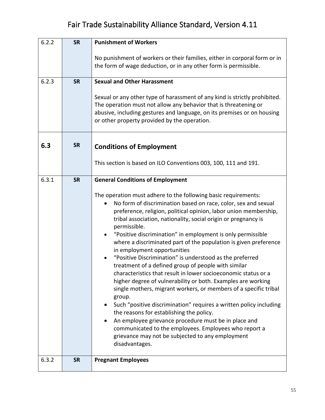| 6.2.2 | <b>SR</b> | <b>Punishment of Workers</b>                                                                                                                                                                                                                                                                                                                                                                                                                                                                                                                                                                                                                                                                                                                                                                                                                                                                                                                                                                                                                                                                                                   |
|-------|-----------|--------------------------------------------------------------------------------------------------------------------------------------------------------------------------------------------------------------------------------------------------------------------------------------------------------------------------------------------------------------------------------------------------------------------------------------------------------------------------------------------------------------------------------------------------------------------------------------------------------------------------------------------------------------------------------------------------------------------------------------------------------------------------------------------------------------------------------------------------------------------------------------------------------------------------------------------------------------------------------------------------------------------------------------------------------------------------------------------------------------------------------|
|       |           | No punishment of workers or their families, either in corporal form or in                                                                                                                                                                                                                                                                                                                                                                                                                                                                                                                                                                                                                                                                                                                                                                                                                                                                                                                                                                                                                                                      |
|       |           | the form of wage deduction, or in any other form is permissible.                                                                                                                                                                                                                                                                                                                                                                                                                                                                                                                                                                                                                                                                                                                                                                                                                                                                                                                                                                                                                                                               |
|       |           |                                                                                                                                                                                                                                                                                                                                                                                                                                                                                                                                                                                                                                                                                                                                                                                                                                                                                                                                                                                                                                                                                                                                |
| 6.2.3 | <b>SR</b> | <b>Sexual and Other Harassment</b>                                                                                                                                                                                                                                                                                                                                                                                                                                                                                                                                                                                                                                                                                                                                                                                                                                                                                                                                                                                                                                                                                             |
|       |           | Sexual or any other type of harassment of any kind is strictly prohibited.<br>The operation must not allow any behavior that is threatening or<br>abusive, including gestures and language, on its premises or on housing<br>or other property provided by the operation.                                                                                                                                                                                                                                                                                                                                                                                                                                                                                                                                                                                                                                                                                                                                                                                                                                                      |
| 6.3   | <b>SR</b> | <b>Conditions of Employment</b>                                                                                                                                                                                                                                                                                                                                                                                                                                                                                                                                                                                                                                                                                                                                                                                                                                                                                                                                                                                                                                                                                                |
|       |           | This section is based on ILO Conventions 003, 100, 111 and 191.                                                                                                                                                                                                                                                                                                                                                                                                                                                                                                                                                                                                                                                                                                                                                                                                                                                                                                                                                                                                                                                                |
| 6.3.1 | <b>SR</b> | <b>General Conditions of Employment</b>                                                                                                                                                                                                                                                                                                                                                                                                                                                                                                                                                                                                                                                                                                                                                                                                                                                                                                                                                                                                                                                                                        |
|       |           | The operation must adhere to the following basic requirements:<br>No form of discrimination based on race, color, sex and sexual<br>$\bullet$<br>preference, religion, political opinion, labor union membership,<br>tribal association, nationality, social origin or pregnancy is<br>permissible.<br>"Positive discrimination" in employment is only permissible<br>$\bullet$<br>where a discriminated part of the population is given preference<br>in employment opportunities<br>"Positive Discrimination" is understood as the preferred<br>treatment of a defined group of people with similar<br>characteristics that result in lower socioeconomic status or a<br>higher degree of vulnerability or both. Examples are working<br>single mothers, migrant workers, or members of a specific tribal<br>group.<br>Such "positive discrimination" requires a written policy including<br>the reasons for establishing the policy.<br>An employee grievance procedure must be in place and<br>communicated to the employees. Employees who report a<br>grievance may not be subjected to any employment<br>disadvantages. |
| 6.3.2 | <b>SR</b> | <b>Pregnant Employees</b>                                                                                                                                                                                                                                                                                                                                                                                                                                                                                                                                                                                                                                                                                                                                                                                                                                                                                                                                                                                                                                                                                                      |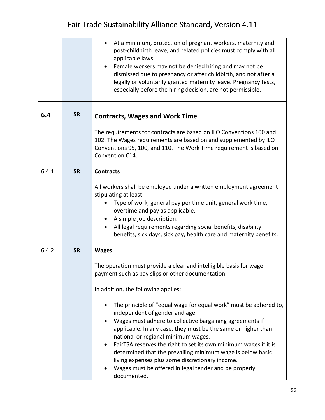|       |           | At a minimum, protection of pregnant workers, maternity and<br>post-childbirth leave, and related policies must comply with all<br>applicable laws.<br>Female workers may not be denied hiring and may not be<br>dismissed due to pregnancy or after childbirth, and not after a<br>legally or voluntarily granted maternity leave. Pregnancy tests,<br>especially before the hiring decision, are not permissible.                                                                                                                 |
|-------|-----------|-------------------------------------------------------------------------------------------------------------------------------------------------------------------------------------------------------------------------------------------------------------------------------------------------------------------------------------------------------------------------------------------------------------------------------------------------------------------------------------------------------------------------------------|
| 6.4   | <b>SR</b> | <b>Contracts, Wages and Work Time</b>                                                                                                                                                                                                                                                                                                                                                                                                                                                                                               |
|       |           | The requirements for contracts are based on ILO Conventions 100 and<br>102. The Wages requirements are based on and supplemented by ILO<br>Conventions 95, 100, and 110. The Work Time requirement is based on<br>Convention C14.                                                                                                                                                                                                                                                                                                   |
| 6.4.1 | <b>SR</b> | <b>Contracts</b>                                                                                                                                                                                                                                                                                                                                                                                                                                                                                                                    |
|       |           | All workers shall be employed under a written employment agreement<br>stipulating at least:<br>Type of work, general pay per time unit, general work time,<br>$\bullet$<br>overtime and pay as applicable.<br>A simple job description.<br>$\bullet$<br>All legal requirements regarding social benefits, disability<br>$\bullet$<br>benefits, sick days, sick pay, health care and maternity benefits.                                                                                                                             |
| 6.4.2 | <b>SR</b> | <b>Wages</b>                                                                                                                                                                                                                                                                                                                                                                                                                                                                                                                        |
|       |           | The operation must provide a clear and intelligible basis for wage<br>payment such as pay slips or other documentation.                                                                                                                                                                                                                                                                                                                                                                                                             |
|       |           | In addition, the following applies:                                                                                                                                                                                                                                                                                                                                                                                                                                                                                                 |
|       |           | The principle of "equal wage for equal work" must be adhered to,<br>independent of gender and age.<br>Wages must adhere to collective bargaining agreements if<br>applicable. In any case, they must be the same or higher than<br>national or regional minimum wages.<br>FairTSA reserves the right to set its own minimum wages if it is<br>determined that the prevailing minimum wage is below basic<br>living expenses plus some discretionary income.<br>Wages must be offered in legal tender and be properly<br>documented. |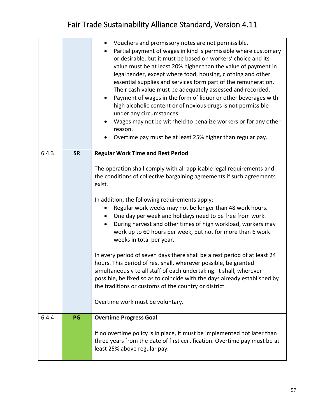|       |           | Vouchers and promissory notes are not permissible.<br>$\bullet$<br>Partial payment of wages in kind is permissible where customary<br>or desirable, but it must be based on workers' choice and its<br>value must be at least 20% higher than the value of payment in<br>legal tender, except where food, housing, clothing and other<br>essential supplies and services form part of the remuneration.<br>Their cash value must be adequately assessed and recorded.<br>Payment of wages in the form of liquor or other beverages with<br>$\bullet$<br>high alcoholic content or of noxious drugs is not permissible<br>under any circumstances.<br>Wages may not be withheld to penalize workers or for any other<br>reason.<br>Overtime pay must be at least 25% higher than regular pay. |
|-------|-----------|----------------------------------------------------------------------------------------------------------------------------------------------------------------------------------------------------------------------------------------------------------------------------------------------------------------------------------------------------------------------------------------------------------------------------------------------------------------------------------------------------------------------------------------------------------------------------------------------------------------------------------------------------------------------------------------------------------------------------------------------------------------------------------------------|
| 6.4.3 | <b>SR</b> | <b>Regular Work Time and Rest Period</b>                                                                                                                                                                                                                                                                                                                                                                                                                                                                                                                                                                                                                                                                                                                                                     |
|       |           | The operation shall comply with all applicable legal requirements and<br>the conditions of collective bargaining agreements if such agreements<br>exist.                                                                                                                                                                                                                                                                                                                                                                                                                                                                                                                                                                                                                                     |
|       |           | In addition, the following requirements apply:<br>Regular work weeks may not be longer than 48 work hours.<br>$\bullet$<br>One day per week and holidays need to be free from work.<br>During harvest and other times of high workload, workers may<br>$\bullet$<br>work up to 60 hours per week, but not for more than 6 work<br>weeks in total per year.                                                                                                                                                                                                                                                                                                                                                                                                                                   |
|       |           | In every period of seven days there shall be a rest period of at least 24<br>hours. This period of rest shall, wherever possible, be granted<br>simultaneously to all staff of each undertaking. It shall, wherever<br>possible, be fixed so as to coincide with the days already established by<br>the traditions or customs of the country or district.                                                                                                                                                                                                                                                                                                                                                                                                                                    |
|       |           | Overtime work must be voluntary.                                                                                                                                                                                                                                                                                                                                                                                                                                                                                                                                                                                                                                                                                                                                                             |
| 6.4.4 | PG        | <b>Overtime Progress Goal</b>                                                                                                                                                                                                                                                                                                                                                                                                                                                                                                                                                                                                                                                                                                                                                                |
|       |           | If no overtime policy is in place, it must be implemented not later than<br>three years from the date of first certification. Overtime pay must be at<br>least 25% above regular pay.                                                                                                                                                                                                                                                                                                                                                                                                                                                                                                                                                                                                        |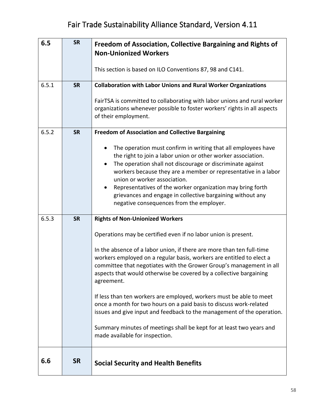| 6.5   | <b>SR</b> | Freedom of Association, Collective Bargaining and Rights of<br><b>Non-Unionized Workers</b>                                                                                                                                                                                                                                                                                                                                                                                                                                                                                                                                                                                                                                                           |
|-------|-----------|-------------------------------------------------------------------------------------------------------------------------------------------------------------------------------------------------------------------------------------------------------------------------------------------------------------------------------------------------------------------------------------------------------------------------------------------------------------------------------------------------------------------------------------------------------------------------------------------------------------------------------------------------------------------------------------------------------------------------------------------------------|
|       |           | This section is based on ILO Conventions 87, 98 and C141.                                                                                                                                                                                                                                                                                                                                                                                                                                                                                                                                                                                                                                                                                             |
| 6.5.1 | <b>SR</b> | <b>Collaboration with Labor Unions and Rural Worker Organizations</b><br>FairTSA is committed to collaborating with labor unions and rural worker<br>organizations whenever possible to foster workers' rights in all aspects<br>of their employment.                                                                                                                                                                                                                                                                                                                                                                                                                                                                                                 |
| 6.5.2 | <b>SR</b> | <b>Freedom of Association and Collective Bargaining</b><br>The operation must confirm in writing that all employees have<br>the right to join a labor union or other worker association.<br>The operation shall not discourage or discriminate against<br>workers because they are a member or representative in a labor<br>union or worker association.<br>Representatives of the worker organization may bring forth<br>٠<br>grievances and engage in collective bargaining without any<br>negative consequences from the employer.                                                                                                                                                                                                                 |
| 6.5.3 | <b>SR</b> | <b>Rights of Non-Unionized Workers</b><br>Operations may be certified even if no labor union is present.<br>In the absence of a labor union, if there are more than ten full-time<br>workers employed on a regular basis, workers are entitled to elect a<br>committee that negotiates with the Grower Group's management in all<br>aspects that would otherwise be covered by a collective bargaining<br>agreement.<br>If less than ten workers are employed, workers must be able to meet<br>once a month for two hours on a paid basis to discuss work-related<br>issues and give input and feedback to the management of the operation.<br>Summary minutes of meetings shall be kept for at least two years and<br>made available for inspection. |
| 6.6   | <b>SR</b> | <b>Social Security and Health Benefits</b>                                                                                                                                                                                                                                                                                                                                                                                                                                                                                                                                                                                                                                                                                                            |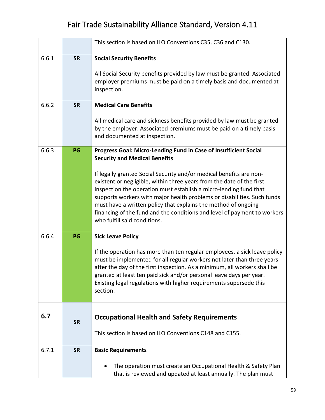|       |           | This section is based on ILO Conventions C35, C36 and C130.                                                                                                                                                                                                                                                                                                                                                                                                                                                                                                                            |
|-------|-----------|----------------------------------------------------------------------------------------------------------------------------------------------------------------------------------------------------------------------------------------------------------------------------------------------------------------------------------------------------------------------------------------------------------------------------------------------------------------------------------------------------------------------------------------------------------------------------------------|
| 6.6.1 | <b>SR</b> | <b>Social Security Benefits</b><br>All Social Security benefits provided by law must be granted. Associated<br>employer premiums must be paid on a timely basis and documented at<br>inspection.                                                                                                                                                                                                                                                                                                                                                                                       |
| 6.6.2 | <b>SR</b> | <b>Medical Care Benefits</b><br>All medical care and sickness benefits provided by law must be granted<br>by the employer. Associated premiums must be paid on a timely basis<br>and documented at inspection.                                                                                                                                                                                                                                                                                                                                                                         |
| 6.6.3 | PG        | Progress Goal: Micro-Lending Fund in Case of Insufficient Social<br><b>Security and Medical Benefits</b><br>If legally granted Social Security and/or medical benefits are non-<br>existent or negligible, within three years from the date of the first<br>inspection the operation must establish a micro-lending fund that<br>supports workers with major health problems or disabilities. Such funds<br>must have a written policy that explains the method of ongoing<br>financing of the fund and the conditions and level of payment to workers<br>who fulfill said conditions. |
| 6.6.4 | PG        | <b>Sick Leave Policy</b><br>If the operation has more than ten regular employees, a sick leave policy<br>must be implemented for all regular workers not later than three years<br>after the day of the first inspection. As a minimum, all workers shall be<br>granted at least ten paid sick and/or personal leave days per year.<br>Existing legal regulations with higher requirements supersede this<br>section.                                                                                                                                                                  |
| 6.7   | <b>SR</b> | <b>Occupational Health and Safety Requirements</b><br>This section is based on ILO Conventions C148 and C155.                                                                                                                                                                                                                                                                                                                                                                                                                                                                          |
| 6.7.1 | <b>SR</b> | <b>Basic Requirements</b>                                                                                                                                                                                                                                                                                                                                                                                                                                                                                                                                                              |
|       |           | The operation must create an Occupational Health & Safety Plan<br>that is reviewed and updated at least annually. The plan must                                                                                                                                                                                                                                                                                                                                                                                                                                                        |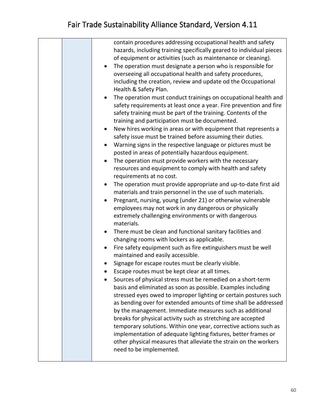|  | contain procedures addressing occupational health and safety<br>hazards, including training specifically geared to individual pieces<br>of equipment or activities (such as maintenance or cleaning).<br>The operation must designate a person who is responsible for<br>overseeing all occupational health and safety procedures,<br>including the creation, review and update od the Occupational<br>Health & Safety Plan.<br>The operation must conduct trainings on occupational health and<br>٠<br>safety requirements at least once a year. Fire prevention and fire<br>safety training must be part of the training. Contents of the<br>training and participation must be documented.<br>New hires working in areas or with equipment that represents a<br>safety issue must be trained before assuming their duties.<br>Warning signs in the respective language or pictures must be<br>posted in areas of potentially hazardous equipment.<br>The operation must provide workers with the necessary<br>resources and equipment to comply with health and safety<br>requirements at no cost.<br>The operation must provide appropriate and up-to-date first aid<br>$\bullet$<br>materials and train personnel in the use of such materials. |
|--|------------------------------------------------------------------------------------------------------------------------------------------------------------------------------------------------------------------------------------------------------------------------------------------------------------------------------------------------------------------------------------------------------------------------------------------------------------------------------------------------------------------------------------------------------------------------------------------------------------------------------------------------------------------------------------------------------------------------------------------------------------------------------------------------------------------------------------------------------------------------------------------------------------------------------------------------------------------------------------------------------------------------------------------------------------------------------------------------------------------------------------------------------------------------------------------------------------------------------------------------------|
|  | Pregnant, nursing, young (under 21) or otherwise vulnerable<br>$\bullet$<br>employees may not work in any dangerous or physically<br>extremely challenging environments or with dangerous<br>materials.<br>There must be clean and functional sanitary facilities and<br>changing rooms with lockers as applicable.<br>Fire safety equipment such as fire extinguishers must be well<br>$\bullet$<br>maintained and easily accessible.<br>Signage for escape routes must be clearly visible.<br>Escape routes must be kept clear at all times.<br>Sources of physical stress must be remedied on a short-term<br>basis and eliminated as soon as possible. Examples including<br>stressed eyes owed to improper lighting or certain postures such<br>as bending over for extended amounts of time shall be addressed<br>by the management. Immediate measures such as additional<br>breaks for physical activity such as stretching are accepted<br>temporary solutions. Within one year, corrective actions such as<br>implementation of adequate lighting fixtures, better frames or                                                                                                                                                               |
|  | other physical measures that alleviate the strain on the workers<br>need to be implemented.                                                                                                                                                                                                                                                                                                                                                                                                                                                                                                                                                                                                                                                                                                                                                                                                                                                                                                                                                                                                                                                                                                                                                          |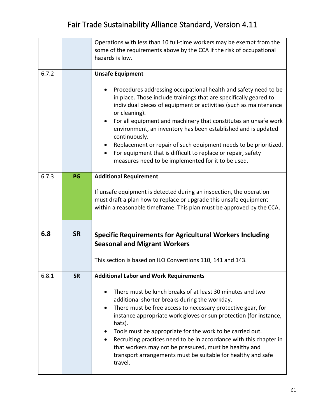|       |           | Operations with less than 10 full-time workers may be exempt from the                                                                                                                                                                                                                                                                                                                                                                                                                                                                                                     |
|-------|-----------|---------------------------------------------------------------------------------------------------------------------------------------------------------------------------------------------------------------------------------------------------------------------------------------------------------------------------------------------------------------------------------------------------------------------------------------------------------------------------------------------------------------------------------------------------------------------------|
|       |           | some of the requirements above by the CCA if the risk of occupational                                                                                                                                                                                                                                                                                                                                                                                                                                                                                                     |
|       |           | hazards is low.                                                                                                                                                                                                                                                                                                                                                                                                                                                                                                                                                           |
|       |           |                                                                                                                                                                                                                                                                                                                                                                                                                                                                                                                                                                           |
| 6.7.2 |           | <b>Unsafe Equipment</b>                                                                                                                                                                                                                                                                                                                                                                                                                                                                                                                                                   |
|       |           | Procedures addressing occupational health and safety need to be<br>in place. Those include trainings that are specifically geared to<br>individual pieces of equipment or activities (such as maintenance<br>or cleaning).<br>For all equipment and machinery that constitutes an unsafe work<br>environment, an inventory has been established and is updated<br>continuously.<br>Replacement or repair of such equipment needs to be prioritized.<br>For equipment that is difficult to replace or repair, safety<br>measures need to be implemented for it to be used. |
| 6.7.3 | PG        | <b>Additional Requirement</b>                                                                                                                                                                                                                                                                                                                                                                                                                                                                                                                                             |
|       |           |                                                                                                                                                                                                                                                                                                                                                                                                                                                                                                                                                                           |
|       |           | If unsafe equipment is detected during an inspection, the operation                                                                                                                                                                                                                                                                                                                                                                                                                                                                                                       |
|       |           | must draft a plan how to replace or upgrade this unsafe equipment                                                                                                                                                                                                                                                                                                                                                                                                                                                                                                         |
|       |           | within a reasonable timeframe. This plan must be approved by the CCA.                                                                                                                                                                                                                                                                                                                                                                                                                                                                                                     |
|       |           |                                                                                                                                                                                                                                                                                                                                                                                                                                                                                                                                                                           |
| 6.8   | <b>SR</b> | <b>Specific Requirements for Agricultural Workers Including</b><br><b>Seasonal and Migrant Workers</b>                                                                                                                                                                                                                                                                                                                                                                                                                                                                    |
|       |           |                                                                                                                                                                                                                                                                                                                                                                                                                                                                                                                                                                           |
|       |           |                                                                                                                                                                                                                                                                                                                                                                                                                                                                                                                                                                           |
|       |           | This section is based on ILO Conventions 110, 141 and 143.                                                                                                                                                                                                                                                                                                                                                                                                                                                                                                                |
| 6.8.1 | <b>SR</b> | <b>Additional Labor and Work Requirements</b>                                                                                                                                                                                                                                                                                                                                                                                                                                                                                                                             |
|       |           | There must be lunch breaks of at least 30 minutes and two<br>additional shorter breaks during the workday.<br>There must be free access to necessary protective gear, for<br>$\bullet$<br>instance appropriate work gloves or sun protection (for instance,<br>hats).<br>Tools must be appropriate for the work to be carried out.<br>$\bullet$<br>Recruiting practices need to be in accordance with this chapter in<br>$\bullet$<br>that workers may not be pressured, must be healthy and<br>transport arrangements must be suitable for healthy and safe<br>travel.   |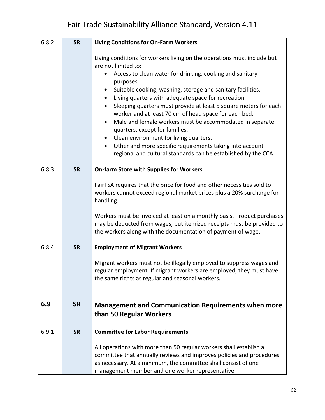| 6.8.2 | <b>SR</b> | <b>Living Conditions for On-Farm Workers</b>                                                                                                                                                                                                                                                                                                                                                                                                                                                                                                                                                                                                                                                                                                 |
|-------|-----------|----------------------------------------------------------------------------------------------------------------------------------------------------------------------------------------------------------------------------------------------------------------------------------------------------------------------------------------------------------------------------------------------------------------------------------------------------------------------------------------------------------------------------------------------------------------------------------------------------------------------------------------------------------------------------------------------------------------------------------------------|
|       |           | Living conditions for workers living on the operations must include but<br>are not limited to:<br>Access to clean water for drinking, cooking and sanitary<br>purposes.<br>Suitable cooking, washing, storage and sanitary facilities.<br>Living quarters with adequate space for recreation.<br>Sleeping quarters must provide at least 5 square meters for each<br>٠<br>worker and at least 70 cm of head space for each bed.<br>Male and female workers must be accommodated in separate<br>$\bullet$<br>quarters, except for families.<br>Clean environment for living quarters.<br>$\bullet$<br>Other and more specific requirements taking into account<br>$\bullet$<br>regional and cultural standards can be established by the CCA. |
| 6.8.3 | <b>SR</b> | <b>On-farm Store with Supplies for Workers</b>                                                                                                                                                                                                                                                                                                                                                                                                                                                                                                                                                                                                                                                                                               |
|       |           | FairTSA requires that the price for food and other necessities sold to<br>workers cannot exceed regional market prices plus a 20% surcharge for<br>handling.<br>Workers must be invoiced at least on a monthly basis. Product purchases<br>may be deducted from wages, but itemized receipts must be provided to<br>the workers along with the documentation of payment of wage.                                                                                                                                                                                                                                                                                                                                                             |
| 6.8.4 | <b>SR</b> | <b>Employment of Migrant Workers</b>                                                                                                                                                                                                                                                                                                                                                                                                                                                                                                                                                                                                                                                                                                         |
|       |           | Migrant workers must not be illegally employed to suppress wages and<br>regular employment. If migrant workers are employed, they must have<br>the same rights as regular and seasonal workers.                                                                                                                                                                                                                                                                                                                                                                                                                                                                                                                                              |
| 6.9   | <b>SR</b> | <b>Management and Communication Requirements when more</b><br>than 50 Regular Workers                                                                                                                                                                                                                                                                                                                                                                                                                                                                                                                                                                                                                                                        |
| 6.9.1 | <b>SR</b> | <b>Committee for Labor Requirements</b>                                                                                                                                                                                                                                                                                                                                                                                                                                                                                                                                                                                                                                                                                                      |
|       |           | All operations with more than 50 regular workers shall establish a<br>committee that annually reviews and improves policies and procedures<br>as necessary. At a minimum, the committee shall consist of one<br>management member and one worker representative.                                                                                                                                                                                                                                                                                                                                                                                                                                                                             |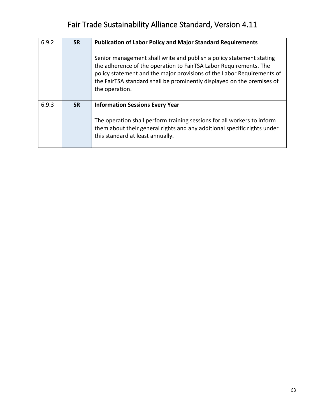| 6.9.2 | <b>SR</b> | <b>Publication of Labor Policy and Major Standard Requirements</b><br>Senior management shall write and publish a policy statement stating<br>the adherence of the operation to FairTSA Labor Requirements. The<br>policy statement and the major provisions of the Labor Requirements of<br>the FairTSA standard shall be prominently displayed on the premises of<br>the operation. |
|-------|-----------|---------------------------------------------------------------------------------------------------------------------------------------------------------------------------------------------------------------------------------------------------------------------------------------------------------------------------------------------------------------------------------------|
| 6.9.3 | <b>SR</b> | <b>Information Sessions Every Year</b><br>The operation shall perform training sessions for all workers to inform<br>them about their general rights and any additional specific rights under<br>this standard at least annually.                                                                                                                                                     |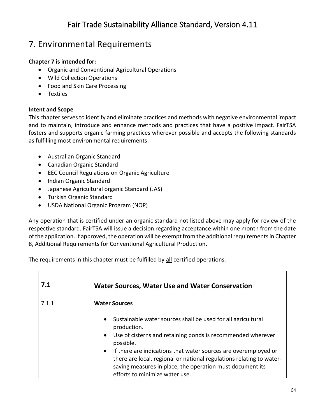#### 7. Environmental Requirements

#### **Chapter 7 is intended for:**

- Organic and Conventional Agricultural Operations
- Wild Collection Operations
- Food and Skin Care Processing
- Textiles

#### **Intent and Scope**

This chapter serves to identify and eliminate practices and methods with negative environmental impact and to maintain, introduce and enhance methods and practices that have a positive impact. FairTSA fosters and supports organic farming practices wherever possible and accepts the following standards as fulfilling most environmental requirements:

- Australian Organic Standard
- Canadian Organic Standard
- EEC Council Regulations on Organic Agriculture
- Indian Organic Standard
- Japanese Agricultural organic Standard (JAS)
- Turkish Organic Standard
- USDA National Organic Program (NOP)

Any operation that is certified under an organic standard not listed above may apply for review of the respective standard. FairTSA will issue a decision regarding acceptance within one month from the date of the application. If approved, the operation will be exempt from the additional requirements in Chapter 8, Additional Requirements for Conventional Agricultural Production.

The requirements in this chapter must be fulfilled by all certified operations.

| 7.1   | <b>Water Sources, Water Use and Water Conservation</b>                                                                                                                                                                                                                                                                                                                                                                      |
|-------|-----------------------------------------------------------------------------------------------------------------------------------------------------------------------------------------------------------------------------------------------------------------------------------------------------------------------------------------------------------------------------------------------------------------------------|
| 7.1.1 | <b>Water Sources</b>                                                                                                                                                                                                                                                                                                                                                                                                        |
|       | Sustainable water sources shall be used for all agricultural<br>production.<br>Use of cisterns and retaining ponds is recommended wherever<br>$\bullet$<br>possible.<br>If there are indications that water sources are overemployed or<br>$\bullet$<br>there are local, regional or national regulations relating to water-<br>saving measures in place, the operation must document its<br>efforts to minimize water use. |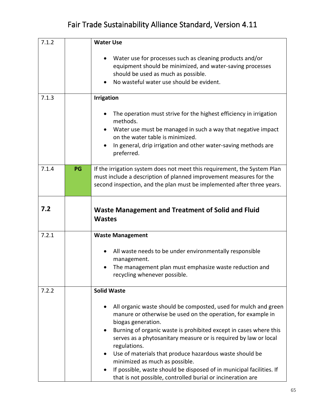| 7.1.2 |    | <b>Water Use</b>                                                                                                                                                                                                                                                                                                                                                                                                                                                                                                                                                |
|-------|----|-----------------------------------------------------------------------------------------------------------------------------------------------------------------------------------------------------------------------------------------------------------------------------------------------------------------------------------------------------------------------------------------------------------------------------------------------------------------------------------------------------------------------------------------------------------------|
|       |    | Water use for processes such as cleaning products and/or<br>equipment should be minimized, and water-saving processes<br>should be used as much as possible.<br>No wasteful water use should be evident.                                                                                                                                                                                                                                                                                                                                                        |
| 7.1.3 |    | <b>Irrigation</b>                                                                                                                                                                                                                                                                                                                                                                                                                                                                                                                                               |
|       |    | The operation must strive for the highest efficiency in irrigation<br>methods.<br>Water use must be managed in such a way that negative impact<br>on the water table is minimized.                                                                                                                                                                                                                                                                                                                                                                              |
|       |    | In general, drip irrigation and other water-saving methods are<br>preferred.                                                                                                                                                                                                                                                                                                                                                                                                                                                                                    |
| 7.1.4 | PG | If the irrigation system does not meet this requirement, the System Plan<br>must include a description of planned improvement measures for the<br>second inspection, and the plan must be implemented after three years.                                                                                                                                                                                                                                                                                                                                        |
| 7.2   |    | Waste Management and Treatment of Solid and Fluid<br><b>Wastes</b>                                                                                                                                                                                                                                                                                                                                                                                                                                                                                              |
| 7.2.1 |    | <b>Waste Management</b>                                                                                                                                                                                                                                                                                                                                                                                                                                                                                                                                         |
|       |    | All waste needs to be under environmentally responsible<br>management.<br>The management plan must emphasize waste reduction and<br>recycling whenever possible                                                                                                                                                                                                                                                                                                                                                                                                 |
| 7.2.2 |    | <b>Solid Waste</b>                                                                                                                                                                                                                                                                                                                                                                                                                                                                                                                                              |
|       |    | All organic waste should be composted, used for mulch and green<br>manure or otherwise be used on the operation, for example in<br>biogas generation.<br>Burning of organic waste is prohibited except in cases where this<br>$\bullet$<br>serves as a phytosanitary measure or is required by law or local<br>regulations.<br>Use of materials that produce hazardous waste should be<br>minimized as much as possible.<br>If possible, waste should be disposed of in municipal facilities. If<br>that is not possible, controlled burial or incineration are |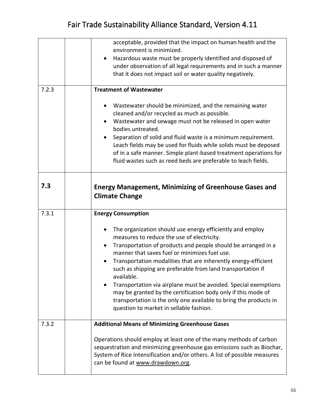|       | acceptable, provided that the impact on human health and the                                                                       |
|-------|------------------------------------------------------------------------------------------------------------------------------------|
|       | environment is minimized.                                                                                                          |
|       | Hazardous waste must be properly identified and disposed of<br>$\bullet$                                                           |
|       | under observation of all legal requirements and in such a manner                                                                   |
|       | that it does not impact soil or water quality negatively.                                                                          |
| 7.2.3 | <b>Treatment of Wastewater</b>                                                                                                     |
|       | Wastewater should be minimized, and the remaining water                                                                            |
|       | cleaned and/or recycled as much as possible.                                                                                       |
|       | Wastewater and sewage must not be released in open water<br>bodies untreated.                                                      |
|       | Separation of solid and fluid waste is a minimum requirement.                                                                      |
|       | Leach fields may be used for fluids while solids must be deposed                                                                   |
|       | of in a safe manner. Simple plant-based treatment operations for                                                                   |
|       | fluid wastes such as reed beds are preferable to leach fields.                                                                     |
|       |                                                                                                                                    |
| 7.3   |                                                                                                                                    |
|       | <b>Energy Management, Minimizing of Greenhouse Gases and</b>                                                                       |
|       | <b>Climate Change</b>                                                                                                              |
|       |                                                                                                                                    |
| 7.3.1 |                                                                                                                                    |
|       | <b>Energy Consumption</b>                                                                                                          |
|       | The organization should use energy efficiently and employ                                                                          |
|       | measures to reduce the use of electricity.                                                                                         |
|       | Transportation of products and people should be arranged in a<br>manner that saves fuel or minimizes fuel use.                     |
|       | Transportation modalities that are inherently energy-efficient                                                                     |
|       | such as shipping are preferable from land transportation if                                                                        |
|       | available.                                                                                                                         |
|       | Transportation via airplane must be avoided. Special exemptions                                                                    |
|       | may be granted by the certification body only if this mode of<br>transportation is the only one available to bring the products in |
|       | question to market in sellable fashion.                                                                                            |
|       |                                                                                                                                    |
| 7.3.2 | <b>Additional Means of Minimizing Greenhouse Gases</b>                                                                             |
|       | Operations should employ at least one of the many methods of carbon                                                                |
|       | sequestration and minimizing greenhouse gas emissions such as Biochar,                                                             |
|       | System of Rice Intensification and/or others. A list of possible measures                                                          |
|       | can be found at www.drawdown.org.                                                                                                  |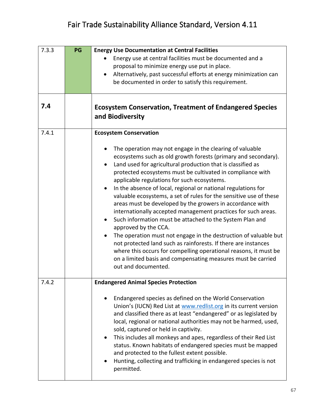| 7.3.3 | PG | <b>Energy Use Documentation at Central Facilities</b>                                                                                                                                                                                                                                                                                                                                                                                                                                                                                                                                                                                                                                                                                                                                                                                                                                                                                                                                                   |
|-------|----|---------------------------------------------------------------------------------------------------------------------------------------------------------------------------------------------------------------------------------------------------------------------------------------------------------------------------------------------------------------------------------------------------------------------------------------------------------------------------------------------------------------------------------------------------------------------------------------------------------------------------------------------------------------------------------------------------------------------------------------------------------------------------------------------------------------------------------------------------------------------------------------------------------------------------------------------------------------------------------------------------------|
|       |    | Energy use at central facilities must be documented and a                                                                                                                                                                                                                                                                                                                                                                                                                                                                                                                                                                                                                                                                                                                                                                                                                                                                                                                                               |
|       |    | proposal to minimize energy use put in place.                                                                                                                                                                                                                                                                                                                                                                                                                                                                                                                                                                                                                                                                                                                                                                                                                                                                                                                                                           |
|       |    | Alternatively, past successful efforts at energy minimization can                                                                                                                                                                                                                                                                                                                                                                                                                                                                                                                                                                                                                                                                                                                                                                                                                                                                                                                                       |
|       |    | be documented in order to satisfy this requirement.                                                                                                                                                                                                                                                                                                                                                                                                                                                                                                                                                                                                                                                                                                                                                                                                                                                                                                                                                     |
|       |    |                                                                                                                                                                                                                                                                                                                                                                                                                                                                                                                                                                                                                                                                                                                                                                                                                                                                                                                                                                                                         |
|       |    |                                                                                                                                                                                                                                                                                                                                                                                                                                                                                                                                                                                                                                                                                                                                                                                                                                                                                                                                                                                                         |
| 7.4   |    | <b>Ecosystem Conservation, Treatment of Endangered Species</b><br>and Biodiversity                                                                                                                                                                                                                                                                                                                                                                                                                                                                                                                                                                                                                                                                                                                                                                                                                                                                                                                      |
| 7.4.1 |    | <b>Ecosystem Conservation</b>                                                                                                                                                                                                                                                                                                                                                                                                                                                                                                                                                                                                                                                                                                                                                                                                                                                                                                                                                                           |
|       |    | The operation may not engage in the clearing of valuable<br>ecosystems such as old growth forests (primary and secondary).<br>Land used for agricultural production that is classified as<br>protected ecosystems must be cultivated in compliance with<br>applicable regulations for such ecosystems.<br>In the absence of local, regional or national regulations for<br>$\bullet$<br>valuable ecosystems, a set of rules for the sensitive use of these<br>areas must be developed by the growers in accordance with<br>internationally accepted management practices for such areas.<br>Such information must be attached to the System Plan and<br>$\bullet$<br>approved by the CCA.<br>The operation must not engage in the destruction of valuable but<br>$\bullet$<br>not protected land such as rainforests. If there are instances<br>where this occurs for compelling operational reasons, it must be<br>on a limited basis and compensating measures must be carried<br>out and documented. |
| 7.4.2 |    |                                                                                                                                                                                                                                                                                                                                                                                                                                                                                                                                                                                                                                                                                                                                                                                                                                                                                                                                                                                                         |
|       |    | <b>Endangered Animal Species Protection</b>                                                                                                                                                                                                                                                                                                                                                                                                                                                                                                                                                                                                                                                                                                                                                                                                                                                                                                                                                             |
|       |    | Endangered species as defined on the World Conservation<br>Union's (IUCN) Red List at www.redlist.org in its current version<br>and classified there as at least "endangered" or as legislated by<br>local, regional or national authorities may not be harmed, used,<br>sold, captured or held in captivity.<br>This includes all monkeys and apes, regardless of their Red List<br>status. Known habitats of endangered species must be mapped<br>and protected to the fullest extent possible.<br>Hunting, collecting and trafficking in endangered species is not<br>permitted.                                                                                                                                                                                                                                                                                                                                                                                                                     |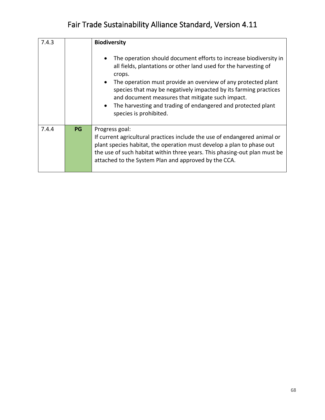| 7.4.3 |           | <b>Biodiversity</b>                                                                                                                                                                                                                                                                                                                                                                                                                                          |
|-------|-----------|--------------------------------------------------------------------------------------------------------------------------------------------------------------------------------------------------------------------------------------------------------------------------------------------------------------------------------------------------------------------------------------------------------------------------------------------------------------|
|       |           | The operation should document efforts to increase biodiversity in<br>all fields, plantations or other land used for the harvesting of<br>crops.<br>The operation must provide an overview of any protected plant<br>$\bullet$<br>species that may be negatively impacted by its farming practices<br>and document measures that mitigate such impact.<br>The harvesting and trading of endangered and protected plant<br>$\bullet$<br>species is prohibited. |
| 7.4.4 | <b>PG</b> | Progress goal:<br>If current agricultural practices include the use of endangered animal or<br>plant species habitat, the operation must develop a plan to phase out<br>the use of such habitat within three years. This phasing-out plan must be<br>attached to the System Plan and approved by the CCA.                                                                                                                                                    |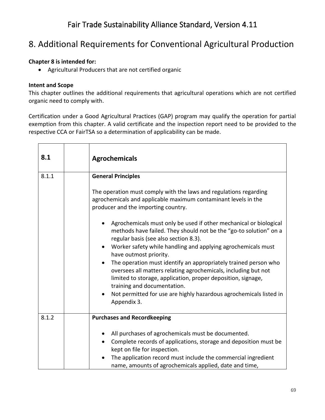#### 8. Additional Requirements for Conventional Agricultural Production

#### **Chapter 8 is intended for:**

• Agricultural Producers that are not certified organic

#### **Intent and Scope**

This chapter outlines the additional requirements that agricultural operations which are not certified organic need to comply with.

Certification under a Good Agricultural Practices (GAP) program may qualify the operation for partial exemption from this chapter. A valid certificate and the inspection report need to be provided to the respective CCA or FairTSA so a determination of applicability can be made.

| 8.1   | <b>Agrochemicals</b>                                                                                                                                                                                                                              |
|-------|---------------------------------------------------------------------------------------------------------------------------------------------------------------------------------------------------------------------------------------------------|
| 8.1.1 | <b>General Principles</b>                                                                                                                                                                                                                         |
|       | The operation must comply with the laws and regulations regarding<br>agrochemicals and applicable maximum contaminant levels in the<br>producer and the importing country.                                                                        |
|       | Agrochemicals must only be used if other mechanical or biological<br>methods have failed. They should not be the "go-to solution" on a<br>regular basis (see also section 8.3).                                                                   |
|       | Worker safety while handling and applying agrochemicals must<br>$\bullet$<br>have outmost priority.                                                                                                                                               |
|       | The operation must identify an appropriately trained person who<br>$\bullet$<br>oversees all matters relating agrochemicals, including but not<br>limited to storage, application, proper deposition, signage,<br>training and documentation.     |
|       | Not permitted for use are highly hazardous agrochemicals listed in<br>Appendix 3.                                                                                                                                                                 |
| 8.1.2 | <b>Purchases and Recordkeeping</b>                                                                                                                                                                                                                |
|       | All purchases of agrochemicals must be documented.<br>$\bullet$<br>Complete records of applications, storage and deposition must be<br>$\bullet$<br>kept on file for inspection.<br>The application record must include the commercial ingredient |
|       | name, amounts of agrochemicals applied, date and time,                                                                                                                                                                                            |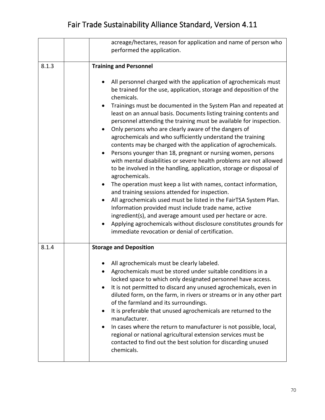|       | acreage/hectares, reason for application and name of person who<br>performed the application.                                                                                                                                                                                                                                                                                                                                                                                                                                                                                                                                                                                                                                                                                                                                                                                                                                                                                                                                                                                                                                                                                                                                                                                          |
|-------|----------------------------------------------------------------------------------------------------------------------------------------------------------------------------------------------------------------------------------------------------------------------------------------------------------------------------------------------------------------------------------------------------------------------------------------------------------------------------------------------------------------------------------------------------------------------------------------------------------------------------------------------------------------------------------------------------------------------------------------------------------------------------------------------------------------------------------------------------------------------------------------------------------------------------------------------------------------------------------------------------------------------------------------------------------------------------------------------------------------------------------------------------------------------------------------------------------------------------------------------------------------------------------------|
| 8.1.3 | <b>Training and Personnel</b>                                                                                                                                                                                                                                                                                                                                                                                                                                                                                                                                                                                                                                                                                                                                                                                                                                                                                                                                                                                                                                                                                                                                                                                                                                                          |
|       | All personnel charged with the application of agrochemicals must<br>be trained for the use, application, storage and deposition of the<br>chemicals.<br>Trainings must be documented in the System Plan and repeated at<br>$\bullet$<br>least on an annual basis. Documents listing training contents and<br>personnel attending the training must be available for inspection.<br>Only persons who are clearly aware of the dangers of<br>$\bullet$<br>agrochemicals and who sufficiently understand the training<br>contents may be charged with the application of agrochemicals.<br>Persons younger than 18, pregnant or nursing women, persons<br>with mental disabilities or severe health problems are not allowed<br>to be involved in the handling, application, storage or disposal of<br>agrochemicals.<br>The operation must keep a list with names, contact information,<br>$\bullet$<br>and training sessions attended for inspection.<br>All agrochemicals used must be listed in the FairTSA System Plan.<br>$\bullet$<br>Information provided must include trade name, active<br>ingredient(s), and average amount used per hectare or acre.<br>Applying agrochemicals without disclosure constitutes grounds for<br>immediate revocation or denial of certification. |
| 8.1.4 | <b>Storage and Deposition</b>                                                                                                                                                                                                                                                                                                                                                                                                                                                                                                                                                                                                                                                                                                                                                                                                                                                                                                                                                                                                                                                                                                                                                                                                                                                          |
|       | All agrochemicals must be clearly labeled.<br>Agrochemicals must be stored under suitable conditions in a<br>locked space to which only designated personnel have access.<br>It is not permitted to discard any unused agrochemicals, even in<br>diluted form, on the farm, in rivers or streams or in any other part<br>of the farmland and its surroundings.<br>It is preferable that unused agrochemicals are returned to the<br>$\bullet$<br>manufacturer.<br>In cases where the return to manufacturer is not possible, local,<br>regional or national agricultural extension services must be<br>contacted to find out the best solution for discarding unused<br>chemicals.                                                                                                                                                                                                                                                                                                                                                                                                                                                                                                                                                                                                     |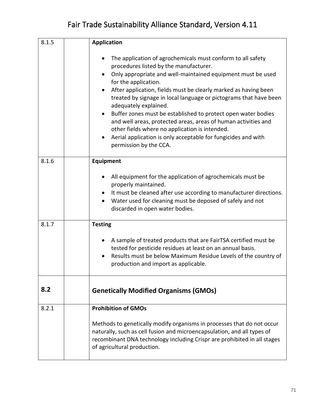| 8.1.5 | <b>Application</b>                                                                                                                                                                                                                                                                                                                                                                                                                                                                                                                                                                                                                                         |
|-------|------------------------------------------------------------------------------------------------------------------------------------------------------------------------------------------------------------------------------------------------------------------------------------------------------------------------------------------------------------------------------------------------------------------------------------------------------------------------------------------------------------------------------------------------------------------------------------------------------------------------------------------------------------|
|       | The application of agrochemicals must conform to all safety<br>procedures listed by the manufacturer.<br>Only appropriate and well-maintained equipment must be used<br>$\bullet$<br>for the application.<br>After application, fields must be clearly marked as having been<br>treated by signage in local language or pictograms that have been<br>adequately explained.<br>Buffer zones must be established to protect open water bodies<br>and well areas, protected areas, areas of human activities and<br>other fields where no application is intended.<br>Aerial application is only acceptable for fungicides and with<br>permission by the CCA. |
| 8.1.6 | <b>Equipment</b>                                                                                                                                                                                                                                                                                                                                                                                                                                                                                                                                                                                                                                           |
|       | All equipment for the application of agrochemicals must be<br>٠<br>properly maintained.<br>It must be cleaned after use according to manufacturer directions.<br>$\bullet$<br>Water used for cleaning must be deposed of safely and not<br>$\bullet$<br>discarded in open water bodies.                                                                                                                                                                                                                                                                                                                                                                    |
| 8.1.7 | <b>Testing</b>                                                                                                                                                                                                                                                                                                                                                                                                                                                                                                                                                                                                                                             |
|       | A sample of treated products that are FairTSA certified must be<br>tested for pesticide residues at least on an annual basis.<br>Results must be below Maximum Residue Levels of the country of<br>production and import as applicable.                                                                                                                                                                                                                                                                                                                                                                                                                    |
| 8.2   | <b>Genetically Modified Organisms (GMOs)</b>                                                                                                                                                                                                                                                                                                                                                                                                                                                                                                                                                                                                               |
| 8.2.1 | <b>Prohibition of GMOs</b>                                                                                                                                                                                                                                                                                                                                                                                                                                                                                                                                                                                                                                 |
|       | Methods to genetically modify organisms in processes that do not occur<br>naturally, such as cell fusion and microencapsulation, and all types of<br>recombinant DNA technology including Crispr are prohibited in all stages<br>of agricultural production.                                                                                                                                                                                                                                                                                                                                                                                               |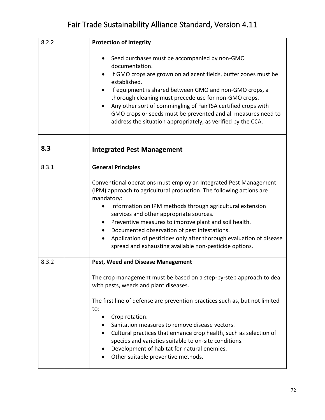| 8.2.2 | <b>Protection of Integrity</b>                                                                                                                                                                                                                                                                                                                                                                                                                                                                                                                      |
|-------|-----------------------------------------------------------------------------------------------------------------------------------------------------------------------------------------------------------------------------------------------------------------------------------------------------------------------------------------------------------------------------------------------------------------------------------------------------------------------------------------------------------------------------------------------------|
|       | Seed purchases must be accompanied by non-GMO<br>documentation.<br>If GMO crops are grown on adjacent fields, buffer zones must be<br>$\bullet$<br>established.<br>If equipment is shared between GMO and non-GMO crops, a<br>thorough cleaning must precede use for non-GMO crops.<br>Any other sort of commingling of FairTSA certified crops with<br>GMO crops or seeds must be prevented and all measures need to<br>address the situation appropriately, as verified by the CCA.                                                               |
| 8.3   | <b>Integrated Pest Management</b>                                                                                                                                                                                                                                                                                                                                                                                                                                                                                                                   |
| 8.3.1 | <b>General Principles</b><br>Conventional operations must employ an Integrated Pest Management<br>(IPM) approach to agricultural production. The following actions are<br>mandatory:<br>Information on IPM methods through agricultural extension<br>services and other appropriate sources.<br>Preventive measures to improve plant and soil health.<br>Documented observation of pest infestations.<br>Application of pesticides only after thorough evaluation of disease<br>spread and exhausting available non-pesticide options.              |
| 8.3.2 | <b>Pest, Weed and Disease Management</b><br>The crop management must be based on a step-by-step approach to deal<br>with pests, weeds and plant diseases.<br>The first line of defense are prevention practices such as, but not limited<br>to:<br>Crop rotation.<br>Sanitation measures to remove disease vectors.<br>Cultural practices that enhance crop health, such as selection of<br>$\bullet$<br>species and varieties suitable to on-site conditions.<br>Development of habitat for natural enemies.<br>Other suitable preventive methods. |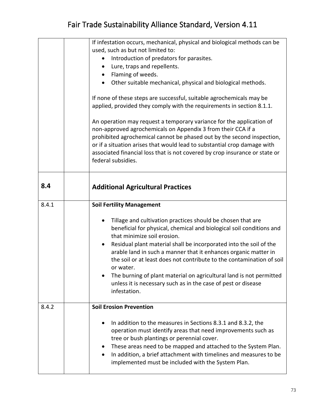|       | If infestation occurs, mechanical, physical and biological methods can be<br>used, such as but not limited to:<br>Introduction of predators for parasites.<br>Lure, traps and repellents.<br>$\bullet$<br>Flaming of weeds.<br>$\bullet$<br>Other suitable mechanical, physical and biological methods.<br>If none of these steps are successful, suitable agrochemicals may be<br>applied, provided they comply with the requirements in section 8.1.1.<br>An operation may request a temporary variance for the application of<br>non-approved agrochemicals on Appendix 3 from their CCA if a<br>prohibited agrochemical cannot be phased out by the second inspection,<br>or if a situation arises that would lead to substantial crop damage with<br>associated financial loss that is not covered by crop insurance or state or<br>federal subsidies. |
|-------|-------------------------------------------------------------------------------------------------------------------------------------------------------------------------------------------------------------------------------------------------------------------------------------------------------------------------------------------------------------------------------------------------------------------------------------------------------------------------------------------------------------------------------------------------------------------------------------------------------------------------------------------------------------------------------------------------------------------------------------------------------------------------------------------------------------------------------------------------------------|
| 8.4   | <b>Additional Agricultural Practices</b>                                                                                                                                                                                                                                                                                                                                                                                                                                                                                                                                                                                                                                                                                                                                                                                                                    |
| 8.4.1 | <b>Soil Fertility Management</b><br>Tillage and cultivation practices should be chosen that are<br>beneficial for physical, chemical and biological soil conditions and<br>that minimize soil erosion.<br>Residual plant material shall be incorporated into the soil of the<br>arable land in such a manner that it enhances organic matter in<br>the soil or at least does not contribute to the contamination of soil<br>or water.<br>The burning of plant material on agricultural land is not permitted<br>unless it is necessary such as in the case of pest or disease<br>infestation.                                                                                                                                                                                                                                                               |
| 8.4.2 | <b>Soil Erosion Prevention</b><br>In addition to the measures in Sections 8.3.1 and 8.3.2, the<br>operation must identify areas that need improvements such as<br>tree or bush plantings or perennial cover.<br>These areas need to be mapped and attached to the System Plan.<br>In addition, a brief attachment with timelines and measures to be<br>$\bullet$<br>implemented must be included with the System Plan.                                                                                                                                                                                                                                                                                                                                                                                                                                      |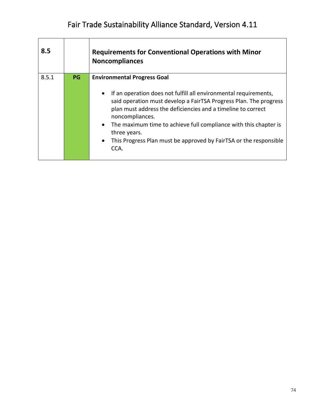| 8.5   |           | <b>Requirements for Conventional Operations with Minor</b><br><b>Noncompliances</b>                                                                                                                                                                                                                                                                                                                                                                                    |
|-------|-----------|------------------------------------------------------------------------------------------------------------------------------------------------------------------------------------------------------------------------------------------------------------------------------------------------------------------------------------------------------------------------------------------------------------------------------------------------------------------------|
| 8.5.1 | <b>PG</b> | <b>Environmental Progress Goal</b><br>If an operation does not fulfill all environmental requirements,<br>$\bullet$<br>said operation must develop a FairTSA Progress Plan. The progress<br>plan must address the deficiencies and a timeline to correct<br>noncompliances.<br>The maximum time to achieve full compliance with this chapter is<br>$\bullet$<br>three years.<br>This Progress Plan must be approved by FairTSA or the responsible<br>$\bullet$<br>CCA. |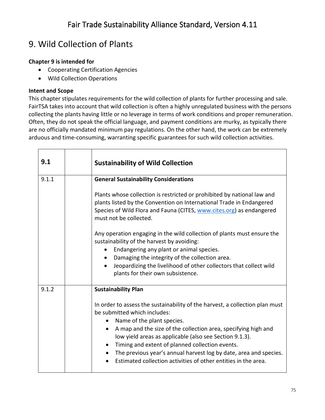### 9. Wild Collection of Plants

#### **Chapter 9 is intended for**

- Cooperating Certification Agencies
- Wild Collection Operations

#### **Intent and Scope**

This chapter stipulates requirements for the wild collection of plants for further processing and sale. FairTSA takes into account that wild collection is often a highly unregulated business with the persons collecting the plants having little or no leverage in terms of work conditions and proper remuneration. Often, they do not speak the official language, and payment conditions are murky, as typically there are no officially mandated minimum pay regulations. On the other hand, the work can be extremely arduous and time-consuming, warranting specific guarantees for such wild collection activities.

| 9.1   | <b>Sustainability of Wild Collection</b>                                                                                                                                                                                                                                                                                                                                                                                                                                                                                               |
|-------|----------------------------------------------------------------------------------------------------------------------------------------------------------------------------------------------------------------------------------------------------------------------------------------------------------------------------------------------------------------------------------------------------------------------------------------------------------------------------------------------------------------------------------------|
| 9.1.1 | <b>General Sustainability Considerations</b><br>Plants whose collection is restricted or prohibited by national law and<br>plants listed by the Convention on International Trade in Endangered<br>Species of Wild Flora and Fauna (CITES, www.cites.org) as endangered<br>must not be collected.<br>Any operation engaging in the wild collection of plants must ensure the<br>sustainability of the harvest by avoiding:                                                                                                             |
|       | Endangering any plant or animal species.<br>$\bullet$<br>Damaging the integrity of the collection area.<br>$\bullet$<br>Jeopardizing the livelihood of other collectors that collect wild<br>plants for their own subsistence.                                                                                                                                                                                                                                                                                                         |
| 9.1.2 | <b>Sustainability Plan</b><br>In order to assess the sustainability of the harvest, a collection plan must<br>be submitted which includes:<br>Name of the plant species.<br>A map and the size of the collection area, specifying high and<br>$\bullet$<br>low yield areas as applicable (also see Section 9.1.3).<br>Timing and extent of planned collection events.<br>$\bullet$<br>The previous year's annual harvest log by date, area and species.<br>Estimated collection activities of other entities in the area.<br>$\bullet$ |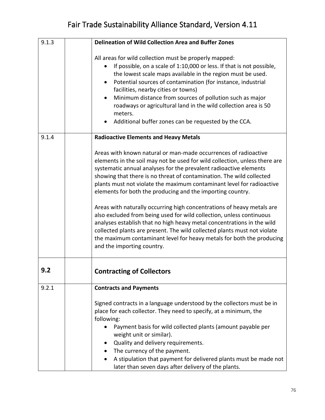| 9.1.3 | <b>Delineation of Wild Collection Area and Buffer Zones</b>                                                                                                                                                                                                                                                                                                                                                                                                                                                                                                                                                                                                                                                                                                                                                                                      |
|-------|--------------------------------------------------------------------------------------------------------------------------------------------------------------------------------------------------------------------------------------------------------------------------------------------------------------------------------------------------------------------------------------------------------------------------------------------------------------------------------------------------------------------------------------------------------------------------------------------------------------------------------------------------------------------------------------------------------------------------------------------------------------------------------------------------------------------------------------------------|
|       | All areas for wild collection must be properly mapped:<br>If possible, on a scale of 1:10,000 or less. If that is not possible,<br>the lowest scale maps available in the region must be used.<br>Potential sources of contamination (for instance, industrial<br>$\bullet$<br>facilities, nearby cities or towns)<br>Minimum distance from sources of pollution such as major<br>٠<br>roadways or agricultural land in the wild collection area is 50<br>meters.<br>Additional buffer zones can be requested by the CCA.<br>٠                                                                                                                                                                                                                                                                                                                   |
| 9.1.4 | <b>Radioactive Elements and Heavy Metals</b>                                                                                                                                                                                                                                                                                                                                                                                                                                                                                                                                                                                                                                                                                                                                                                                                     |
|       | Areas with known natural or man-made occurrences of radioactive<br>elements in the soil may not be used for wild collection, unless there are<br>systematic annual analyses for the prevalent radioactive elements<br>showing that there is no threat of contamination. The wild collected<br>plants must not violate the maximum contaminant level for radioactive<br>elements for both the producing and the importing country.<br>Areas with naturally occurring high concentrations of heavy metals are<br>also excluded from being used for wild collection, unless continuous<br>analyses establish that no high heavy metal concentrations in the wild<br>collected plants are present. The wild collected plants must not violate<br>the maximum contaminant level for heavy metals for both the producing<br>and the importing country. |
|       |                                                                                                                                                                                                                                                                                                                                                                                                                                                                                                                                                                                                                                                                                                                                                                                                                                                  |
| 9.2   | <b>Contracting of Collectors</b>                                                                                                                                                                                                                                                                                                                                                                                                                                                                                                                                                                                                                                                                                                                                                                                                                 |
| 9.2.1 | <b>Contracts and Payments</b>                                                                                                                                                                                                                                                                                                                                                                                                                                                                                                                                                                                                                                                                                                                                                                                                                    |
|       | Signed contracts in a language understood by the collectors must be in<br>place for each collector. They need to specify, at a minimum, the<br>following:<br>Payment basis for wild collected plants (amount payable per<br>$\bullet$<br>weight unit or similar).<br>Quality and delivery requirements.<br>The currency of the payment.<br>A stipulation that payment for delivered plants must be made not<br>later than seven days after delivery of the plants.                                                                                                                                                                                                                                                                                                                                                                               |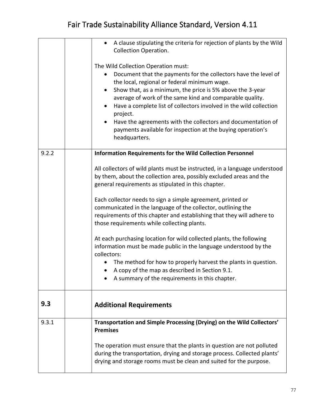|       | A clause stipulating the criteria for rejection of plants by the Wild<br>$\bullet$<br><b>Collection Operation.</b>                                                                                                                                                                                                                                                                                                                                                                                                               |
|-------|----------------------------------------------------------------------------------------------------------------------------------------------------------------------------------------------------------------------------------------------------------------------------------------------------------------------------------------------------------------------------------------------------------------------------------------------------------------------------------------------------------------------------------|
|       | The Wild Collection Operation must:<br>Document that the payments for the collectors have the level of<br>the local, regional or federal minimum wage.<br>Show that, as a minimum, the price is 5% above the 3-year<br>٠<br>average of work of the same kind and comparable quality.<br>Have a complete list of collectors involved in the wild collection<br>٠<br>project.<br>Have the agreements with the collectors and documentation of<br>٠<br>payments available for inspection at the buying operation's<br>headquarters. |
| 9.2.2 | <b>Information Requirements for the Wild Collection Personnel</b>                                                                                                                                                                                                                                                                                                                                                                                                                                                                |
|       | All collectors of wild plants must be instructed, in a language understood<br>by them, about the collection area, possibly excluded areas and the<br>general requirements as stipulated in this chapter.                                                                                                                                                                                                                                                                                                                         |
|       | Each collector needs to sign a simple agreement, printed or<br>communicated in the language of the collector, outlining the<br>requirements of this chapter and establishing that they will adhere to<br>those requirements while collecting plants.                                                                                                                                                                                                                                                                             |
|       | At each purchasing location for wild collected plants, the following<br>information must be made public in the language understood by the<br>collectors:                                                                                                                                                                                                                                                                                                                                                                         |
|       | The method for how to properly harvest the plants in question.                                                                                                                                                                                                                                                                                                                                                                                                                                                                   |
|       | A copy of the map as described in Section 9.1.<br>A summary of the requirements in this chapter.                                                                                                                                                                                                                                                                                                                                                                                                                                 |
| 9.3   | <b>Additional Requirements</b>                                                                                                                                                                                                                                                                                                                                                                                                                                                                                                   |
| 9.3.1 | Transportation and Simple Processing (Drying) on the Wild Collectors'<br><b>Premises</b>                                                                                                                                                                                                                                                                                                                                                                                                                                         |
|       | The operation must ensure that the plants in question are not polluted<br>during the transportation, drying and storage process. Collected plants'<br>drying and storage rooms must be clean and suited for the purpose.                                                                                                                                                                                                                                                                                                         |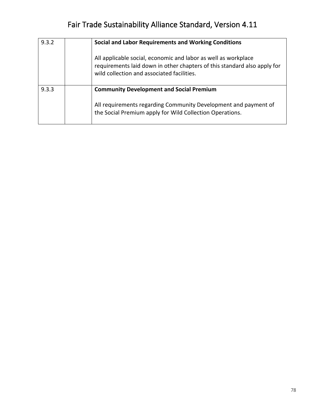| 9.3.2 | Social and Labor Requirements and Working Conditions                                                                                                                                     |
|-------|------------------------------------------------------------------------------------------------------------------------------------------------------------------------------------------|
|       | All applicable social, economic and labor as well as workplace<br>requirements laid down in other chapters of this standard also apply for<br>wild collection and associated facilities. |
| 9.3.3 | <b>Community Development and Social Premium</b><br>All requirements regarding Community Development and payment of<br>the Social Premium apply for Wild Collection Operations.           |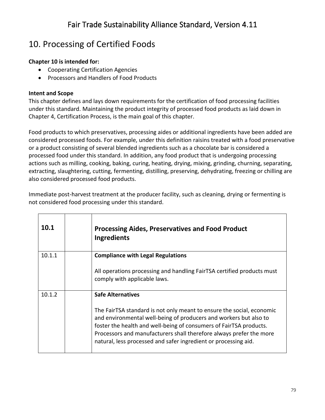## 10. Processing of Certified Foods

#### **Chapter 10 is intended for:**

- Cooperating Certification Agencies
- Processors and Handlers of Food Products

#### **Intent and Scope**

This chapter defines and lays down requirements for the certification of food processing facilities under this standard. Maintaining the product integrity of processed food products as laid down in Chapter 4, Certification Process, is the main goal of this chapter.

Food products to which preservatives, processing aides or additional ingredients have been added are considered processed foods. For example, under this definition raisins treated with a food preservative or a product consisting of several blended ingredients such as a chocolate bar is considered a processed food under this standard. In addition, any food product that is undergoing processing actions such as milling, [cooking, baking, curing, heating, drying, mixing, grinding, churning, separating,](https://www.google.com/search?rlz=1C1CHBF_enUS788US788&q=cooking,+baking,+curing,+heating,+drying,+mixing,+grinding,+churning,+separating,+extracting,+slaughtering,+cutting,+fermenting,+distilling,+preserving,+dehydrating,+freezing,+chilling+or+otherwise+manufacturing&spell=1&sa=X&ved=0ahUKEwjn1sevlfbjAhWq2FkKHSyiAx8QBQgtKAA)  [extracting, slaughtering, cutting, fermenting, distilling, preserving, dehydrating, freezing or chilling are](https://www.google.com/search?rlz=1C1CHBF_enUS788US788&q=cooking,+baking,+curing,+heating,+drying,+mixing,+grinding,+churning,+separating,+extracting,+slaughtering,+cutting,+fermenting,+distilling,+preserving,+dehydrating,+freezing,+chilling+or+otherwise+manufacturing&spell=1&sa=X&ved=0ahUKEwjn1sevlfbjAhWq2FkKHSyiAx8QBQgtKAA)  [also c](https://www.google.com/search?rlz=1C1CHBF_enUS788US788&q=cooking,+baking,+curing,+heating,+drying,+mixing,+grinding,+churning,+separating,+extracting,+slaughtering,+cutting,+fermenting,+distilling,+preserving,+dehydrating,+freezing,+chilling+or+otherwise+manufacturing&spell=1&sa=X&ved=0ahUKEwjn1sevlfbjAhWq2FkKHSyiAx8QBQgtKAA)onsidered processed food products.

Immediate post-harvest treatment at the producer facility, such as cleaning, drying or fermenting is not considered food processing under this standard.

| 10.1   | <b>Processing Aides, Preservatives and Food Product</b><br>Ingredients                                                                                                                                                                                                                                                                                     |
|--------|------------------------------------------------------------------------------------------------------------------------------------------------------------------------------------------------------------------------------------------------------------------------------------------------------------------------------------------------------------|
| 10.1.1 | <b>Compliance with Legal Regulations</b>                                                                                                                                                                                                                                                                                                                   |
|        | All operations processing and handling FairTSA certified products must<br>comply with applicable laws.                                                                                                                                                                                                                                                     |
| 10.1.2 | <b>Safe Alternatives</b>                                                                                                                                                                                                                                                                                                                                   |
|        | The FairTSA standard is not only meant to ensure the social, economic<br>and environmental well-being of producers and workers but also to<br>foster the health and well-being of consumers of FairTSA products.<br>Processors and manufacturers shall therefore always prefer the more<br>natural, less processed and safer ingredient or processing aid. |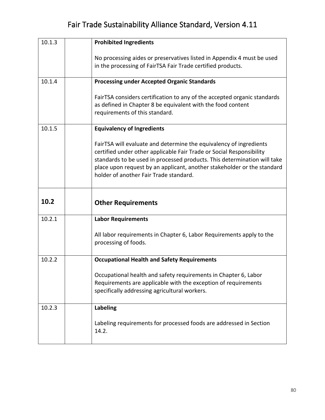| 10.1.3 | <b>Prohibited Ingredients</b>                                                                                                                                                                                                                                                                                                               |
|--------|---------------------------------------------------------------------------------------------------------------------------------------------------------------------------------------------------------------------------------------------------------------------------------------------------------------------------------------------|
|        | No processing aides or preservatives listed in Appendix 4 must be used<br>in the processing of FairTSA Fair Trade certified products.                                                                                                                                                                                                       |
| 10.1.4 | <b>Processing under Accepted Organic Standards</b>                                                                                                                                                                                                                                                                                          |
|        | FairTSA considers certification to any of the accepted organic standards<br>as defined in Chapter 8 be equivalent with the food content<br>requirements of this standard.                                                                                                                                                                   |
| 10.1.5 | <b>Equivalency of Ingredients</b>                                                                                                                                                                                                                                                                                                           |
|        | FairTSA will evaluate and determine the equivalency of ingredients<br>certified under other applicable Fair Trade or Social Responsibility<br>standards to be used in processed products. This determination will take<br>place upon request by an applicant, another stakeholder or the standard<br>holder of another Fair Trade standard. |
| 10.2   |                                                                                                                                                                                                                                                                                                                                             |
|        | <b>Other Requirements</b>                                                                                                                                                                                                                                                                                                                   |
| 10.2.1 | <b>Labor Requirements</b>                                                                                                                                                                                                                                                                                                                   |
|        | All labor requirements in Chapter 6, Labor Requirements apply to the<br>processing of foods.                                                                                                                                                                                                                                                |
| 10.2.2 | <b>Occupational Health and Safety Requirements</b>                                                                                                                                                                                                                                                                                          |
|        | Occupational health and safety requirements in Chapter 6, Labor<br>Requirements are applicable with the exception of requirements<br>specifically addressing agricultural workers.                                                                                                                                                          |
| 10.2.3 | <b>Labeling</b>                                                                                                                                                                                                                                                                                                                             |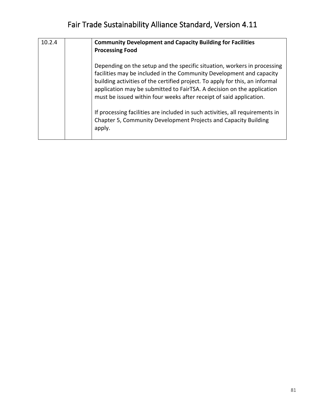| 10.2.4 | <b>Community Development and Capacity Building for Facilities</b><br><b>Processing Food</b>                                                                                                                                                                                                                                                                                       |
|--------|-----------------------------------------------------------------------------------------------------------------------------------------------------------------------------------------------------------------------------------------------------------------------------------------------------------------------------------------------------------------------------------|
|        | Depending on the setup and the specific situation, workers in processing<br>facilities may be included in the Community Development and capacity<br>building activities of the certified project. To apply for this, an informal<br>application may be submitted to FairTSA. A decision on the application<br>must be issued within four weeks after receipt of said application. |
|        | If processing facilities are included in such activities, all requirements in<br>Chapter 5, Community Development Projects and Capacity Building<br>apply.                                                                                                                                                                                                                        |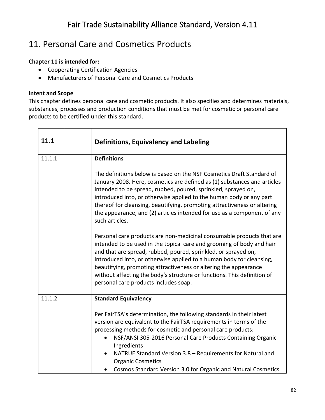### 11. Personal Care and Cosmetics Products

#### **Chapter 11 is intended for:**

- Cooperating Certification Agencies
- Manufacturers of Personal Care and Cosmetics Products

#### **Intent and Scope**

This chapter defines personal care and cosmetic products. It also specifies and determines materials, substances, processes and production conditions that must be met for cosmetic or personal care products to be certified under this standard.

| 11.1   | <b>Definitions, Equivalency and Labeling</b>                                                                                                                                                                                                                                                                                                                                                                                                                                     |
|--------|----------------------------------------------------------------------------------------------------------------------------------------------------------------------------------------------------------------------------------------------------------------------------------------------------------------------------------------------------------------------------------------------------------------------------------------------------------------------------------|
| 11.1.1 | <b>Definitions</b>                                                                                                                                                                                                                                                                                                                                                                                                                                                               |
|        | The definitions below is based on the NSF Cosmetics Draft Standard of<br>January 2008. Here, cosmetics are defined as (1) substances and articles<br>intended to be spread, rubbed, poured, sprinkled, sprayed on,<br>introduced into, or otherwise applied to the human body or any part<br>thereof for cleansing, beautifying, promoting attractiveness or altering<br>the appearance, and (2) articles intended for use as a component of any<br>such articles.               |
|        | Personal care products are non-medicinal consumable products that are<br>intended to be used in the topical care and grooming of body and hair<br>and that are spread, rubbed, poured, sprinkled, or sprayed on,<br>introduced into, or otherwise applied to a human body for cleansing,<br>beautifying, promoting attractiveness or altering the appearance<br>without affecting the body's structure or functions. This definition of<br>personal care products includes soap. |
| 11.1.2 | <b>Standard Equivalency</b>                                                                                                                                                                                                                                                                                                                                                                                                                                                      |
|        | Per FairTSA's determination, the following standards in their latest<br>version are equivalent to the FairTSA requirements in terms of the<br>processing methods for cosmetic and personal care products:<br>NSF/ANSI 305-2016 Personal Care Products Containing Organic<br>$\bullet$<br>Ingredients<br>NATRUE Standard Version 3.8 - Requirements for Natural and<br><b>Organic Cosmetics</b><br>Cosmos Standard Version 3.0 for Organic and Natural Cosmetics<br>$\bullet$     |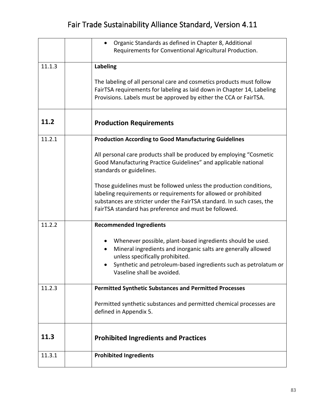|        | Organic Standards as defined in Chapter 8, Additional                                         |
|--------|-----------------------------------------------------------------------------------------------|
|        | Requirements for Conventional Agricultural Production.                                        |
|        |                                                                                               |
| 11.1.3 | Labeling                                                                                      |
|        |                                                                                               |
|        | The labeling of all personal care and cosmetics products must follow                          |
|        | FairTSA requirements for labeling as laid down in Chapter 14, Labeling                        |
|        | Provisions. Labels must be approved by either the CCA or FairTSA.                             |
| 11.2   |                                                                                               |
|        | <b>Production Requirements</b>                                                                |
| 11.2.1 | <b>Production According to Good Manufacturing Guidelines</b>                                  |
|        | All personal care products shall be produced by employing "Cosmetic                           |
|        | Good Manufacturing Practice Guidelines" and applicable national                               |
|        | standards or guidelines.                                                                      |
|        |                                                                                               |
|        | Those guidelines must be followed unless the production conditions,                           |
|        | labeling requirements or requirements for allowed or prohibited                               |
|        | substances are stricter under the FairTSA standard. In such cases, the                        |
|        | FairTSA standard has preference and must be followed.                                         |
| 11.2.2 | <b>Recommended Ingredients</b>                                                                |
|        |                                                                                               |
|        | Whenever possible, plant-based ingredients should be used.                                    |
|        | Mineral ingredients and inorganic salts are generally allowed<br>$\bullet$                    |
|        | unless specifically prohibited.                                                               |
|        | Synthetic and petroleum-based ingredients such as petrolatum or<br>Vaseline shall be avoided. |
|        |                                                                                               |
| 11.2.3 | <b>Permitted Synthetic Substances and Permitted Processes</b>                                 |
|        |                                                                                               |
|        | Permitted synthetic substances and permitted chemical processes are                           |
|        | defined in Appendix 5.                                                                        |
|        |                                                                                               |
| 11.3   | <b>Prohibited Ingredients and Practices</b>                                                   |
|        |                                                                                               |
| 11.3.1 | <b>Prohibited Ingredients</b>                                                                 |
|        |                                                                                               |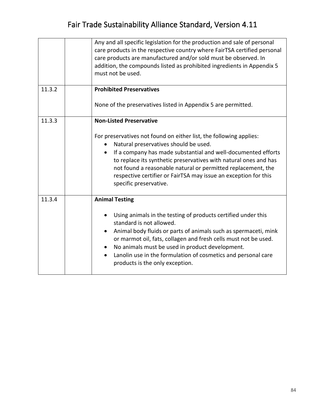|        | Any and all specific legislation for the production and sale of personal<br>care products in the respective country where FairTSA certified personal<br>care products are manufactured and/or sold must be observed. In<br>addition, the compounds listed as prohibited ingredients in Appendix 5<br>must not be used.                                                                                                                                            |
|--------|-------------------------------------------------------------------------------------------------------------------------------------------------------------------------------------------------------------------------------------------------------------------------------------------------------------------------------------------------------------------------------------------------------------------------------------------------------------------|
| 11.3.2 | <b>Prohibited Preservatives</b><br>None of the preservatives listed in Appendix 5 are permitted.                                                                                                                                                                                                                                                                                                                                                                  |
| 11.3.3 | <b>Non-Listed Preservative</b><br>For preservatives not found on either list, the following applies:<br>Natural preservatives should be used.<br>$\bullet$<br>If a company has made substantial and well-documented efforts<br>٠<br>to replace its synthetic preservatives with natural ones and has<br>not found a reasonable natural or permitted replacement, the<br>respective certifier or FairTSA may issue an exception for this<br>specific preservative. |
| 11.3.4 | <b>Animal Testing</b><br>Using animals in the testing of products certified under this<br>standard is not allowed.<br>Animal body fluids or parts of animals such as spermaceti, mink<br>or marmot oil, fats, collagen and fresh cells must not be used.<br>No animals must be used in product development.<br>Lanolin use in the formulation of cosmetics and personal care<br>products is the only exception.                                                   |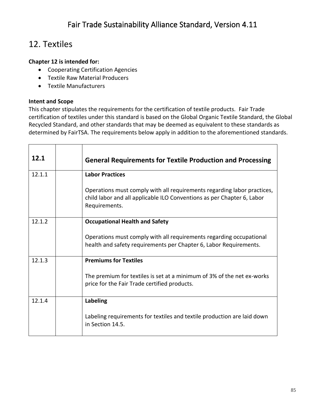### 12. Textiles

#### **Chapter 12 is intended for:**

- Cooperating Certification Agencies
- Textile Raw Material Producers
- Textile Manufacturers

#### **Intent and Scope**

This chapter stipulates the requirements for the certification of textile products. Fair Trade certification of textiles under this standard is based on the Global Organic Textile Standard, the Global Recycled Standard, and other standards that may be deemed as equivalent to these standards as determined by FairTSA. The requirements below apply in addition to the aforementioned standards.

| 12.1   |                                       | <b>General Requirements for Textile Production and Processing</b>                                                                                                  |  |  |  |
|--------|---------------------------------------|--------------------------------------------------------------------------------------------------------------------------------------------------------------------|--|--|--|
| 12.1.1 |                                       | <b>Labor Practices</b>                                                                                                                                             |  |  |  |
|        |                                       | Operations must comply with all requirements regarding labor practices,<br>child labor and all applicable ILO Conventions as per Chapter 6, Labor<br>Requirements. |  |  |  |
| 12.1.2 | <b>Occupational Health and Safety</b> |                                                                                                                                                                    |  |  |  |
|        |                                       | Operations must comply with all requirements regarding occupational<br>health and safety requirements per Chapter 6, Labor Requirements.                           |  |  |  |
| 12.1.3 |                                       | <b>Premiums for Textiles</b>                                                                                                                                       |  |  |  |
|        |                                       | The premium for textiles is set at a minimum of 3% of the net ex-works<br>price for the Fair Trade certified products.                                             |  |  |  |
| 12.1.4 |                                       | Labeling                                                                                                                                                           |  |  |  |
|        |                                       | Labeling requirements for textiles and textile production are laid down<br>in Section 14.5.                                                                        |  |  |  |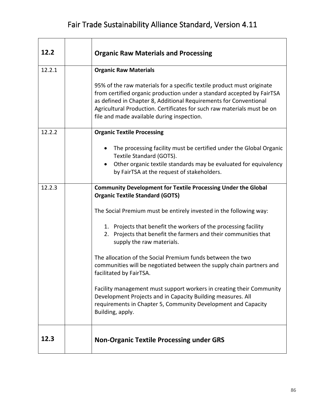| 12.2   | <b>Organic Raw Materials and Processing</b>                                                                                                                                                                                                                                                                                                    |  |  |  |
|--------|------------------------------------------------------------------------------------------------------------------------------------------------------------------------------------------------------------------------------------------------------------------------------------------------------------------------------------------------|--|--|--|
| 12.2.1 | <b>Organic Raw Materials</b>                                                                                                                                                                                                                                                                                                                   |  |  |  |
|        | 95% of the raw materials for a specific textile product must originate<br>from certified organic production under a standard accepted by FairTSA<br>as defined in Chapter 8, Additional Requirements for Conventional<br>Agricultural Production. Certificates for such raw materials must be on<br>file and made available during inspection. |  |  |  |
| 12.2.2 | <b>Organic Textile Processing</b>                                                                                                                                                                                                                                                                                                              |  |  |  |
|        | The processing facility must be certified under the Global Organic<br>Textile Standard (GOTS).<br>Other organic textile standards may be evaluated for equivalency<br>$\bullet$<br>by FairTSA at the request of stakeholders.                                                                                                                  |  |  |  |
| 12.2.3 | <b>Community Development for Textile Processing Under the Global</b><br><b>Organic Textile Standard (GOTS)</b>                                                                                                                                                                                                                                 |  |  |  |
|        | The Social Premium must be entirely invested in the following way:                                                                                                                                                                                                                                                                             |  |  |  |
|        | 1. Projects that benefit the workers of the processing facility<br>2. Projects that benefit the farmers and their communities that<br>supply the raw materials.                                                                                                                                                                                |  |  |  |
|        | The allocation of the Social Premium funds between the two<br>communities will be negotiated between the supply chain partners and<br>facilitated by FairTSA.                                                                                                                                                                                  |  |  |  |
|        | Facility management must support workers in creating their Community<br>Development Projects and in Capacity Building measures. All<br>requirements in Chapter 5, Community Development and Capacity<br>Building, apply.                                                                                                                       |  |  |  |
| 12.3   | <b>Non-Organic Textile Processing under GRS</b>                                                                                                                                                                                                                                                                                                |  |  |  |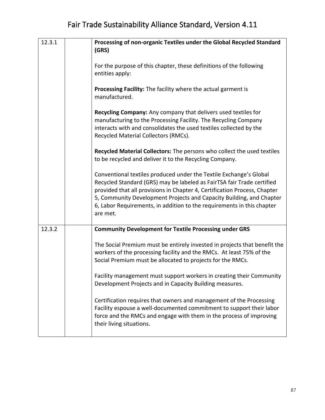| 12.3.1 | Processing of non-organic Textiles under the Global Recycled Standard<br>(GRS)                                                                                                                                                                                                                                                                                                          |
|--------|-----------------------------------------------------------------------------------------------------------------------------------------------------------------------------------------------------------------------------------------------------------------------------------------------------------------------------------------------------------------------------------------|
|        | For the purpose of this chapter, these definitions of the following<br>entities apply:                                                                                                                                                                                                                                                                                                  |
|        | Processing Facility: The facility where the actual garment is<br>manufactured.                                                                                                                                                                                                                                                                                                          |
|        | Recycling Company: Any company that delivers used textiles for<br>manufacturing to the Processing Facility. The Recycling Company<br>interacts with and consolidates the used textiles collected by the<br>Recycled Material Collectors (RMCs).                                                                                                                                         |
|        | Recycled Material Collectors: The persons who collect the used textiles<br>to be recycled and deliver it to the Recycling Company.                                                                                                                                                                                                                                                      |
|        | Conventional textiles produced under the Textile Exchange's Global<br>Recycled Standard (GRS) may be labeled as FairTSA fair Trade certified<br>provided that all provisions in Chapter 4, Certification Process, Chapter<br>5, Community Development Projects and Capacity Building, and Chapter<br>6, Labor Requirements, in addition to the requirements in this chapter<br>are met. |
| 12.3.2 | <b>Community Development for Textile Processing under GRS</b>                                                                                                                                                                                                                                                                                                                           |
|        | The Social Premium must be entirely invested in projects that benefit the<br>workers of the processing facility and the RMCs. At least 75% of the<br>Social Premium must be allocated to projects for the RMCs.                                                                                                                                                                         |
|        | Facility management must support workers in creating their Community<br>Development Projects and in Capacity Building measures.                                                                                                                                                                                                                                                         |
|        | Certification requires that owners and management of the Processing<br>Facility espouse a well-documented commitment to support their labor<br>force and the RMCs and engage with them in the process of improving<br>their living situations.                                                                                                                                          |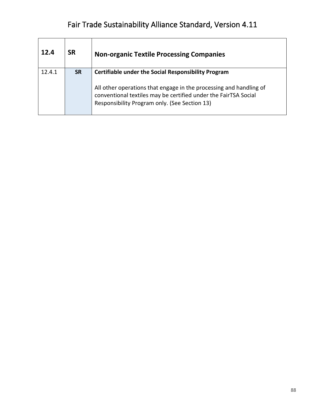| 12.4   | <b>SR</b> | <b>Non-organic Textile Processing Companies</b>                                                                                                                                        |
|--------|-----------|----------------------------------------------------------------------------------------------------------------------------------------------------------------------------------------|
| 12.4.1 | <b>SR</b> | <b>Certifiable under the Social Responsibility Program</b>                                                                                                                             |
|        |           | All other operations that engage in the processing and handling of<br>conventional textiles may be certified under the FairTSA Social<br>Responsibility Program only. (See Section 13) |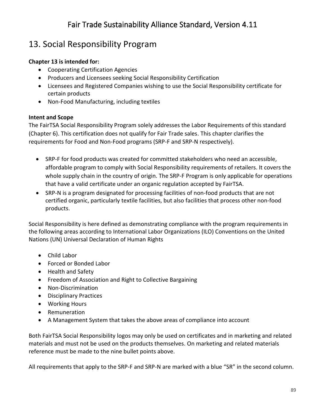### 13. Social Responsibility Program

#### **Chapter 13 is intended for:**

- Cooperating Certification Agencies
- Producers and Licensees seeking Social Responsibility Certification
- Licensees and Registered Companies wishing to use the Social Responsibility certificate for certain products
- Non-Food Manufacturing, including textiles

#### **Intent and Scope**

The FairTSA Social Responsibility Program solely addresses the Labor Requirements of this standard (Chapter 6). This certification does not qualify for Fair Trade sales. This chapter clarifies the requirements for Food and Non-Food programs (SRP-F and SRP-N respectively).

- SRP-F for food products was created for committed stakeholders who need an accessible, affordable program to comply with Social Responsibility requirements of retailers. It covers the whole supply chain in the country of origin. The SRP-F Program is only applicable for operations that have a valid certificate under an organic regulation accepted by FairTSA.
- SRP-N is a program designated for processing facilities of non-food products that are not certified organic, particularly textile facilities, but also facilities that process other non-food products.

Social Responsibility is here defined as demonstrating compliance with the program requirements in the following areas according to International Labor Organizations (ILO) Conventions on the United Nations (UN) Universal Declaration of Human Rights

- Child Labor
- Forced or Bonded Labor
- Health and Safety
- Freedom of Association and Right to Collective Bargaining
- Non-Discrimination
- Disciplinary Practices
- Working Hours
- Remuneration
- A Management System that takes the above areas of compliance into account

Both FairTSA Social Responsibility logos may only be used on certificates and in marketing and related materials and must not be used on the products themselves. On marketing and related materials reference must be made to the nine bullet points above.

All requirements that apply to the SRP-F and SRP-N are marked with a blue "SR" in the second column.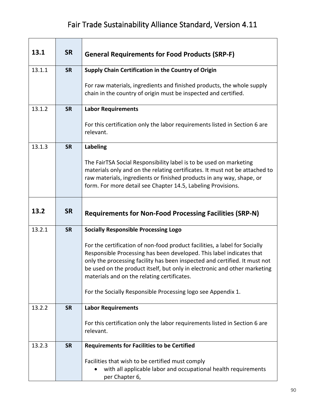| 13.1   | <b>SR</b> | <b>General Requirements for Food Products (SRP-F)</b>                                                                                                                                                                                                                                                                                                        |  |  |  |
|--------|-----------|--------------------------------------------------------------------------------------------------------------------------------------------------------------------------------------------------------------------------------------------------------------------------------------------------------------------------------------------------------------|--|--|--|
| 13.1.1 | <b>SR</b> | Supply Chain Certification in the Country of Origin                                                                                                                                                                                                                                                                                                          |  |  |  |
|        |           | For raw materials, ingredients and finished products, the whole supply<br>chain in the country of origin must be inspected and certified.                                                                                                                                                                                                                    |  |  |  |
| 13.1.2 | <b>SR</b> | <b>Labor Requirements</b>                                                                                                                                                                                                                                                                                                                                    |  |  |  |
|        |           | For this certification only the labor requirements listed in Section 6 are<br>relevant.                                                                                                                                                                                                                                                                      |  |  |  |
| 13.1.3 | <b>SR</b> | <b>Labeling</b>                                                                                                                                                                                                                                                                                                                                              |  |  |  |
|        |           | The FairTSA Social Responsibility label is to be used on marketing<br>materials only and on the relating certificates. It must not be attached to<br>raw materials, ingredients or finished products in any way, shape, or<br>form. For more detail see Chapter 14.5, Labeling Provisions.                                                                   |  |  |  |
| 13.2   | <b>SR</b> | <b>Requirements for Non-Food Processing Facilities (SRP-N)</b>                                                                                                                                                                                                                                                                                               |  |  |  |
| 13.2.1 | <b>SR</b> | <b>Socially Responsible Processing Logo</b>                                                                                                                                                                                                                                                                                                                  |  |  |  |
|        |           | For the certification of non-food product facilities, a label for Socially<br>Responsible Processing has been developed. This label indicates that<br>only the processing facility has been inspected and certified. It must not<br>be used on the product itself, but only in electronic and other marketing<br>materials and on the relating certificates. |  |  |  |
|        |           | For the Socially Responsible Processing logo see Appendix 1.                                                                                                                                                                                                                                                                                                 |  |  |  |
| 13.2.2 | <b>SR</b> | <b>Labor Requirements</b>                                                                                                                                                                                                                                                                                                                                    |  |  |  |
|        |           | For this certification only the labor requirements listed in Section 6 are<br>relevant.                                                                                                                                                                                                                                                                      |  |  |  |
| 13.2.3 | <b>SR</b> | <b>Requirements for Facilities to be Certified</b>                                                                                                                                                                                                                                                                                                           |  |  |  |
|        |           | Facilities that wish to be certified must comply<br>with all applicable labor and occupational health requirements<br>per Chapter 6,                                                                                                                                                                                                                         |  |  |  |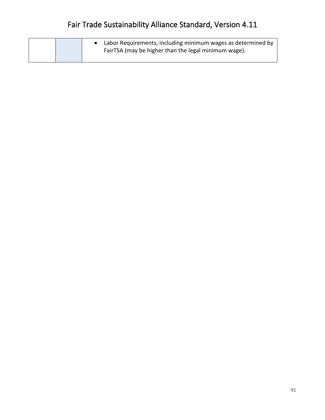|  | Labor Requirements, including minimum wages as determined by<br>FairTSA (may be higher than the legal minimum wage). |
|--|----------------------------------------------------------------------------------------------------------------------|
|--|----------------------------------------------------------------------------------------------------------------------|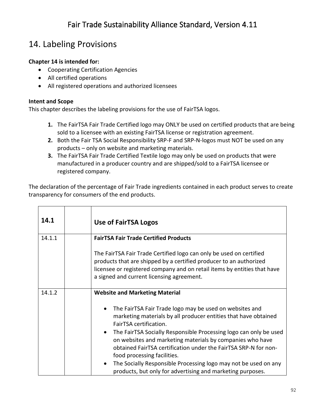### 14. Labeling Provisions

#### **Chapter 14 is intended for:**

- Cooperating Certification Agencies
- All certified operations
- All registered operations and authorized licensees

#### **Intent and Scope**

This chapter describes the labeling provisions for the use of FairTSA logos.

- **1.** The FairTSA Fair Trade Certified logo may ONLY be used on certified products that are being sold to a licensee with an existing FairTSA license or registration agreement.
- **2.** Both the Fair TSA Social Responsibility SRP-F and SRP-N-logos must NOT be used on any products – only on website and marketing materials.
- **3.** The FairTSA Fair Trade Certified Textile logo may only be used on products that were manufactured in a producer country and are shipped/sold to a FairTSA licensee or registered company.

The declaration of the percentage of Fair Trade ingredients contained in each product serves to create transparency for consumers of the end products.

| 14.1   | <b>Use of FairTSA Logos</b>                                                                                                                                                                                                                                                                                                                                                                                                                                                                                                                         |
|--------|-----------------------------------------------------------------------------------------------------------------------------------------------------------------------------------------------------------------------------------------------------------------------------------------------------------------------------------------------------------------------------------------------------------------------------------------------------------------------------------------------------------------------------------------------------|
| 14.1.1 | <b>FairTSA Fair Trade Certified Products</b>                                                                                                                                                                                                                                                                                                                                                                                                                                                                                                        |
|        | The FairTSA Fair Trade Certified logo can only be used on certified<br>products that are shipped by a certified producer to an authorized<br>licensee or registered company and on retail items by entities that have<br>a signed and current licensing agreement.                                                                                                                                                                                                                                                                                  |
| 14.1.2 | <b>Website and Marketing Material</b>                                                                                                                                                                                                                                                                                                                                                                                                                                                                                                               |
|        | The FairTSA Fair Trade logo may be used on websites and<br>marketing materials by all producer entities that have obtained<br>FairTSA certification.<br>The FairTSA Socially Responsible Processing logo can only be used<br>$\bullet$<br>on websites and marketing materials by companies who have<br>obtained FairTSA certification under the FairTSA SRP-N for non-<br>food processing facilities.<br>The Socially Responsible Processing logo may not be used on any<br>$\bullet$<br>products, but only for advertising and marketing purposes. |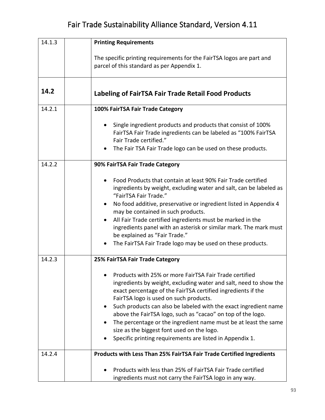| 14.1.3 | <b>Printing Requirements</b>                                                                                                                                                                                                                                                                                                                                                                                                                                                                                                                          |  |  |  |
|--------|-------------------------------------------------------------------------------------------------------------------------------------------------------------------------------------------------------------------------------------------------------------------------------------------------------------------------------------------------------------------------------------------------------------------------------------------------------------------------------------------------------------------------------------------------------|--|--|--|
|        | The specific printing requirements for the FairTSA logos are part and<br>parcel of this standard as per Appendix 1.                                                                                                                                                                                                                                                                                                                                                                                                                                   |  |  |  |
| 14.2   | <b>Labeling of FairTSA Fair Trade Retail Food Products</b>                                                                                                                                                                                                                                                                                                                                                                                                                                                                                            |  |  |  |
| 14.2.1 | 100% FairTSA Fair Trade Category                                                                                                                                                                                                                                                                                                                                                                                                                                                                                                                      |  |  |  |
|        | Single ingredient products and products that consist of 100%<br>FairTSA Fair Trade ingredients can be labeled as "100% FairTSA<br>Fair Trade certified."<br>The Fair TSA Fair Trade logo can be used on these products.                                                                                                                                                                                                                                                                                                                               |  |  |  |
| 14.2.2 | 90% FairTSA Fair Trade Category                                                                                                                                                                                                                                                                                                                                                                                                                                                                                                                       |  |  |  |
|        | Food Products that contain at least 90% Fair Trade certified<br>ingredients by weight, excluding water and salt, can be labeled as<br>"FairTSA Fair Trade."<br>No food additive, preservative or ingredient listed in Appendix 4<br>may be contained in such products.<br>All Fair Trade certified ingredients must be marked in the<br>ingredients panel with an asterisk or similar mark. The mark must<br>be explained as "Fair Trade."<br>The FairTSA Fair Trade logo may be used on these products.                                              |  |  |  |
| 14.2.3 | 25% FairTSA Fair Trade Category                                                                                                                                                                                                                                                                                                                                                                                                                                                                                                                       |  |  |  |
|        | Products with 25% or more FairTSA Fair Trade certified<br>ingredients by weight, excluding water and salt, need to show the<br>exact percentage of the FairTSA certified ingredients if the<br>FairTSA logo is used on such products.<br>Such products can also be labeled with the exact ingredient name<br>above the FairTSA logo, such as "cacao" on top of the logo.<br>The percentage or the ingredient name must be at least the same<br>size as the biggest font used on the logo.<br>Specific printing requirements are listed in Appendix 1. |  |  |  |
| 14.2.4 | Products with Less Than 25% FairTSA Fair Trade Certified Ingredients                                                                                                                                                                                                                                                                                                                                                                                                                                                                                  |  |  |  |
|        | Products with less than 25% of FairTSA Fair Trade certified<br>ingredients must not carry the FairTSA logo in any way.                                                                                                                                                                                                                                                                                                                                                                                                                                |  |  |  |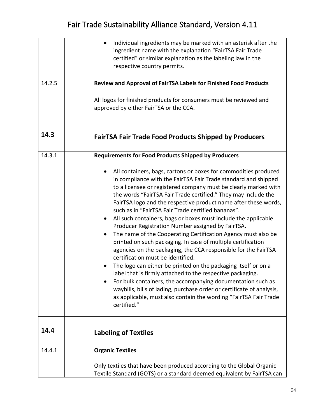|        | Individual ingredients may be marked with an asterisk after the<br>ingredient name with the explanation "FairTSA Fair Trade<br>certified" or similar explanation as the labeling law in the<br>respective country permits.                                                                                                                                                                                                                                                                                                                                                                                                                                                                                                                                                                                                                                                                                                                                                                                                                                                                                                                          |
|--------|-----------------------------------------------------------------------------------------------------------------------------------------------------------------------------------------------------------------------------------------------------------------------------------------------------------------------------------------------------------------------------------------------------------------------------------------------------------------------------------------------------------------------------------------------------------------------------------------------------------------------------------------------------------------------------------------------------------------------------------------------------------------------------------------------------------------------------------------------------------------------------------------------------------------------------------------------------------------------------------------------------------------------------------------------------------------------------------------------------------------------------------------------------|
| 14.2.5 | Review and Approval of FairTSA Labels for Finished Food Products                                                                                                                                                                                                                                                                                                                                                                                                                                                                                                                                                                                                                                                                                                                                                                                                                                                                                                                                                                                                                                                                                    |
|        | All logos for finished products for consumers must be reviewed and<br>approved by either FairTSA or the CCA.                                                                                                                                                                                                                                                                                                                                                                                                                                                                                                                                                                                                                                                                                                                                                                                                                                                                                                                                                                                                                                        |
| 14.3   | FairTSA Fair Trade Food Products Shipped by Producers                                                                                                                                                                                                                                                                                                                                                                                                                                                                                                                                                                                                                                                                                                                                                                                                                                                                                                                                                                                                                                                                                               |
| 14.3.1 | <b>Requirements for Food Products Shipped by Producers</b>                                                                                                                                                                                                                                                                                                                                                                                                                                                                                                                                                                                                                                                                                                                                                                                                                                                                                                                                                                                                                                                                                          |
|        | All containers, bags, cartons or boxes for commodities produced<br>in compliance with the FairTSA Fair Trade standard and shipped<br>to a licensee or registered company must be clearly marked with<br>the words "FairTSA Fair Trade certified." They may include the<br>FairTSA logo and the respective product name after these words,<br>such as in "FairTSA Fair Trade certified bananas".<br>All such containers, bags or boxes must include the applicable<br>$\bullet$<br>Producer Registration Number assigned by FairTSA.<br>The name of the Cooperating Certification Agency must also be<br>$\bullet$<br>printed on such packaging. In case of multiple certification<br>agencies on the packaging, the CCA responsible for the FairTSA<br>certification must be identified.<br>The logo can either be printed on the packaging itself or on a<br>label that is firmly attached to the respective packaging.<br>For bulk containers, the accompanying documentation such as<br>waybills, bills of lading, purchase order or certificate of analysis,<br>as applicable, must also contain the wording "FairTSA Fair Trade<br>certified." |
| 14.4   | <b>Labeling of Textiles</b>                                                                                                                                                                                                                                                                                                                                                                                                                                                                                                                                                                                                                                                                                                                                                                                                                                                                                                                                                                                                                                                                                                                         |
| 14.4.1 | <b>Organic Textiles</b>                                                                                                                                                                                                                                                                                                                                                                                                                                                                                                                                                                                                                                                                                                                                                                                                                                                                                                                                                                                                                                                                                                                             |
|        | Only textiles that have been produced according to the Global Organic<br>Textile Standard (GOTS) or a standard deemed equivalent by FairTSA can                                                                                                                                                                                                                                                                                                                                                                                                                                                                                                                                                                                                                                                                                                                                                                                                                                                                                                                                                                                                     |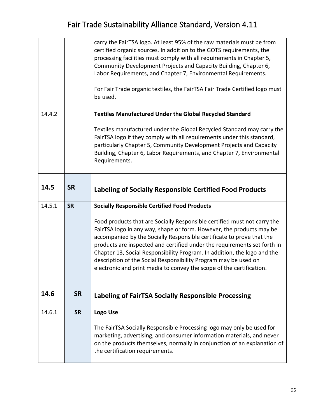|        |           | carry the FairTSA logo. At least 95% of the raw materials must be from<br>certified organic sources. In addition to the GOTS requirements, the<br>processing facilities must comply with all requirements in Chapter 5,                                                                                                                                                                                                                                                                                                      |  |  |  |
|--------|-----------|------------------------------------------------------------------------------------------------------------------------------------------------------------------------------------------------------------------------------------------------------------------------------------------------------------------------------------------------------------------------------------------------------------------------------------------------------------------------------------------------------------------------------|--|--|--|
|        |           | Community Development Projects and Capacity Building, Chapter 6,<br>Labor Requirements, and Chapter 7, Environmental Requirements.                                                                                                                                                                                                                                                                                                                                                                                           |  |  |  |
|        |           | For Fair Trade organic textiles, the FairTSA Fair Trade Certified logo must<br>be used.                                                                                                                                                                                                                                                                                                                                                                                                                                      |  |  |  |
| 14.4.2 |           | <b>Textiles Manufactured Under the Global Recycled Standard</b>                                                                                                                                                                                                                                                                                                                                                                                                                                                              |  |  |  |
|        |           | Textiles manufactured under the Global Recycled Standard may carry the<br>FairTSA logo if they comply with all requirements under this standard,<br>particularly Chapter 5, Community Development Projects and Capacity<br>Building, Chapter 6, Labor Requirements, and Chapter 7, Environmental<br>Requirements.                                                                                                                                                                                                            |  |  |  |
| 14.5   | <b>SR</b> | <b>Labeling of Socially Responsible Certified Food Products</b>                                                                                                                                                                                                                                                                                                                                                                                                                                                              |  |  |  |
| 14.5.1 | <b>SR</b> | <b>Socially Responsible Certified Food Products</b>                                                                                                                                                                                                                                                                                                                                                                                                                                                                          |  |  |  |
|        |           |                                                                                                                                                                                                                                                                                                                                                                                                                                                                                                                              |  |  |  |
|        |           | Food products that are Socially Responsible certified must not carry the<br>FairTSA logo in any way, shape or form. However, the products may be<br>accompanied by the Socially Responsible certificate to prove that the<br>products are inspected and certified under the requirements set forth in<br>Chapter 13, Social Responsibility Program. In addition, the logo and the<br>description of the Social Responsibility Program may be used on<br>electronic and print media to convey the scope of the certification. |  |  |  |
| 14.6   | <b>SR</b> | <b>Labeling of FairTSA Socially Responsible Processing</b>                                                                                                                                                                                                                                                                                                                                                                                                                                                                   |  |  |  |
| 14.6.1 | <b>SR</b> | Logo Use                                                                                                                                                                                                                                                                                                                                                                                                                                                                                                                     |  |  |  |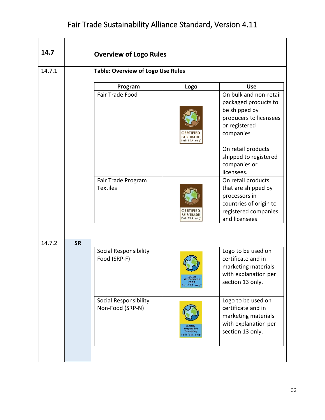| 14.7   |           | <b>Overview of Logo Rules</b>                                                      |                                                       |                                                                                                                                                                                        |  |
|--------|-----------|------------------------------------------------------------------------------------|-------------------------------------------------------|----------------------------------------------------------------------------------------------------------------------------------------------------------------------------------------|--|
| 14.7.1 |           | <b>Table: Overview of Logo Use Rules</b>                                           |                                                       |                                                                                                                                                                                        |  |
|        |           | Program                                                                            | Logo                                                  | <b>Use</b>                                                                                                                                                                             |  |
|        |           | Fair Trade Food                                                                    | <b>FAIR TRADE</b><br>airTSA.org                       | On bulk and non-retail<br>packaged products to<br>be shipped by<br>producers to licensees<br>or registered<br>companies<br>On retail products<br>shipped to registered<br>companies or |  |
|        |           | Fair Trade Program<br><b>Textiles</b>                                              | $d$ $r$ <sup>15<math>A</math></sup> $o$ <sup>10</sup> | licensees.<br>On retail products<br>that are shipped by<br>processors in<br>countries of origin to<br>registered companies<br>and licensees                                            |  |
|        |           |                                                                                    |                                                       |                                                                                                                                                                                        |  |
| 14.7.2 | <b>SR</b> | Social Responsibility<br>Food (SRP-F)<br>Social Responsibility<br>Non-Food (SRP-N) | <b>RESPONSIBLITY</b><br>FOOD<br>FairTSA.org"          | Logo to be used on<br>certificate and in<br>marketing materials<br>with explanation per<br>section 13 only.<br>Logo to be used on<br>certificate and in                                |  |
|        |           |                                                                                    | Responsible<br>Processing<br>airTSA.org               | marketing materials<br>with explanation per<br>section 13 only.                                                                                                                        |  |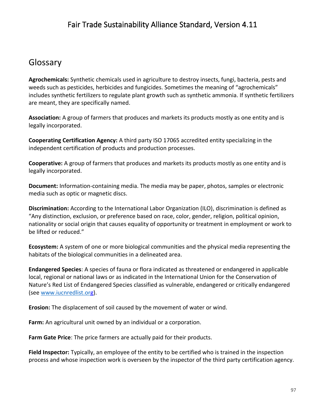#### Glossary

**Agrochemicals:** Synthetic chemicals used in agriculture to destroy insects, fungi, bacteria, pests and weeds such as pesticides, herbicides and fungicides. Sometimes the meaning of "agrochemicals" includes synthetic fertilizers to regulate plant growth such as synthetic ammonia. If synthetic fertilizers are meant, they are specifically named.

**Association:** A group of farmers that produces and markets its products mostly as one entity and is legally incorporated.

**Cooperating Certification Agency:** A third party ISO 17065 accredited entity specializing in the independent certification of products and production processes.

**Cooperative:** A group of farmers that produces and markets its products mostly as one entity and is legally incorporated.

**Document:** Information-containing media. The media may be paper, photos, samples or electronic media such as optic or magnetic discs.

**Discrimination:** According to the International Labor Organization (ILO), discrimination is defined as "Any distinction, exclusion, or preference based on race, color, gender, religion, political opinion, nationality or social origin that causes equality of opportunity or treatment in employment or work to be lifted or reduced."

**Ecosystem:** A system of one or more biological communities and the physical media representing the habitats of the biological communities in a delineated area.

**Endangered Species**: A species of fauna or flora indicated as threatened or endangered in applicable local, regional or national laws or as indicated in the International Union for the Conservation of Nature's Red List of Endangered Species classified as vulnerable, endangered or critically endangered (see [www.iucnredlist.org](http://www.iucnredlist.or/)).

**Erosion:** The displacement of soil caused by the movement of water or wind.

**Farm:** An agricultural unit owned by an individual or a corporation.

**Farm Gate Price**: The price farmers are actually paid for their products.

**Field Inspector:** Typically, an employee of the entity to be certified who is trained in the inspection process and whose inspection work is overseen by the inspector of the third party certification agency.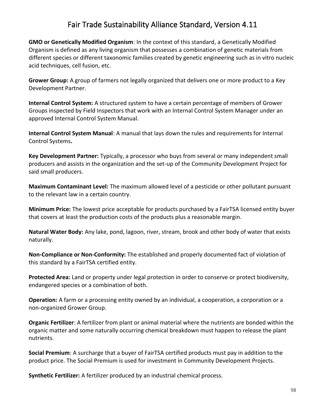**GMO or Genetically Modified Organism**: In the context of this standard, a Genetically Modified Organism is defined as any living organism that possesses a combination of genetic materials from different species or different taxonomic families created by genetic engineering such as in vitro nucleic acid techniques, cell fusion, etc.

**Grower Group:** A group of farmers not legally organized that delivers one or more product to a Key Development Partner.

**Internal Control System:** A structured system to have a certain percentage of members of Grower Groups inspected by Field Inspectors that work with an Internal Control System Manager under an approved Internal Control System Manual.

**Internal Control System Manual**: A manual that lays down the rules and requirements for Internal Control Systems**.** 

**Key Development Partner:** Typically, a processor who buys from several or many independent small producers and assists in the organization and the set-up of the Community Development Project for said small producers.

**Maximum Contaminant Level:** The maximum allowed level of a pesticide or other pollutant pursuant to the relevant law in a certain country.

**Minimum Price:** The lowest price acceptable for products purchased by a FairTSA licensed entity buyer that covers at least the production costs of the products plus a reasonable margin.

**Natural Water Body:** Any lake, pond, lagoon, river, stream, brook and other body of water that exists naturally.

**Non-Compliance or Non-Conformity:** The established and properly documented fact of violation of this standard by a FairTSA certified entity.

**Protected Area:** Land or property under legal protection in order to conserve or protect biodiversity, endangered species or a combination of both.

**Operation:** A farm or a processing entity owned by an individual, a cooperation, a corporation or a non-organized Grower Group.

**Organic Fertilizer**: A fertilizer from plant or animal material where the nutrients are bonded within the organic matter and some naturally occurring chemical breakdown must happen to release the plant nutrients.

**Social Premium**: A surcharge that a buyer of FairTSA certified products must pay in addition to the product price. The Social Premium is used for investment in Community Development Projects.

**Synthetic Fertilizer:** A fertilizer produced by an industrial chemical process.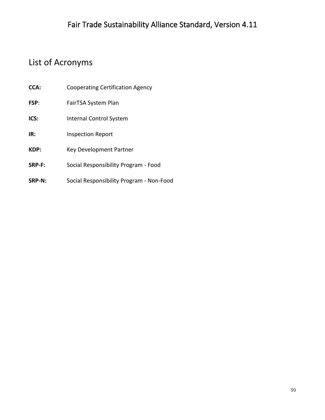#### List of Acronyms

- **CCA:** Cooperating Certification Agency
- **FSP**: FairTSA System Plan
- **ICS:** Internal Control System
- **IR:** Inspection Report
- **KDP:** Key Development Partner
- **SRP-F:** Social Responsibility Program Food
- **SRP-N:** Social Responsibility Program Non-Food